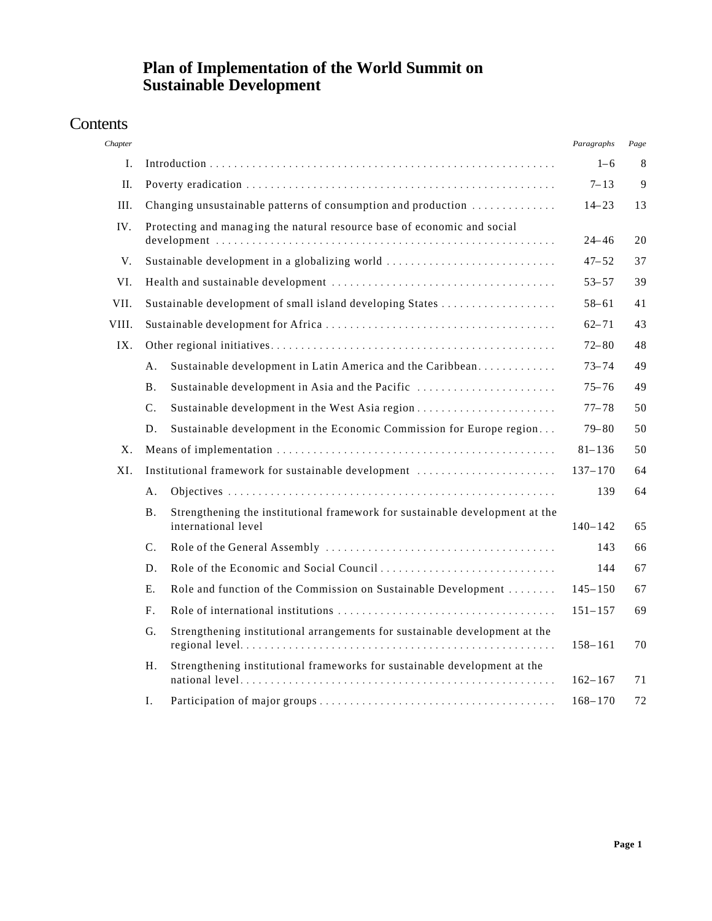# **Plan of Implementation of the World Summit on Sustainable Development**

# **Contents**

| Chapter     |                                                                                                                  | Paragraphs  | Page |
|-------------|------------------------------------------------------------------------------------------------------------------|-------------|------|
| I.          |                                                                                                                  | $1 - 6$     | 8    |
| П.          |                                                                                                                  | $7 - 13$    | 9    |
| III.        | Changing unsustainable patterns of consumption and production                                                    | $14 - 23$   | 13   |
| IV.         | Protecting and managing the natural resource base of economic and social                                         | $24 - 46$   | 20   |
| V.          | Sustainable development in a globalizing world                                                                   | $47 - 52$   | 37   |
| VI.         |                                                                                                                  | $53 - 57$   | 39   |
| VII.        | Sustainable development of small island developing States                                                        | $58 - 61$   | 41   |
| VIII.       |                                                                                                                  | $62 - 71$   | 43   |
| IX.         |                                                                                                                  | $72 - 80$   | 48   |
|             | Sustainable development in Latin America and the Caribbean<br>A.                                                 | $73 - 74$   | 49   |
|             | <b>B.</b><br>Sustainable development in Asia and the Pacific                                                     | $75 - 76$   | 49   |
|             | C.                                                                                                               | $77 - 78$   | 50   |
|             | Sustainable development in the Economic Commission for Europe region<br>D.                                       | $79 - 80$   | 50   |
| $X_{\cdot}$ |                                                                                                                  | $81 - 136$  | 50   |
| XI.         | Institutional framework for sustainable development                                                              | $137 - 170$ | 64   |
|             | A <sub>1</sub>                                                                                                   | 139         | 64   |
|             | <b>B.</b><br>Strengthening the institutional framework for sustainable development at the<br>international level | $140 - 142$ | 65   |
|             | $C_{\cdot}$                                                                                                      | 143         | 66   |
|             | D.                                                                                                               | 144         | 67   |
|             | Ε.<br>Role and function of the Commission on Sustainable Development                                             | $145 - 150$ | 67   |
|             | $F_{\cdot}$                                                                                                      | $151 - 157$ | 69   |
|             | G.<br>Strengthening institutional arrangements for sustainable development at the                                | $158 - 161$ | 70   |
|             | Strengthening institutional frameworks for sustainable development at the<br>H.                                  | $162 - 167$ | 71   |
|             | I.                                                                                                               | $168 - 170$ | 72   |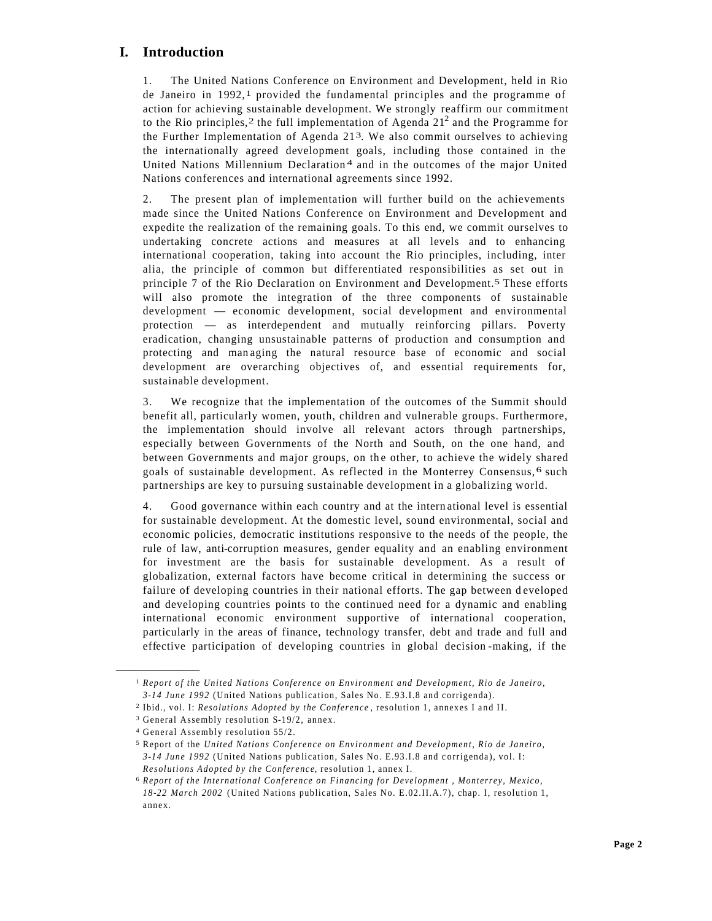# **I. Introduction**

1. The United Nations Conference on Environment and Development, held in Rio de Janeiro in 1992,1 provided the fundamental principles and the programme of action for achieving sustainable development. We strongly reaffirm our commitment to the Rio principles,<sup>2</sup> the full implementation of Agenda  $21^2$  and the Programme for the Further Implementation of Agenda 213. We also commit ourselves to achieving the internationally agreed development goals, including those contained in the United Nations Millennium Declaration 4 and in the outcomes of the major United Nations conferences and international agreements since 1992.

2. The present plan of implementation will further build on the achievements made since the United Nations Conference on Environment and Development and expedite the realization of the remaining goals. To this end, we commit ourselves to undertaking concrete actions and measures at all levels and to enhancing international cooperation, taking into account the Rio principles, including, inter alia, the principle of common but differentiated responsibilities as set out in principle 7 of the Rio Declaration on Environment and Development.5 These efforts will also promote the integration of the three components of sustainable development — economic development, social development and environmental protection — as interdependent and mutually reinforcing pillars. Poverty eradication, changing unsustainable patterns of production and consumption and protecting and man aging the natural resource base of economic and social development are overarching objectives of, and essential requirements for, sustainable development.

3. We recognize that the implementation of the outcomes of the Summit should benefit all, particularly women, youth, children and vulnerable groups. Furthermore, the implementation should involve all relevant actors through partnerships, especially between Governments of the North and South, on the one hand, and between Governments and major groups, on the other, to achieve the widely shared goals of sustainable development. As reflected in the Monterrey Consensus, 6 such partnerships are key to pursuing sustainable development in a globalizing world.

4. Good governance within each country and at the intern ational level is essential for sustainable development. At the domestic level, sound environmental, social and economic policies, democratic institutions responsive to the needs of the people, the rule of law, anti-corruption measures, gender equality and an enabling environment for investment are the basis for sustainable development. As a result of globalization, external factors have become critical in determining the success or failure of developing countries in their national efforts. The gap between d eveloped and developing countries points to the continued need for a dynamic and enabling international economic environment supportive of international cooperation, particularly in the areas of finance, technology transfer, debt and trade and full and effective participation of developing countries in global decision -making, if the

<sup>1</sup> *Report of the United Nations Conference on Environment and Development, Rio de Janeiro, 3-14 June 1992* (United Nations publication, Sales No. E.93.I.8 and corrigenda).

<sup>2</sup> Ibid., vol. I: *Resolutions Adopted by the Conference* , resolution 1, annexes I and II.

<sup>3</sup> General Assembly resolution S-19/2, annex.

<sup>4</sup> General Assembly resolution 55/2.

<sup>5</sup> Report of the *United Nations Conference on Environment and Development, Rio de Janeiro, 3-14 June 1992* (United Nations publication, Sales No. E.93.I.8 and c orrigenda), vol. I: *Resolutions Adopted by the Conference*, resolution 1, annex I.

<sup>6</sup> *Report of the International Conference on Financing for Development , Monterrey, Mexico, 18-22 March 2002* (United Nations publication, Sales No. E.02.II.A.7), chap. I, resolution 1, annex.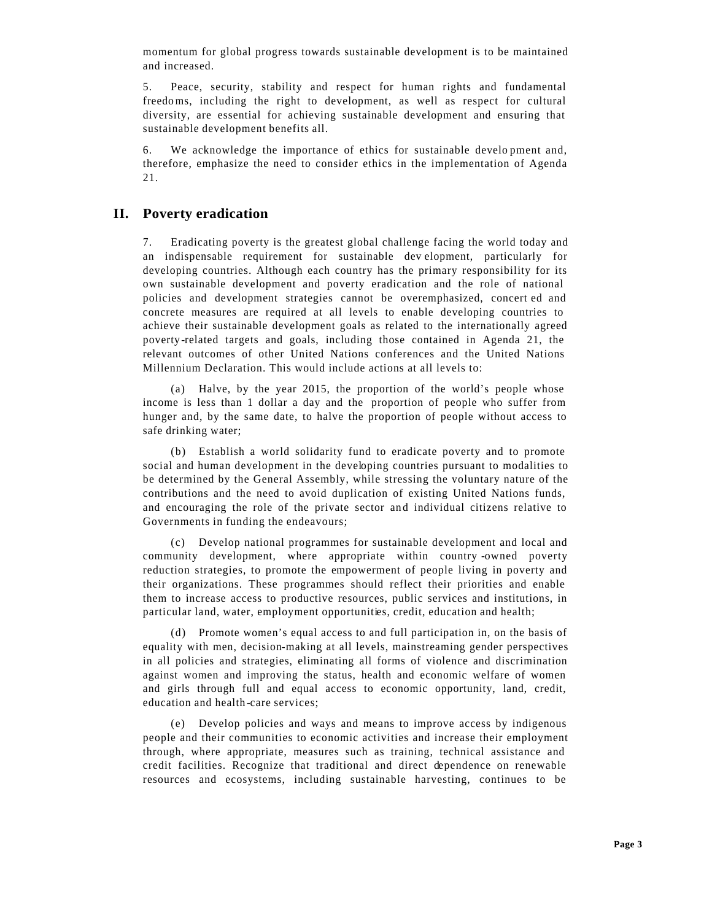momentum for global progress towards sustainable development is to be maintained and increased.

5. Peace, security, stability and respect for human rights and fundamental freedoms, including the right to development, as well as respect for cultural diversity, are essential for achieving sustainable development and ensuring that sustainable development benefits all.

6. We acknowledge the importance of ethics for sustainable develo pment and, therefore, emphasize the need to consider ethics in the implementation of Agenda 21.

# **II. Poverty eradication**

7. Eradicating poverty is the greatest global challenge facing the world today and an indispensable requirement for sustainable dev elopment, particularly for developing countries. Although each country has the primary responsibility for its own sustainable development and poverty eradication and the role of national policies and development strategies cannot be overemphasized, concert ed and concrete measures are required at all levels to enable developing countries to achieve their sustainable development goals as related to the internationally agreed poverty -related targets and goals, including those contained in Agenda 21, the relevant outcomes of other United Nations conferences and the United Nations Millennium Declaration. This would include actions at all levels to:

(a) Halve, by the year 2015, the proportion of the world's people whose income is less than 1 dollar a day and the proportion of people who suffer from hunger and, by the same date, to halve the proportion of people without access to safe drinking water;

(b) Establish a world solidarity fund to eradicate poverty and to promote social and human development in the developing countries pursuant to modalities to be determined by the General Assembly, while stressing the voluntary nature of the contributions and the need to avoid duplication of existing United Nations funds, and encouraging the role of the private sector and individual citizens relative to Governments in funding the endeavours;

(c) Develop national programmes for sustainable development and local and community development, where appropriate within country -owned poverty reduction strategies, to promote the empowerment of people living in poverty and their organizations. These programmes should reflect their priorities and enable them to increase access to productive resources, public services and institutions, in particular land, water, employment opportunities, credit, education and health;

(d) Promote women's equal access to and full participation in, on the basis of equality with men, decision-making at all levels, mainstreaming gender perspectives in all policies and strategies, eliminating all forms of violence and discrimination against women and improving the status, health and economic welfare of women and girls through full and equal access to economic opportunity, land, credit, education and health -care services;

(e) Develop policies and ways and means to improve access by indigenous people and their communities to economic activities and increase their employment through, where appropriate, measures such as training, technical assistance and credit facilities. Recognize that traditional and direct dependence on renewable resources and ecosystems, including sustainable harvesting, continues to be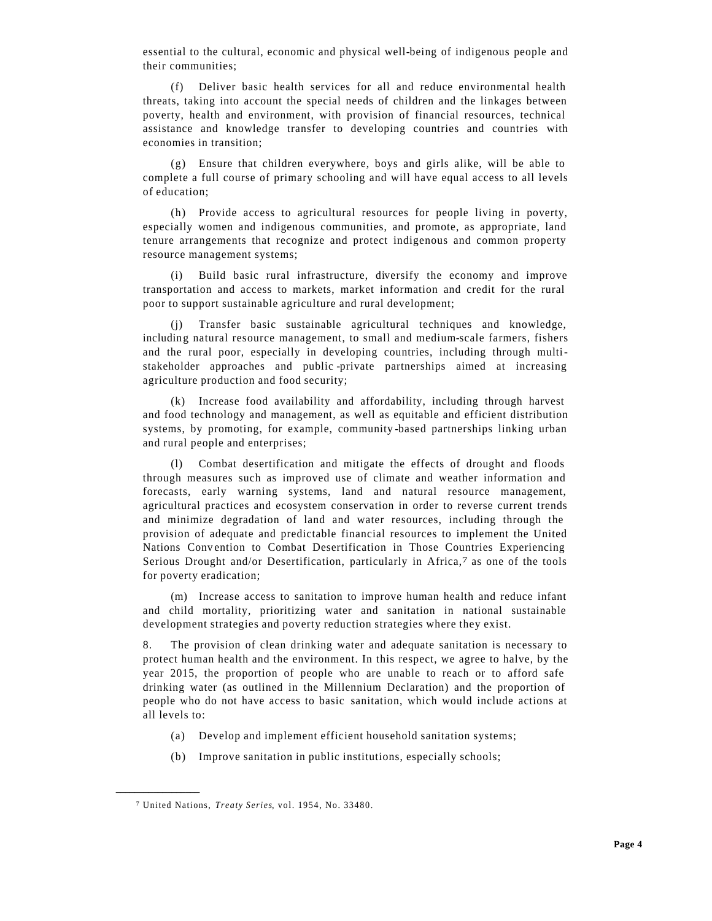essential to the cultural, economic and physical well-being of indigenous people and their communities;

(f) Deliver basic health services for all and reduce environmental health threats, taking into account the special needs of children and the linkages between poverty, health and environment, with provision of financial resources, technical assistance and knowledge transfer to developing countries and countries with economies in transition;

(g) Ensure that children everywhere, boys and girls alike, will be able to complete a full course of primary schooling and will have equal access to all levels of education;

(h) Provide access to agricultural resources for people living in poverty, especially women and indigenous communities, and promote, as appropriate, land tenure arrangements that recognize and protect indigenous and common property resource management systems;

Build basic rural infrastructure, diversify the economy and improve transportation and access to markets, market information and credit for the rural poor to support sustainable agriculture and rural development;

(j) Transfer basic sustainable agricultural techniques and knowledge, including natural resource management, to small and medium-scale farmers, fishers and the rural poor, especially in developing countries, including through multistakeholder approaches and public -private partnerships aimed at increasing agriculture production and food security;

(k) Increase food availability and affordability, including through harvest and food technology and management, as well as equitable and efficient distribution systems, by promoting, for example, community -based partnerships linking urban and rural people and enterprises;

(l) Combat desertification and mitigate the effects of drought and floods through measures such as improved use of climate and weather information and forecasts, early warning systems, land and natural resource management, agricultural practices and ecosystem conservation in order to reverse current trends and minimize degradation of land and water resources, including through the provision of adequate and predictable financial resources to implement the United Nations Convention to Combat Desertification in Those Countries Experiencing Serious Drought and/or Desertification, particularly in Africa,7 as one of the tools for poverty eradication;

(m) Increase access to sanitation to improve human health and reduce infant and child mortality, prioritizing water and sanitation in national sustainable development strategies and poverty reduction strategies where they exist.

8. The provision of clean drinking water and adequate sanitation is necessary to protect human health and the environment. In this respect, we agree to halve, by the year 2015, the proportion of people who are unable to reach or to afford safe drinking water (as outlined in the Millennium Declaration) and the proportion of people who do not have access to basic sanitation, which would include actions at all levels to:

- (a) Develop and implement efficient household sanitation systems;
- (b) Improve sanitation in public institutions, especially schools;

<sup>7</sup> United Nations, *Treaty Series*, vol. 1954, No. 33480.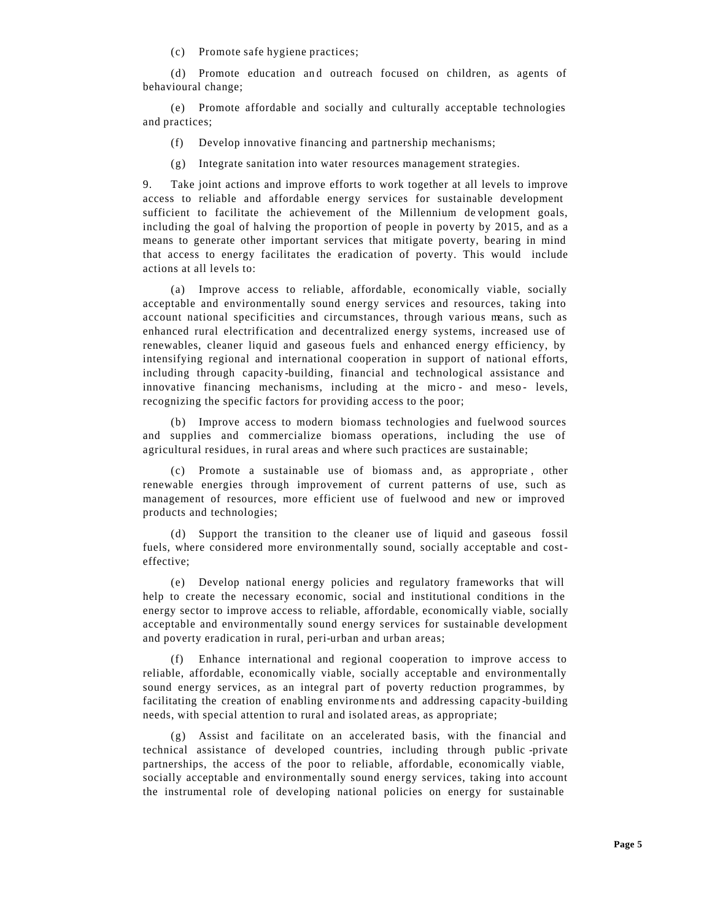(c) Promote safe hygiene practices;

(d) Promote education and outreach focused on children, as agents of behavioural change;

(e) Promote affordable and socially and culturally acceptable technologies and practices;

(f) Develop innovative financing and partnership mechanisms;

(g) Integrate sanitation into water resources management strategies.

9. Take joint actions and improve efforts to work together at all levels to improve access to reliable and affordable energy services for sustainable development sufficient to facilitate the achievement of the Millennium de velopment goals, including the goal of halving the proportion of people in poverty by 2015, and as a means to generate other important services that mitigate poverty, bearing in mind that access to energy facilitates the eradication of poverty. This would include actions at all levels to:

(a) Improve access to reliable, affordable, economically viable, socially acceptable and environmentally sound energy services and resources, taking into account national specificities and circumstances, through various means, such as enhanced rural electrification and decentralized energy systems, increased use of renewables, cleaner liquid and gaseous fuels and enhanced energy efficiency, by intensifying regional and international cooperation in support of national efforts, including through capacity -building, financial and technological assistance and innovative financing mechanisms, including at the micro- and meso- levels, recognizing the specific factors for providing access to the poor;

(b) Improve access to modern biomass technologies and fuelwood sources and supplies and commercialize biomass operations, including the use of agricultural residues, in rural areas and where such practices are sustainable;

(c) Promote a sustainable use of biomass and, as appropriate , other renewable energies through improvement of current patterns of use, such as management of resources, more efficient use of fuelwood and new or improved products and technologies;

(d) Support the transition to the cleaner use of liquid and gaseous fossil fuels, where considered more environmentally sound, socially acceptable and costeffective;

(e) Develop national energy policies and regulatory frameworks that will help to create the necessary economic, social and institutional conditions in the energy sector to improve access to reliable, affordable, economically viable, socially acceptable and environmentally sound energy services for sustainable development and poverty eradication in rural, peri-urban and urban areas;

(f) Enhance international and regional cooperation to improve access to reliable, affordable, economically viable, socially acceptable and environmentally sound energy services, as an integral part of poverty reduction programmes, by facilitating the creation of enabling environme nts and addressing capacity -building needs, with special attention to rural and isolated areas, as appropriate;

(g) Assist and facilitate on an accelerated basis, with the financial and technical assistance of developed countries, including through public -private partnerships, the access of the poor to reliable, affordable, economically viable, socially acceptable and environmentally sound energy services, taking into account the instrumental role of developing national policies on energy for sustainable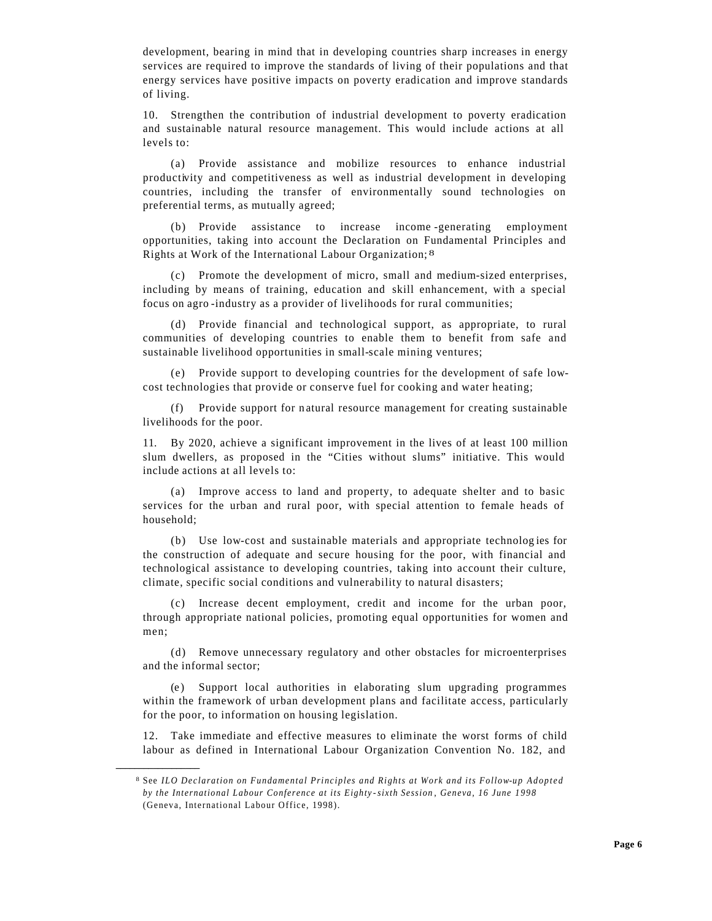development, bearing in mind that in developing countries sharp increases in energy services are required to improve the standards of living of their populations and that energy services have positive impacts on poverty eradication and improve standards of living.

10. Strengthen the contribution of industrial development to poverty eradication and sustainable natural resource management. This would include actions at all levels to:

(a) Provide assistance and mobilize resources to enhance industrial productivity and competitiveness as well as industrial development in developing countries, including the transfer of environmentally sound technologies on preferential terms, as mutually agreed;

(b) Provide assistance to increase income -generating employment opportunities, taking into account the Declaration on Fundamental Principles and Rights at Work of the International Labour Organization; 8

(c) Promote the development of micro, small and medium-sized enterprises, including by means of training, education and skill enhancement, with a special focus on agro -industry as a provider of livelihoods for rural communities;

(d) Provide financial and technological support, as appropriate, to rural communities of developing countries to enable them to benefit from safe and sustainable livelihood opportunities in small-scale mining ventures;

(e) Provide support to developing countries for the development of safe lowcost technologies that provide or conserve fuel for cooking and water heating;

(f) Provide support for n atural resource management for creating sustainable livelihoods for the poor.

11. By 2020, achieve a significant improvement in the lives of at least 100 million slum dwellers, as proposed in the "Cities without slums" initiative. This would include actions at all levels to:

(a) Improve access to land and property, to adequate shelter and to basic services for the urban and rural poor, with special attention to female heads of household;

(b) Use low-cost and sustainable materials and appropriate technolog ies for the construction of adequate and secure housing for the poor, with financial and technological assistance to developing countries, taking into account their culture, climate, specific social conditions and vulnerability to natural disasters;

(c) Increase decent employment, credit and income for the urban poor, through appropriate national policies, promoting equal opportunities for women and men;

(d) Remove unnecessary regulatory and other obstacles for microenterprises and the informal sector;

(e ) Support local authorities in elaborating slum upgrading programmes within the framework of urban development plans and facilitate access, particularly for the poor, to information on housing legislation.

12. Take immediate and effective measures to eliminate the worst forms of child labour as defined in International Labour Organization Convention No. 182, and

<sup>8</sup> See *ILO Declaration on Fundamental Principles and Rights at Work and its Follow-up Adopted by the International Labour Conference at its Eighty -sixth Session* , *Geneva, 16 June 1998* (Geneva, International Labour Office, 1998).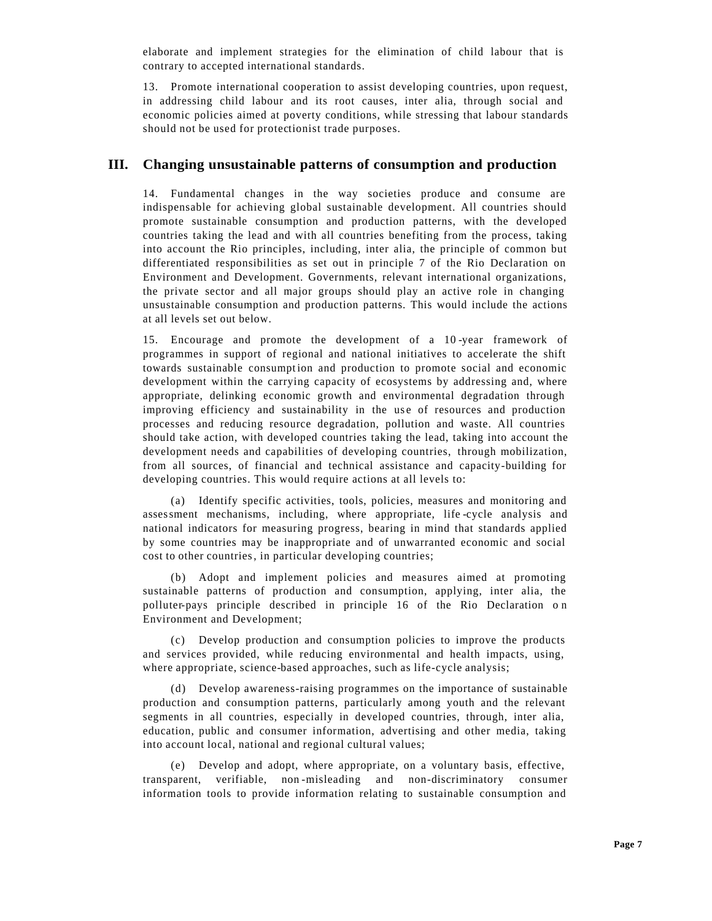elaborate and implement strategies for the elimination of child labour that is contrary to accepted international standards.

13. Promote international cooperation to assist developing countries, upon request, in addressing child labour and its root causes, inter alia, through social and economic policies aimed at poverty conditions, while stressing that labour standards should not be used for protectionist trade purposes.

## **III. Changing unsustainable patterns of consumption and production**

14. Fundamental changes in the way societies produce and consume are indispensable for achieving global sustainable development. All countries should promote sustainable consumption and production patterns, with the developed countries taking the lead and with all countries benefiting from the process, taking into account the Rio principles, including, inter alia, the principle of common but differentiated responsibilities as set out in principle 7 of the Rio Declaration on Environment and Development. Governments, relevant international organizations, the private sector and all major groups should play an active role in changing unsustainable consumption and production patterns. This would include the actions at all levels set out below.

15. Encourage and promote the development of a 10 -year framework of programmes in support of regional and national initiatives to accelerate the shift towards sustainable consumption and production to promote social and economic development within the carrying capacity of ecosystems by addressing and, where appropriate, delinking economic growth and environmental degradation through improving efficiency and sustainability in the use of resources and production processes and reducing resource degradation, pollution and waste. All countries should take action, with developed countries taking the lead, taking into account the development needs and capabilities of developing countries, through mobilization, from all sources, of financial and technical assistance and capacity-building for developing countries. This would require actions at all levels to:

(a) Identify specific activities, tools, policies, measures and monitoring and assessment mechanisms, including, where appropriate, life -cycle analysis and national indicators for measuring progress, bearing in mind that standards applied by some countries may be inappropriate and of unwarranted economic and social cost to other countries, in particular developing countries;

(b) Adopt and implement policies and measures aimed at promoting sustainable patterns of production and consumption, applying, inter alia, the polluter-pays principle described in principle 16 of the Rio Declaration on Environment and Development;

(c) Develop production and consumption policies to improve the products and services provided, while reducing environmental and health impacts, using, where appropriate, science-based approaches, such as life-cycle analysis;

(d) Develop awareness-raising programmes on the importance of sustainable production and consumption patterns, particularly among youth and the relevant segments in all countries, especially in developed countries, through, inter alia, education, public and consumer information, advertising and other media, taking into account local, national and regional cultural values;

(e) Develop and adopt, where appropriate, on a voluntary basis, effective, transparent, verifiable, non -misleading and non-discriminatory consumer information tools to provide information relating to sustainable consumption and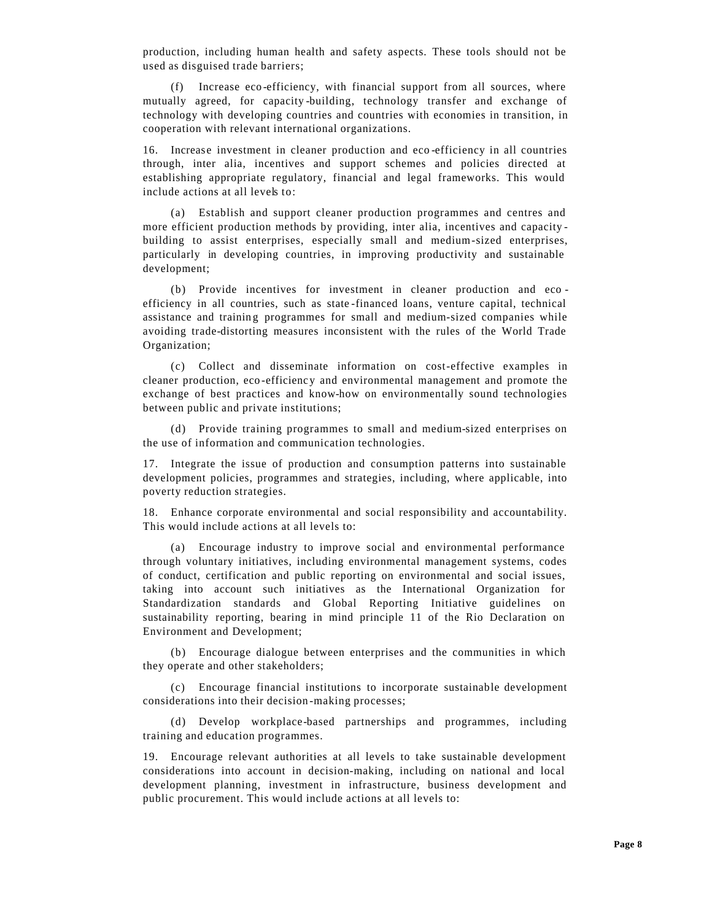production, including human health and safety aspects. These tools should not be used as disguised trade barriers;

(f) Increase eco -efficiency, with financial support from all sources, where mutually agreed, for capacity -building, technology transfer and exchange of technology with developing countries and countries with economies in transition, in cooperation with relevant international organizations.

16. Increase investment in cleaner production and eco-efficiency in all countries through, inter alia, incentives and support schemes and policies directed at establishing appropriate regulatory, financial and legal frameworks. This would include actions at all levels to:

(a) Establish and support cleaner production programmes and centres and more efficient production methods by providing, inter alia, incentives and capacity building to assist enterprises, especially small and medium-sized enterprises, particularly in developing countries, in improving productivity and sustainable development;

(b) Provide incentives for investment in cleaner production and eco efficiency in all countries, such as state -financed loans, venture capital, technical assistance and training programmes for small and medium-sized companies while avoiding trade-distorting measures inconsistent with the rules of the World Trade Organization;

(c) Collect and disseminate information on cost-effective examples in cleaner production, eco-efficiency and environmental management and promote the exchange of best practices and know-how on environmentally sound technologies between public and private institutions;

(d) Provide training programmes to small and medium-sized enterprises on the use of information and communication technologies.

17. Integrate the issue of production and consumption patterns into sustainable development policies, programmes and strategies, including, where applicable, into poverty reduction strategies.

18. Enhance corporate environmental and social responsibility and accountability. This would include actions at all levels to:

(a) Encourage industry to improve social and environmental performance through voluntary initiatives, including environmental management systems, codes of conduct, certification and public reporting on environmental and social issues, taking into account such initiatives as the International Organization for Standardization standards and Global Reporting Initiative guidelines on sustainability reporting, bearing in mind principle 11 of the Rio Declaration on Environment and Development;

(b) Encourage dialogue between enterprises and the communities in which they operate and other stakeholders;

(c) Encourage financial institutions to incorporate sustainable development considerations into their decision -making processes;

(d) Develop workplace-based partnerships and programmes, including training and education programmes.

19. Encourage relevant authorities at all levels to take sustainable development considerations into account in decision-making, including on national and local development planning, investment in infrastructure, business development and public procurement. This would include actions at all levels to: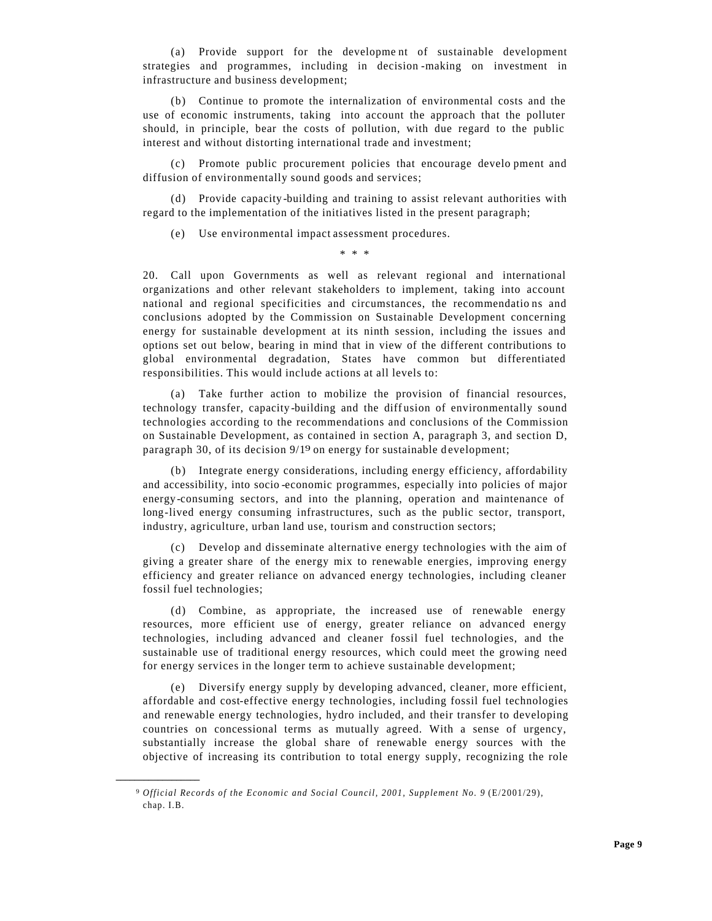(a) Provide support for the developme nt of sustainable development strategies and programmes, including in decision -making on investment in infrastructure and business development;

(b) Continue to promote the internalization of environmental costs and the use of economic instruments, taking into account the approach that the polluter should, in principle, bear the costs of pollution, with due regard to the public interest and without distorting international trade and investment;

(c) Promote public procurement policies that encourage develo pment and diffusion of environmentally sound goods and services;

(d) Provide capacity -building and training to assist relevant authorities with regard to the implementation of the initiatives listed in the present paragraph;

(e) Use environmental impact assessment procedures.

\* \* \*

20. Call upon Governments as well as relevant regional and international organizations and other relevant stakeholders to implement, taking into account national and regional specificities and circumstances, the recommendatio ns and conclusions adopted by the Commission on Sustainable Development concerning energy for sustainable development at its ninth session, including the issues and options set out below, bearing in mind that in view of the different contributions to global environmental degradation, States have common but differentiated responsibilities. This would include actions at all levels to:

(a) Take further action to mobilize the provision of financial resources, technology transfer, capacity -building and the diff usion of environmentally sound technologies according to the recommendations and conclusions of the Commission on Sustainable Development, as contained in section A, paragraph 3, and section D, paragraph 30, of its decision 9/19 on energy for sustainable development;

(b) Integrate energy considerations, including energy efficiency, affordability and accessibility, into socio -economic programmes, especially into policies of major energy -consuming sectors, and into the planning, operation and maintenance of long-lived energy consuming infrastructures, such as the public sector, transport, industry, agriculture, urban land use, tourism and construction sectors;

(c) Develop and disseminate alternative energy technologies with the aim of giving a greater share of the energy mix to renewable energies, improving energy efficiency and greater reliance on advanced energy technologies, including cleaner fossil fuel technologies;

(d) Combine, as appropriate, the increased use of renewable energy resources, more efficient use of energy, greater reliance on advanced energy technologies, including advanced and cleaner fossil fuel technologies, and the sustainable use of traditional energy resources, which could meet the growing need for energy services in the longer term to achieve sustainable development;

(e) Diversify energy supply by developing advanced, cleaner, more efficient, affordable and cost-effective energy technologies, including fossil fuel technologies and renewable energy technologies, hydro included, and their transfer to developing countries on concessional terms as mutually agreed. With a sense of urgency, substantially increase the global share of renewable energy sources with the objective of increasing its contribution to total energy supply, recognizing the role

<sup>&</sup>lt;sup>9</sup> Official Records of the Economic and Social Council, 2001, Supplement No. 9 (E/2001/29), chap. I.B.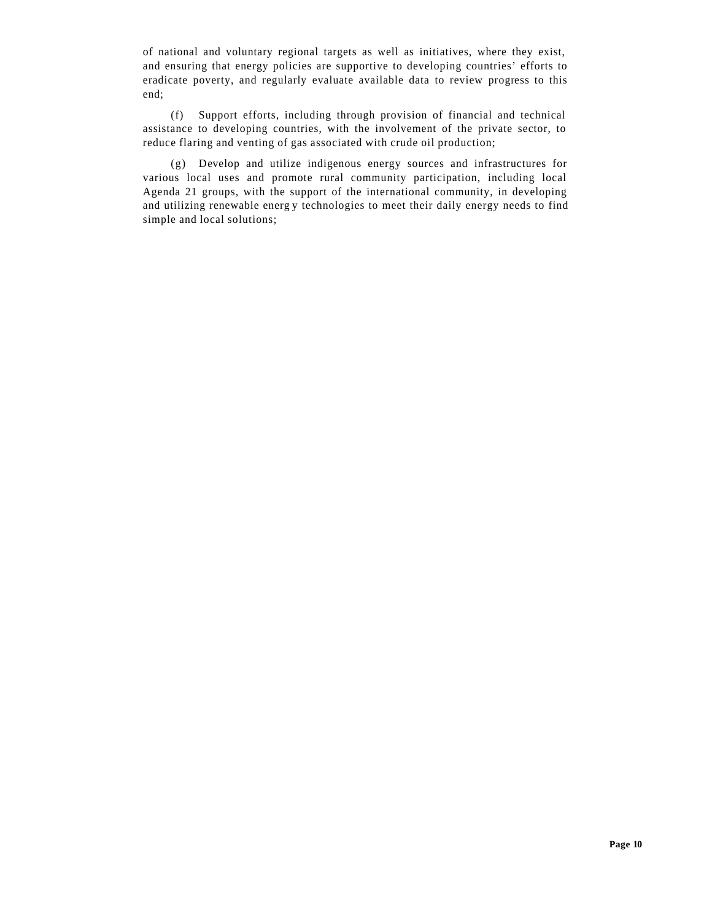of national and voluntary regional targets as well as initiatives, where they exist, and ensuring that energy policies are supportive to developing countries' efforts to eradicate poverty, and regularly evaluate available data to review progress to this end;

(f) Support efforts, including through provision of financial and technical assistance to developing countries, with the involvement of the private sector, to reduce flaring and venting of gas associated with crude oil production;

(g) Develop and utilize indigenous energy sources and infrastructures for various local uses and promote rural community participation, including local Agenda 21 groups, with the support of the international community, in developing and utilizing renewable energ y technologies to meet their daily energy needs to find simple and local solutions;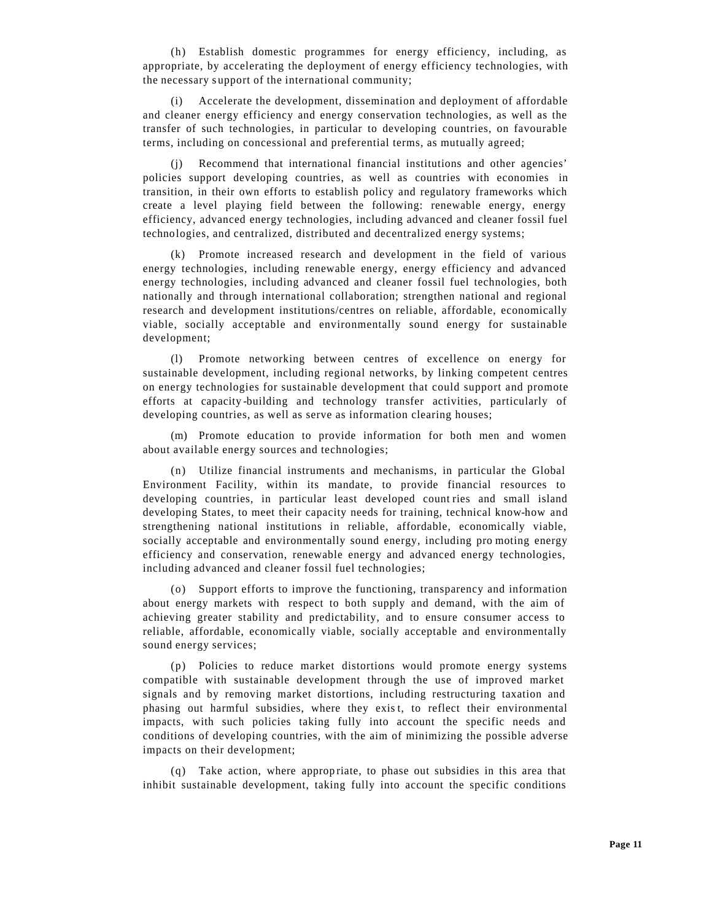(h) Establish domestic programmes for energy efficiency, including, as appropriate, by accelerating the deployment of energy efficiency technologies, with the necessary s upport of the international community;

Accelerate the development, dissemination and deployment of affordable and cleaner energy efficiency and energy conservation technologies, as well as the transfer of such technologies, in particular to developing countries, on favourable terms, including on concessional and preferential terms, as mutually agreed;

(j) Recommend that international financial institutions and other agencies' policies support developing countries, as well as countries with economies in transition, in their own efforts to establish policy and regulatory frameworks which create a level playing field between the following: renewable energy, energy efficiency, advanced energy technologies, including advanced and cleaner fossil fuel techno logies, and centralized, distributed and decentralized energy systems;

(k) Promote increased research and development in the field of various energy technologies, including renewable energy, energy efficiency and advanced energy technologies, including advanced and cleaner fossil fuel technologies, both nationally and through international collaboration; strengthen national and regional research and development institutions/centres on reliable, affordable, economically viable, socially acceptable and environmentally sound energy for sustainable development;

(l) Promote networking between centres of excellence on energy for sustainable development, including regional networks, by linking competent centres on energy technologies for sustainable development that could support and promote efforts at capacity -building and technology transfer activities, particularly of developing countries, as well as serve as information clearing houses;

(m) Promote education to provide information for both men and women about available energy sources and technologies;

(n) Utilize financial instruments and mechanisms, in particular the Global Environment Facility, within its mandate, to provide financial resources to developing countries, in particular least developed count ries and small island developing States, to meet their capacity needs for training, technical know-how and strengthening national institutions in reliable, affordable, economically viable, socially acceptable and environmentally sound energy, including pro moting energy efficiency and conservation, renewable energy and advanced energy technologies, including advanced and cleaner fossil fuel technologies;

(o) Support efforts to improve the functioning, transparency and information about energy markets with respect to both supply and demand, with the aim of achieving greater stability and predictability, and to ensure consumer access to reliable, affordable, economically viable, socially acceptable and environmentally sound energy services;

(p) Policies to reduce market distortions would promote energy systems compatible with sustainable development through the use of improved market signals and by removing market distortions, including restructuring taxation and phasing out harmful subsidies, where they exis t, to reflect their environmental impacts, with such policies taking fully into account the specific needs and conditions of developing countries, with the aim of minimizing the possible adverse impacts on their development;

(q) Take action, where approp riate, to phase out subsidies in this area that inhibit sustainable development, taking fully into account the specific conditions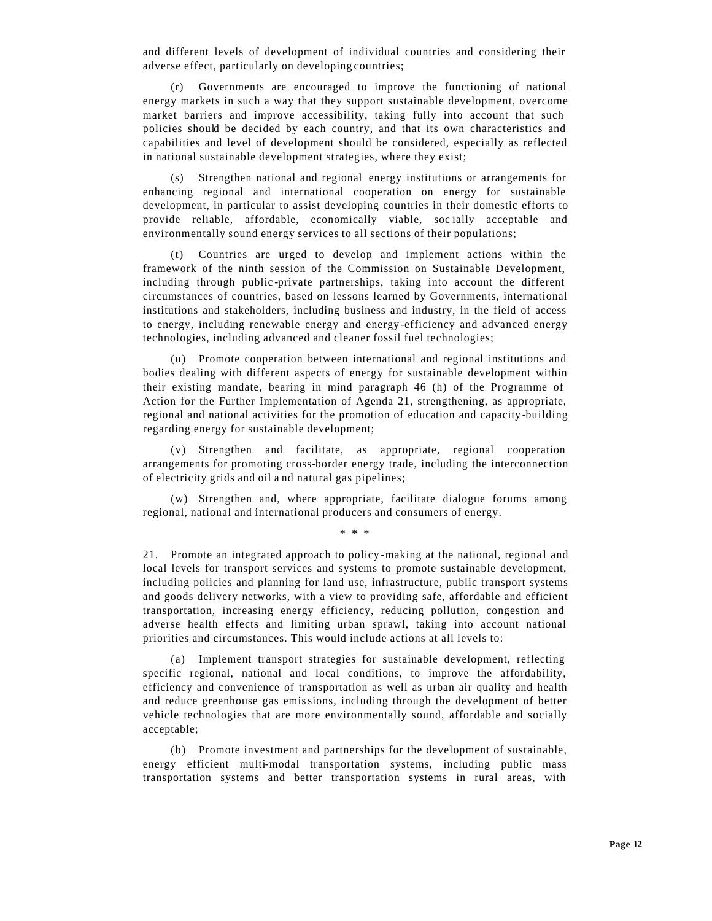and different levels of development of individual countries and considering their adverse effect, particularly on developing countries;

(r) Governments are encouraged to improve the functioning of national energy markets in such a way that they support sustainable development, overcome market barriers and improve accessibility, taking fully into account that such policies should be decided by each country, and that its own characteristics and capabilities and level of development should be considered, especially as reflected in national sustainable development strategies, where they exist;

(s) Strengthen national and regional energy institutions or arrangements for enhancing regional and international cooperation on energy for sustainable development, in particular to assist developing countries in their domestic efforts to provide reliable, affordable, economically viable, soc ially acceptable and environmentally sound energy services to all sections of their populations;

(t) Countries are urged to develop and implement actions within the framework of the ninth session of the Commission on Sustainable Development, including through public -private partnerships, taking into account the different circumstances of countries, based on lessons learned by Governments, international institutions and stakeholders, including business and industry, in the field of access to energy, including renewable energy and energy -efficiency and advanced energy technologies, including advanced and cleaner fossil fuel technologies;

(u) Promote cooperation between international and regional institutions and bodies dealing with different aspects of energy for sustainable development within their existing mandate, bearing in mind paragraph 46 (h) of the Programme of Action for the Further Implementation of Agenda 21, strengthening, as appropriate, regional and national activities for the promotion of education and capacity -building regarding energy for sustainable development;

(v) Strengthen and facilitate, as appropriate, regional cooperation arrangements for promoting cross-border energy trade, including the interconnection of electricity grids and oil a nd natural gas pipelines;

(w) Strengthen and, where appropriate, facilitate dialogue forums among regional, national and international producers and consumers of energy.

\* \* \*

21. Promote an integrated approach to policy -making at the national, regiona l and local levels for transport services and systems to promote sustainable development, including policies and planning for land use, infrastructure, public transport systems and goods delivery networks, with a view to providing safe, affordable and efficient transportation, increasing energy efficiency, reducing pollution, congestion and adverse health effects and limiting urban sprawl, taking into account national priorities and circumstances. This would include actions at all levels to:

(a) Implement transport strategies for sustainable development, reflecting specific regional, national and local conditions, to improve the affordability, efficiency and convenience of transportation as well as urban air quality and health and reduce greenhouse gas emissions, including through the development of better vehicle technologies that are more environmentally sound, affordable and socially acceptable;

(b) Promote investment and partnerships for the development of sustainable, energy efficient multi-modal transportation systems, including public mass transportation systems and better transportation systems in rural areas, with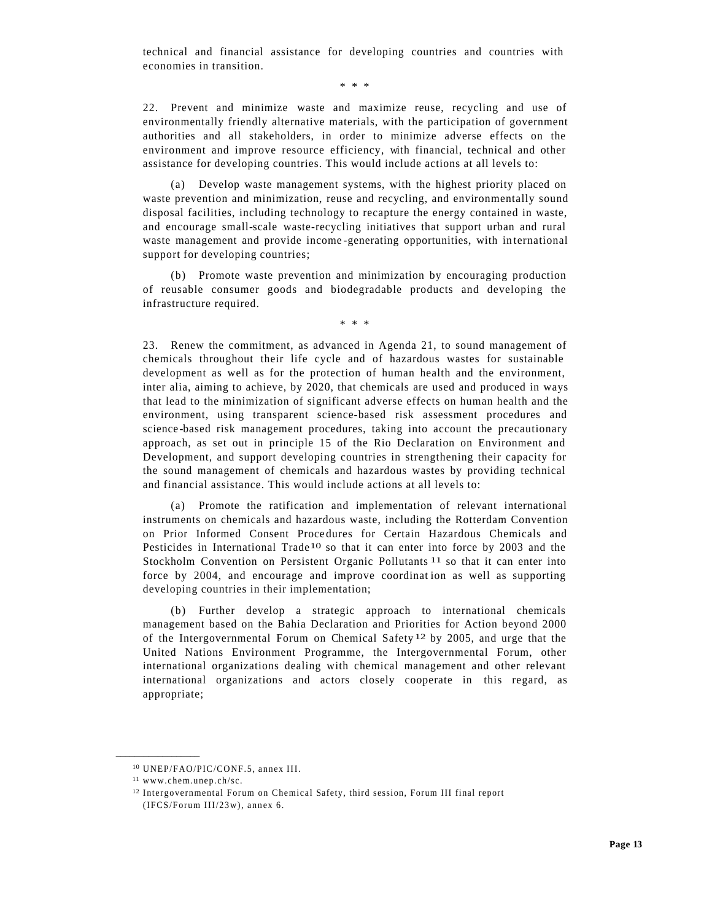technical and financial assistance for developing countries and countries with economies in transition.

\* \* \*

22. Prevent and minimize waste and maximize reuse, recycling and use of environmentally friendly alternative materials, with the participation of government authorities and all stakeholders, in order to minimize adverse effects on the environment and improve resource efficiency, with financial, technical and other assistance for developing countries. This would include actions at all levels to:

(a) Develop waste management systems, with the highest priority placed on waste prevention and minimization, reuse and recycling, and environmentally sound disposal facilities, including technology to recapture the energy contained in waste, and encourage small-scale waste-recycling initiatives that support urban and rural waste management and provide income -generating opportunities, with in ternational support for developing countries;

(b) Promote waste prevention and minimization by encouraging production of reusable consumer goods and biodegradable products and developing the infrastructure required.

\* \* \*

23. Renew the commitment, as advanced in Agenda 21, to sound management of chemicals throughout their life cycle and of hazardous wastes for sustainable development as well as for the protection of human health and the environment, inter alia, aiming to achieve, by 2020, that chemicals are used and produced in ways that lead to the minimization of significant adverse effects on human health and the environment, using transparent science-based risk assessment procedures and science -based risk management procedures, taking into account the precautionary approach, as set out in principle 15 of the Rio Declaration on Environment and Development, and support developing countries in strengthening their capacity for the sound management of chemicals and hazardous wastes by providing technical and financial assistance. This would include actions at all levels to:

(a) Promote the ratification and implementation of relevant international instruments on chemicals and hazardous waste, including the Rotterdam Convention on Prior Informed Consent Proce dures for Certain Hazardous Chemicals and Pesticides in International Trade10 so that it can enter into force by 2003 and the Stockholm Convention on Persistent Organic Pollutants 11 so that it can enter into force by 2004, and encourage and improve coordinat ion as well as supporting developing countries in their implementation;

(b) Further develop a strategic approach to international chemicals management based on the Bahia Declaration and Priorities for Action beyond 2000 of the Intergovernmental Forum on Chemical Safety 12 by 2005, and urge that the United Nations Environment Programme, the Intergovernmental Forum, other international organizations dealing with chemical management and other relevant international organizations and actors closely cooperate in this regard, as appropriate;

<sup>10</sup> UNEP/FAO/PIC/CONF.5, annex III.

<sup>11</sup> www.chem.unep.ch/sc.

<sup>12</sup> Intergovernmental Forum on Chemical Safety, third session, Forum III final report (IFCS/Forum III/23w), annex 6.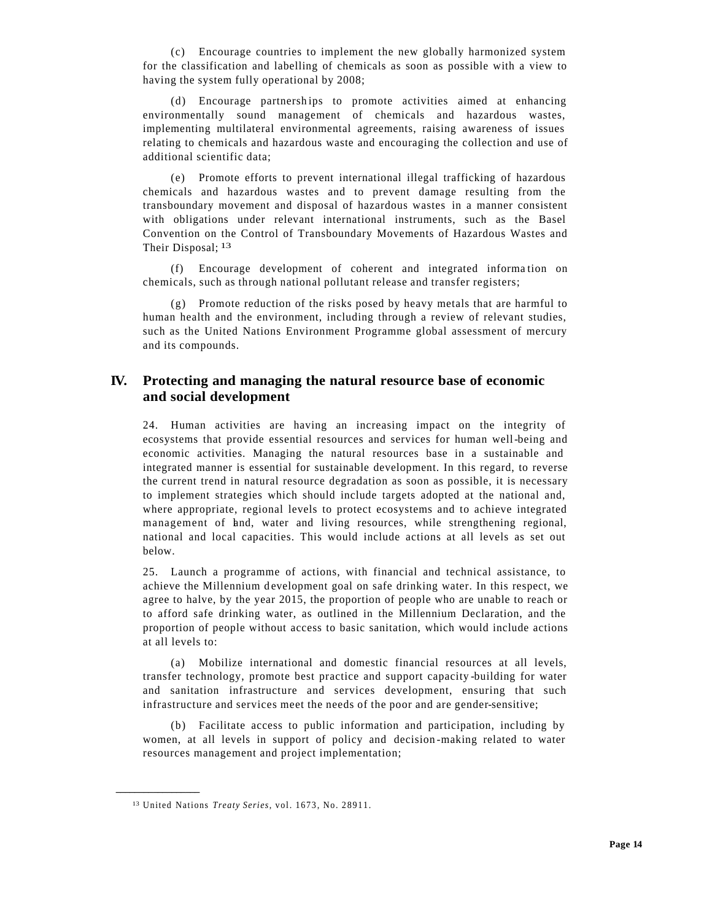(c) Encourage countries to implement the new globally harmonized system for the classification and labelling of chemicals as soon as possible with a view to having the system fully operational by 2008;

(d) Encourage partnerships to promote activities aimed at enhancing environmentally sound management of chemicals and hazardous wastes, implementing multilateral environmental agreements, raising awareness of issues relating to chemicals and hazardous waste and encouraging the collection and use of additional scientific data;

(e) Promote efforts to prevent international illegal trafficking of hazardous chemicals and hazardous wastes and to prevent damage resulting from the transboundary movement and disposal of hazardous wastes in a manner consistent with obligations under relevant international instruments, such as the Basel Convention on the Control of Transboundary Movements of Hazardous Wastes and Their Disposal; 13

(f) Encourage development of coherent and integrated informa tion on chemicals, such as through national pollutant release and transfer registers;

(g) Promote reduction of the risks posed by heavy metals that are harmful to human health and the environment, including through a review of relevant studies, such as the United Nations Environment Programme global assessment of mercury and its compounds.

# **IV. Protecting and managing the natural resource base of economic and social development**

24. Human activities are having an increasing impact on the integrity of ecosystems that provide essential resources and services for human well-being and economic activities. Managing the natural resources base in a sustainable and integrated manner is essential for sustainable development. In this regard, to reverse the current trend in natural resource degradation as soon as possible, it is necessary to implement strategies which should include targets adopted at the national and, where appropriate, regional levels to protect ecosystems and to achieve integrated management of land, water and living resources, while strengthening regional, national and local capacities. This would include actions at all levels as set out below.

25. Launch a programme of actions, with financial and technical assistance, to achieve the Millennium development goal on safe drinking water. In this respect, we agree to halve, by the year 2015, the proportion of people who are unable to reach or to afford safe drinking water, as outlined in the Millennium Declaration, and the proportion of people without access to basic sanitation, which would include actions at all levels to:

(a) Mobilize international and domestic financial resources at all levels, transfer technology, promote best practice and support capacity -building for water and sanitation infrastructure and services development, ensuring that such infrastructure and services meet the needs of the poor and are gender-sensitive;

(b) Facilitate access to public information and participation, including by women, at all levels in support of policy and decision -making related to water resources management and project implementation;

<sup>13</sup> United Nations *Treaty Series*, vol. 1673, No. 28911.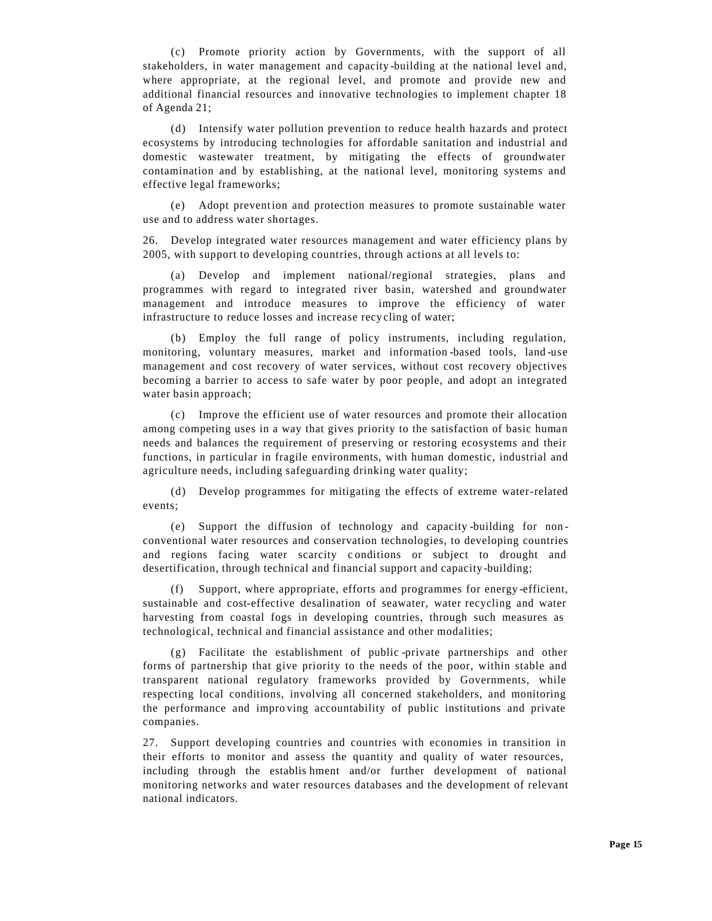(c) Promote priority action by Governments, with the support of all stakeholders, in water management and capacity -building at the national level and, where appropriate, at the regional level, and promote and provide new and additional financial resources and innovative technologies to implement chapter 18 of Agenda 21;

(d) Intensify water pollution prevention to reduce health hazards and protect ecosystems by introducing technologies for affordable sanitation and industrial and domestic wastewater treatment, by mitigating the effects of groundwater contamination and by establishing, at the national level, monitoring systems and effective legal frameworks;

(e) Adopt prevention and protection measures to promote sustainable water use and to address water shortages.

26. Develop integrated water resources management and water efficiency plans by 2005, with support to developing countries, through actions at all levels to:

(a) Develop and implement national/regional strategies, plans and programmes with regard to integrated river basin, watershed and groundwater management and introduce measures to improve the efficiency of water infrastructure to reduce losses and increase recy cling of water;

(b) Employ the full range of policy instruments, including regulation, monitoring, voluntary measures, market and information -based tools, land -use management and cost recovery of water services, without cost recovery objectives becoming a barrier to access to safe water by poor people, and adopt an integrated water basin approach;

(c) Improve the efficient use of water resources and promote their allocation among competing uses in a way that gives priority to the satisfaction of basic human needs and balances the requirement of preserving or restoring ecosystems and their functions, in particular in fragile environments, with human domestic, industrial and agriculture needs, including safeguarding drinking water quality;

(d) Develop programmes for mitigating the effects of extreme water-related events;

(e) Support the diffusion of technology and capacity -building for non conventional water resources and conservation technologies, to developing countries and regions facing water scarcity c onditions or subject to drought and desertification, through technical and financial support and capacity -building;

(f) Support, where appropriate, efforts and programmes for energy -efficient, sustainable and cost-effective desalination of seawater, water recycling and water harvesting from coastal fogs in developing countries, through such measures as technological, technical and financial assistance and other modalities;

(g) Facilitate the establishment of public -private partnerships and other forms of partnership that give priority to the needs of the poor, within stable and transparent national regulatory frameworks provided by Governments, while respecting local conditions, involving all concerned stakeholders, and monitoring the performance and impro ving accountability of public institutions and private companies.

27. Support developing countries and countries with economies in transition in their efforts to monitor and assess the quantity and quality of water resources, including through the establis hment and/or further development of national monitoring networks and water resources databases and the development of relevant national indicators.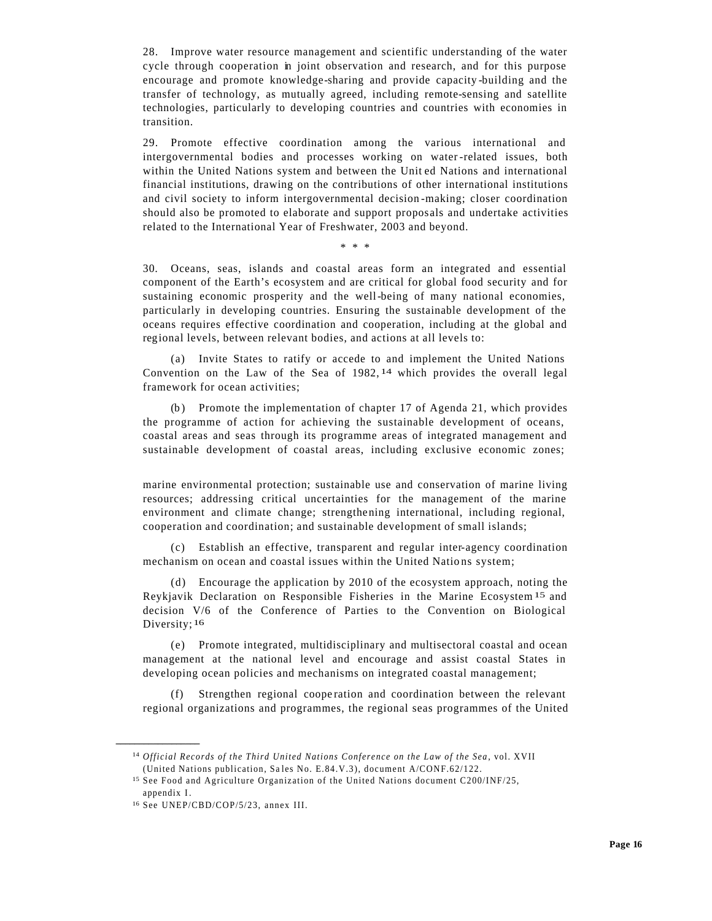28. Improve water resource management and scientific understanding of the water cycle through cooperation in joint observation and research, and for this purpose encourage and promote knowledge-sharing and provide capacity -building and the transfer of technology, as mutually agreed, including remote-sensing and satellite technologies, particularly to developing countries and countries with economies in transition.

29. Promote effective coordination among the various international and intergovernmental bodies and processes working on water -related issues, both within the United Nations system and between the Unit ed Nations and international financial institutions, drawing on the contributions of other international institutions and civil society to inform intergovernmental decision -making; closer coordination should also be promoted to elaborate and support proposals and undertake activities related to the International Year of Freshwater, 2003 and beyond*.*

*\* \* \**

30*.* Oceans, seas, islands and coastal areas form an integrated and essential component of the Earth's ecosystem and are critical for global food security and for sustaining economic prosperity and the well-being of many national economies, particularly in developing countries. Ensuring the sustainable development of the oceans requires effective coordination and cooperation, including at the global and regional levels, between relevant bodies, and actions at all levels to:

(a) Invite States to ratify or accede to and implement the United Nations Convention on the Law of the Sea of 1982, 14 which provides the overall legal framework for ocean activities;

(b) Promote the implementation of chapter 17 of Agenda 21, which provides the programme of action for achieving the sustainable development of oceans, coastal areas and seas through its programme areas of integrated management and sustainable development of coastal areas, including exclusive economic zones;

marine environmental protection; sustainable use and conservation of marine living resources; addressing critical uncertainties for the management of the marine environment and climate change; strengthening international, including regional, cooperation and coordination; and sustainable development of small islands;

(c) Establish an effective, transparent and regular inter-agency coordination mechanism on ocean and coastal issues within the United Natio ns system;

(d) Encourage the application by 2010 of the ecosystem approach, noting the Reykjavik Declaration on Responsible Fisheries in the Marine Ecosystem 15 and decision V/6 of the Conference of Parties to the Convention on Biological Diversity; 16

(e) Promote integrated, multidisciplinary and multisectoral coastal and ocean management at the national level and encourage and assist coastal States in developing ocean policies and mechanisms on integrated coastal management;

(f) Strengthen regional coope ration and coordination between the relevant regional organizations and programmes, the regional seas programmes of the United

<sup>14</sup> *Official Records of the Third United Nations Conference on the Law of the Sea* , vol. XVII (United Nations publication, Sa les No. E.84.V.3), document A/CONF.62/122.

<sup>15</sup> See Food and Agriculture Organization of the United Nations document C200/INF/25, appendix I .

<sup>16</sup> See UNEP/CBD/COP/5/23, annex III.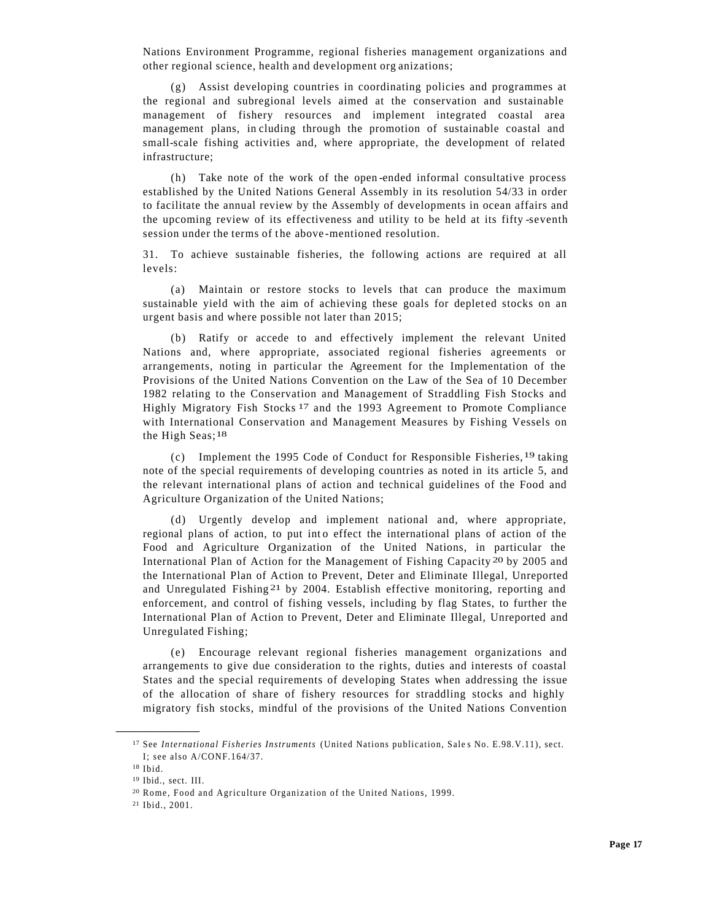Nations Environment Programme, regional fisheries management organizations and other regional science, health and development org anizations;

(g) Assist developing countries in coordinating policies and programmes at the regional and subregional levels aimed at the conservation and sustainable management of fishery resources and implement integrated coastal area management plans, in cluding through the promotion of sustainable coastal and small-scale fishing activities and, where appropriate, the development of related infrastructure;

(h) Take note of the work of the open -ended informal consultative process established by the United Nations General Assembly in its resolution 54/33 in order to facilitate the annual review by the Assembly of developments in ocean affairs and the upcoming review of its effectiveness and utility to be held at its fifty -seventh session under the terms of the above-mentioned resolution.

31. To achieve sustainable fisheries, the following actions are required at all levels:

(a) Maintain or restore stocks to levels that can produce the maximum sustainable yield with the aim of achieving these goals for depleted stocks on an urgent basis and where possible not later than 2015;

(b) Ratify or accede to and effectively implement the relevant United Nations and, where appropriate, associated regional fisheries agreements or arrangements, noting in particular the Agreement for the Implementation of the Provisions of the United Nations Convention on the Law of the Sea of 10 December 1982 relating to the Conservation and Management of Straddling Fish Stocks and Highly Migratory Fish Stocks 17 and the 1993 Agreement to Promote Compliance with International Conservation and Management Measures by Fishing Vessels on the High Seas;18

(c) Implement the 1995 Code of Conduct for Responsible Fisheries,19 taking note of the special requirements of developing countries as noted in its article 5, and the relevant international plans of action and technical guidelines of the Food and Agriculture Organization of the United Nations;

(d) Urgently develop and implement national and, where appropriate, regional plans of action, to put into effect the international plans of action of the Food and Agriculture Organization of the United Nations, in particular the International Plan of Action for the Management of Fishing Capacity 20 by 2005 and the International Plan of Action to Prevent, Deter and Eliminate Illegal, Unreported and Unregulated Fishing 21 by 2004. Establish effective monitoring, reporting and enforcement, and control of fishing vessels, including by flag States, to further the International Plan of Action to Prevent, Deter and Eliminate Illegal, Unreported and Unregulated Fishing;

(e) Encourage relevant regional fisheries management organizations and arrangements to give due consideration to the rights, duties and interests of coastal States and the special requirements of developing States when addressing the issue of the allocation of share of fishery resources for straddling stocks and highly migratory fish stocks, mindful of the provisions of the United Nations Convention

<sup>17</sup> See *International Fisheries Instruments* (United Nations publication, Sale s No. E.98.V.11), sect. I; see also A/CONF.164/37.

<sup>18</sup> Ibid.

<sup>19</sup> Ibid., sect. III.

<sup>20</sup> Rome, Food and Agriculture Organization of the United Nations, 1999.

<sup>21</sup> Ibid., 2001.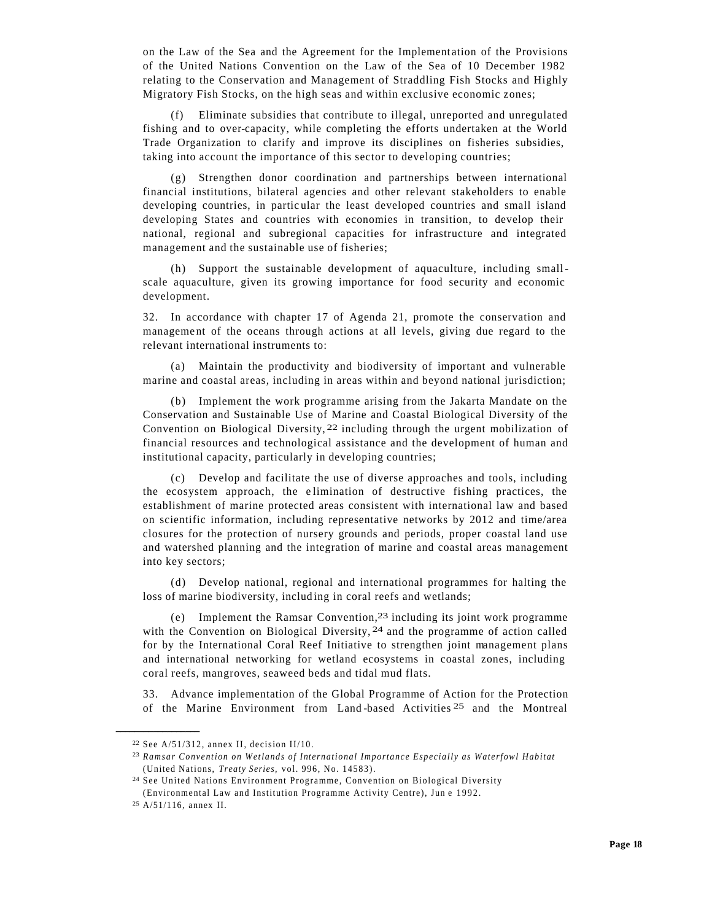on the Law of the Sea and the Agreement for the Implement ation of the Provisions of the United Nations Convention on the Law of the Sea of 10 December 1982 relating to the Conservation and Management of Straddling Fish Stocks and Highly Migratory Fish Stocks, on the high seas and within exclusive economic zones;

(f) Eliminate subsidies that contribute to illegal, unreported and unregulated fishing and to over-capacity, while completing the efforts undertaken at the World Trade Organization to clarify and improve its disciplines on fisheries subsidies, taking into account the importance of this sector to developing countries;

(g) Strengthen donor coordination and partnerships between international financial institutions, bilateral agencies and other relevant stakeholders to enable developing countries, in partic ular the least developed countries and small island developing States and countries with economies in transition, to develop their national, regional and subregional capacities for infrastructure and integrated management and the sustainable use of fisheries;

(h) Support the sustainable development of aquaculture, including smallscale aquaculture, given its growing importance for food security and economic development.

32. In accordance with chapter 17 of Agenda 21, promote the conservation and manageme nt of the oceans through actions at all levels, giving due regard to the relevant international instruments to:

(a) Maintain the productivity and biodiversity of important and vulnerable marine and coastal areas, including in areas within and beyond national jurisdiction;

(b) Implement the work programme arising from the Jakarta Mandate on the Conservation and Sustainable Use of Marine and Coastal Biological Diversity of the Convention on Biological Diversity, 22 including through the urgent mobilization of financial resources and technological assistance and the development of human and institutional capacity, particularly in developing countries;

(c) Develop and facilitate the use of diverse approaches and tools, including the ecosystem approach, the e limination of destructive fishing practices, the establishment of marine protected areas consistent with international law and based on scientific information, including representative networks by 2012 and time/area closures for the protection of nursery grounds and periods, proper coastal land use and watershed planning and the integration of marine and coastal areas management into key sectors;

(d) Develop national, regional and international programmes for halting the loss of marine biodiversity, including in coral reefs and wetlands;

(e) Implement the Ramsar Convention,23 including its joint work programme with the Convention on Biological Diversity, 24 and the programme of action called for by the International Coral Reef Initiative to strengthen joint management plans and international networking for wetland ecosystems in coastal zones, including coral reefs, mangroves, seaweed beds and tidal mud flats.

33. Advance implementation of the Global Programme of Action for the Protection of the Marine Environment from Land -based Activities 25 and the Montreal

<sup>&</sup>lt;sup>22</sup> See A/51/312, annex II, decision II/10.

<sup>23</sup> *Ramsar Convention on Wetlands of International Importance Especially as Waterfowl Habitat*  (United Nations, *Treaty Series,* vol. 996, No. 14583).

<sup>24</sup> See United Nations Environment Programme, Convention on Biological Diversity

<sup>(</sup>Environmental Law and Institution Programme Activity Centre), Jun e 1992.

<sup>25</sup> A/51/116, annex II.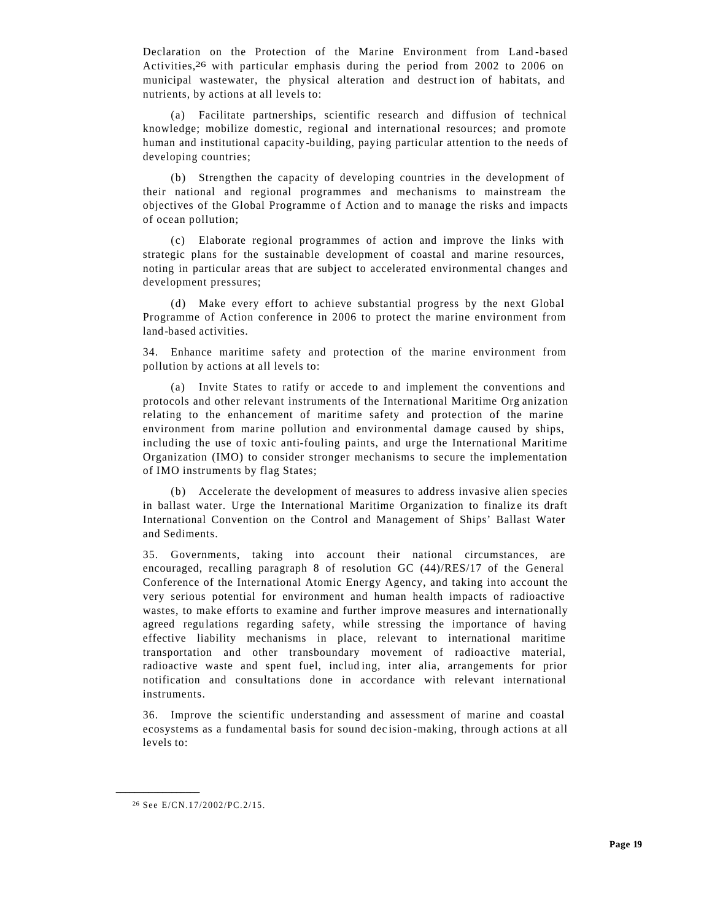Declaration on the Protection of the Marine Environment from Land -based Activities,26 with particular emphasis during the period from 2002 to 2006 on municipal wastewater, the physical alteration and destruct ion of habitats, and nutrients, by actions at all levels to:

(a) Facilitate partnerships, scientific research and diffusion of technical knowledge; mobilize domestic, regional and international resources; and promote human and institutional capacity -building, paying particular attention to the needs of developing countries;

(b) Strengthen the capacity of developing countries in the development of their national and regional programmes and mechanisms to mainstream the objectives of the Global Programme of Action and to manage the risks and impacts of ocean pollution;

(c) Elaborate regional programmes of action and improve the links with strategic plans for the sustainable development of coastal and marine resources, noting in particular areas that are subject to accelerated environmental changes and development pressures;

(d) Make every effort to achieve substantial progress by the next Global Programme of Action conference in 2006 to protect the marine environment from land -based activities.

34. Enhance maritime safety and protection of the marine environment from pollution by actions at all levels to:

(a) Invite States to ratify or accede to and implement the conventions and protocols and other relevant instruments of the International Maritime Org anization relating to the enhancement of maritime safety and protection of the marine environment from marine pollution and environmental damage caused by ships, including the use of toxic anti-fouling paints, and urge the International Maritime Organization (IMO) to consider stronger mechanisms to secure the implementation of IMO instruments by flag States;

(b) Accelerate the development of measures to address invasive alien species in ballast water. Urge the International Maritime Organization to finalize its draft International Convention on the Control and Management of Ships' Ballast Water and Sediments.

35. Governments, taking into account their national circumstances, are encouraged, recalling paragraph 8 of resolution GC (44)/RES/17 of the General Conference of the International Atomic Energy Agency, and taking into account the very serious potential for environment and human health impacts of radioactive wastes, to make efforts to examine and further improve measures and internationally agreed regulations regarding safety, while stressing the importance of having effective liability mechanisms in place, relevant to international maritime transportation and other transboundary movement of radioactive material, radioactive waste and spent fuel, includ ing, inter alia, arrangements for prior notification and consultations done in accordance with relevant international instruments.

36. Improve the scientific understanding and assessment of marine and coastal ecosystems as a fundamental basis for sound dec ision-making, through actions at all levels to:

<sup>26</sup> See E/CN.17/2002/PC.2/15.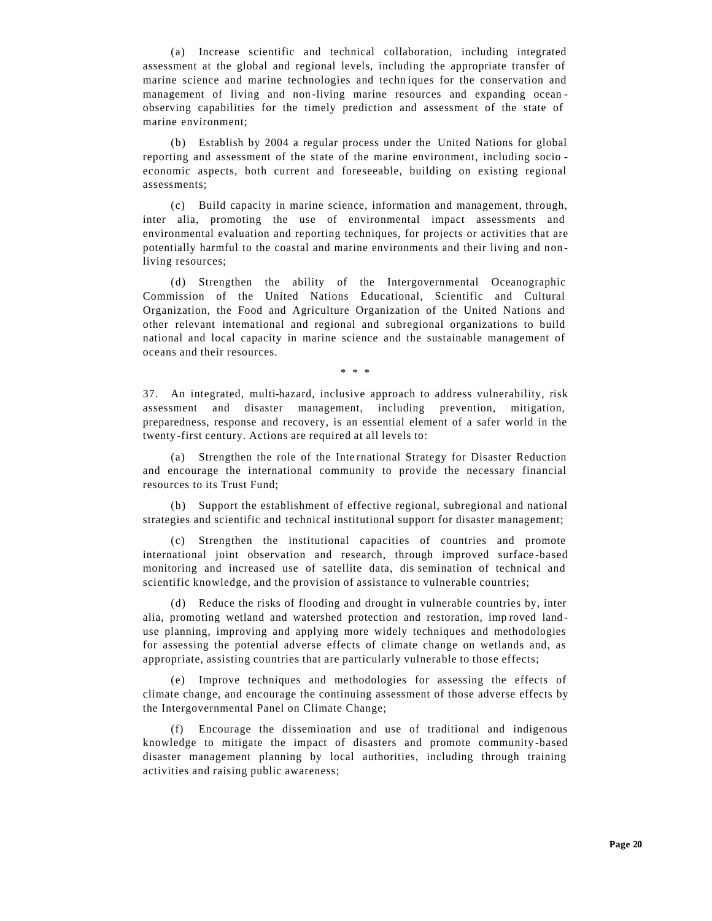(a) Increase scientific and technical collaboration, including integrated assessment at the global and regional levels, including the appropriate transfer of marine science and marine technologies and techn iques for the conservation and management of living and non -living marine resources and expanding ocean observing capabilities for the timely prediction and assessment of the state of marine environment;

(b) Establish by 2004 a regular process under the United Nations for global reporting and assessment of the state of the marine environment, including socio economic aspects, both current and foreseeable, building on existing regional assessments;

(c) Build capacity in marine science, information and management, through, inter alia, promoting the use of environmental impact assessments and environmental evaluation and reporting techniques, for projects or activities that are potentially harmful to the coastal and marine environments and their living and non living resources;

(d) Strengthen the ability of the Intergovernmental Oceanographic Commission of the United Nations Educational, Scientific and Cultural Organization, the Food and Agriculture Organization of the United Nations and other relevant international and regional and subregional organizations to build national and local capacity in marine science and the sustainable management of oceans and their resources.

*\* \* \**

37. An integrated, multi-hazard, inclusive approach to address vulnerability, risk assessment and disaster management, including prevention, mitigation, preparedness, response and recovery, is an essential element of a safer world in the twenty -first century. Actions are required at all levels to:

(a) Strengthen the role of the Inte rnational Strategy for Disaster Reduction and encourage the international community to provide the necessary financial resources to its Trust Fund;

(b) Support the establishment of effective regional, subregional and national strategies and scientific and technical institutional support for disaster management;

(c) Strengthen the institutional capacities of countries and promote international joint observation and research, through improved surface -based monitoring and increased use of satellite data, dis semination of technical and scientific knowledge, and the provision of assistance to vulnerable countries;

(d) Reduce the risks of flooding and drought in vulnerable countries by, inter alia, promoting wetland and watershed protection and restoration, imp roved land use planning, improving and applying more widely techniques and methodologies for assessing the potential adverse effects of climate change on wetlands and, as appropriate, assisting countries that are particularly vulnerable to those effects;

(e) Improve techniques and methodologies for assessing the effects of climate change, and encourage the continuing assessment of those adverse effects by the Intergovernmental Panel on Climate Change;

(f) Encourage the dissemination and use of traditional and indigenous knowledge to mitigate the impact of disasters and promote community -based disaster management planning by local authorities, including through training activities and raising public awareness;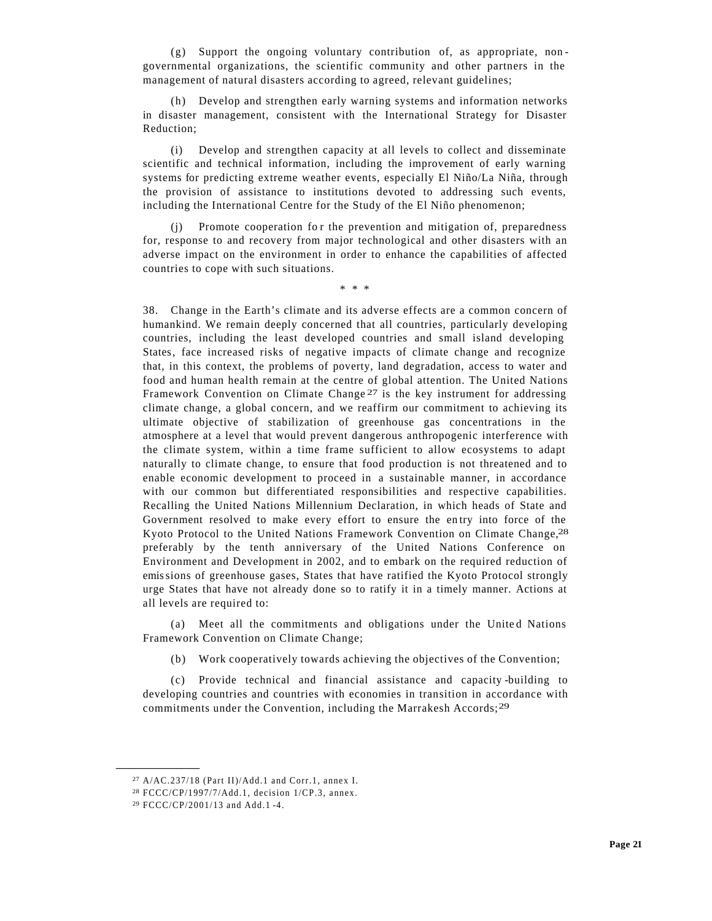(g) Support the ongoing voluntary contribution of, as appropriate, non governmental organizations, the scientific community and other partners in the management of natural disasters according to agreed, relevant guidelines;

(h) Develop and strengthen early warning systems and information networks in disaster management, consistent with the International Strategy for Disaster Reduction;

(i) Develop and strengthen capacity at all levels to collect and disseminate scientific and technical information, including the improvement of early warning systems for predicting extreme weather events, especially El Niño/La Niña, through the provision of assistance to institutions devoted to addressing such events, including the International Centre for the Study of the El Niño phenomenon;

Promote cooperation for the prevention and mitigation of, preparedness for, response to and recovery from major technological and other disasters with an adverse impact on the environment in order to enhance the capabilities of affected countries to cope with such situations.

\* \* \*

38. Change in the Earth's climate and its adverse effects are a common concern of humankind. We remain deeply concerned that all countries, particularly developing countries, including the least developed countries and small island developing States, face increased risks of negative impacts of climate change and recognize that, in this context, the problems of poverty, land degradation, access to water and food and human health remain at the centre of global attention. The United Nations Framework Convention on Climate Change 27 is the key instrument for addressing climate change, a global concern, and we reaffirm our commitment to achieving its ultimate objective of stabilization of greenhouse gas concentrations in the atmosphere at a level that would prevent dangerous anthropogenic interference with the climate system, within a time frame sufficient to allow ecosystems to adapt naturally to climate change, to ensure that food production is not threatened and to enable economic development to proceed in a sustainable manner, in accordance with our common but differentiated responsibilities and respective capabilities. Recalling the United Nations Millennium Declaration, in which heads of State and Government resolved to make every effort to ensure the en try into force of the Kyoto Protocol to the United Nations Framework Convention on Climate Change,28 preferably by the tenth anniversary of the United Nations Conference on Environment and Development in 2002, and to embark on the required reduction of emissions of greenhouse gases, States that have ratified the Kyoto Protocol strongly urge States that have not already done so to ratify it in a timely manner. Actions at all levels are required to:

(a) Meet all the commitments and obligations under the United Nations Framework Convention on Climate Change;

(b) Work cooperatively towards achieving the objectives of the Convention;

(c) Provide technical and financial assistance and capacity -building to developing countries and countries with economies in transition in accordance with commitments under the Convention, including the Marrakesh Accords;29

<sup>27</sup> A/AC.237/18 (Part II)/Add.1 and Corr.1, annex I.

<sup>28</sup> FCCC/CP/1997/7/Add.1, decision 1/CP.3, annex.

<sup>29</sup> FCCC/CP/2001/13 and Add.1 -4 .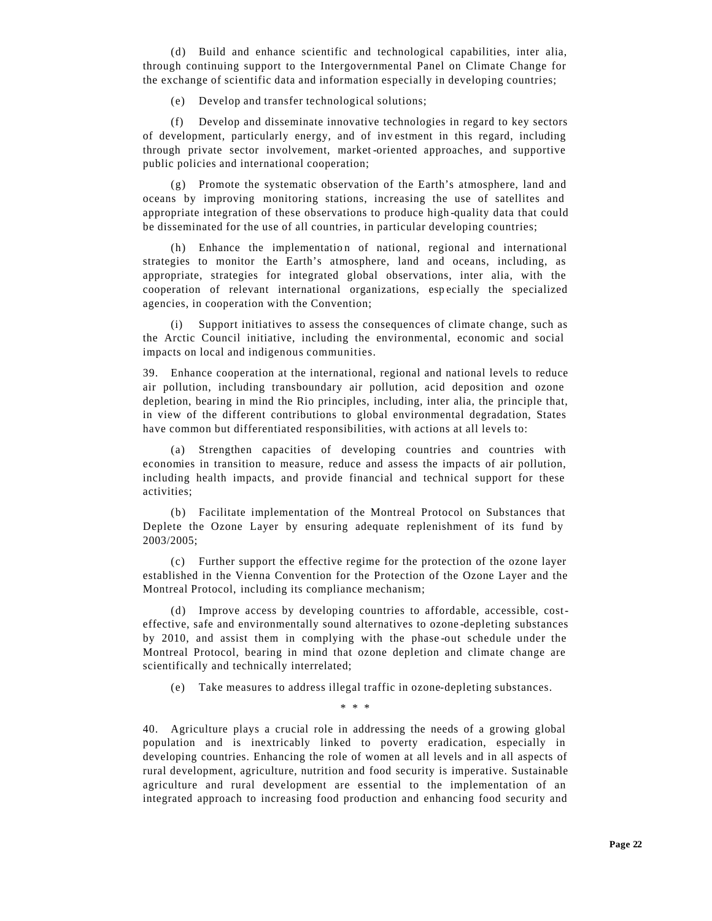(d) Build and enhance scientific and technological capabilities, inter alia, through continuing support to the Intergovernmental Panel on Climate Change for the exchange of scientific data and information especially in developing countries;

(e) Develop and transfer technological solutions;

(f) Develop and disseminate innovative technologies in regard to key sectors of development, particularly energy, and of inv estment in this regard, including through private sector involvement, market -oriented approaches, and supportive public policies and international cooperation;

(g) Promote the systematic observation of the Earth's atmosphere, land and oceans by improving monitoring stations, increasing the use of satellites and appropriate integration of these observations to produce high -quality data that could be disseminated for the use of all countries, in particular developing countries;

(h) Enhance the implementation of national, regional and international strategies to monitor the Earth's atmosphere, land and oceans, including, as appropriate, strategies for integrated global observations, inter alia, with the cooperation of relevant international organizations, especially the specialized agencies, in cooperation with the Convention;

(i) Support initiatives to assess the consequences of climate change, such as the Arctic Council initiative, including the environmental, economic and social impacts on local and indigenous communities.

39. Enhance cooperation at the international, regional and national levels to reduce air pollution, including transboundary air pollution, acid deposition and ozone depletion, bearing in mind the Rio principles, including, inter alia, the principle that, in view of the different contributions to global environmental degradation, States have common but differentiated responsibilities, with actions at all levels to:

(a) Strengthen capacities of developing countries and countries with economies in transition to measure, reduce and assess the impacts of air pollution, including health impacts, and provide financial and technical support for these activities;

(b) Facilitate implementation of the Montreal Protocol on Substances that Deplete the Ozone Layer by ensuring adequate replenishment of its fund by 2003/2005;

(c) Further support the effective regime for the protection of the ozone layer established in the Vienna Convention for the Protection of the Ozone Layer and the Montreal Protocol, including its compliance mechanism;

(d) Improve access by developing countries to affordable, accessible, costeffective, safe and environmentally sound alternatives to ozone -depleting substances by 2010, and assist them in complying with the phase -out schedule under the Montreal Protocol, bearing in mind that ozone depletion and climate change are scientifically and technically interrelated;

(e) Take measures to address illegal traffic in ozone-depleting substances.

*\* \* \**

40. Agriculture plays a crucial role in addressing the needs of a growing global population and is inextricably linked to poverty eradication, especially in developing countries. Enhancing the role of women at all levels and in all aspects of rural development, agriculture, nutrition and food security is imperative. Sustainable agriculture and rural development are essential to the implementation of an integrated approach to increasing food production and enhancing food security and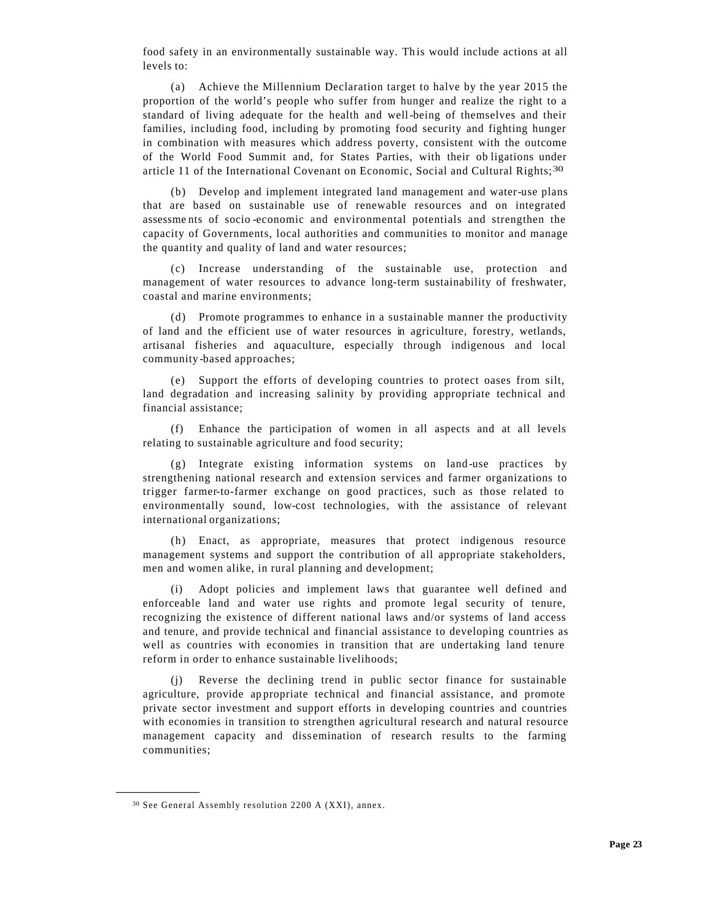food safety in an environmentally sustainable way. This would include actions at all levels to:

(a) Achieve the Millennium Declaration target to halve by the year 2015 the proportion of the world's people who suffer from hunger and realize the right to a standard of living adequate for the health and well-being of themselves and their families, including food, including by promoting food security and fighting hunger in combination with measures which address poverty, consistent with the outcome of the World Food Summit and, for States Parties, with their ob ligations under article 11 of the International Covenant on Economic, Social and Cultural Rights;30

(b) Develop and implement integrated land management and water-use plans that are based on sustainable use of renewable resources and on integrated assessme nts of socio -economic and environmental potentials and strengthen the capacity of Governments, local authorities and communities to monitor and manage the quantity and quality of land and water resources;

(c) Increase understanding of the sustainable use, protection and management of water resources to advance long-term sustainability of freshwater, coastal and marine environments;

(d) Promote programmes to enhance in a sustainable manner the productivity of land and the efficient use of water resources in agriculture, forestry, wetlands, artisanal fisheries and aquaculture, especially through indigenous and local community -based approaches;

(e) Support the efforts of developing countries to protect oases from silt, land degradation and increasing salinity by providing appropriate technical and financial assistance;

(f) Enhance the participation of women in all aspects and at all levels relating to sustainable agriculture and food security;

(g) Integrate existing information systems on land -use practices by strengthening national research and extension services and farmer organizations to trigger farmer-to-farmer exchange on good practices, such as those related to environmentally sound, low-cost technologies, with the assistance of relevant international organizations;

(h) Enact, as appropriate, measures that protect indigenous resource management systems and support the contribution of all appropriate stakeholders, men and women alike, in rural planning and development;

(i) Adopt policies and implement laws that guarantee well defined and enforceable land and water use rights and promote legal security of tenure, recognizing the existence of different national laws and/or systems of land access and tenure, and provide technical and financial assistance to developing countries as well as countries with economies in transition that are undertaking land tenure reform in order to enhance sustainable livelihoods;

(j) Reverse the declining trend in public sector finance for sustainable agriculture, provide ap propriate technical and financial assistance, and promote private sector investment and support efforts in developing countries and countries with economies in transition to strengthen agricultural research and natural resource management capacity and diss emination of research results to the farming communities;

<sup>30</sup> See General Assembly resolution 2200 A (XXI), annex.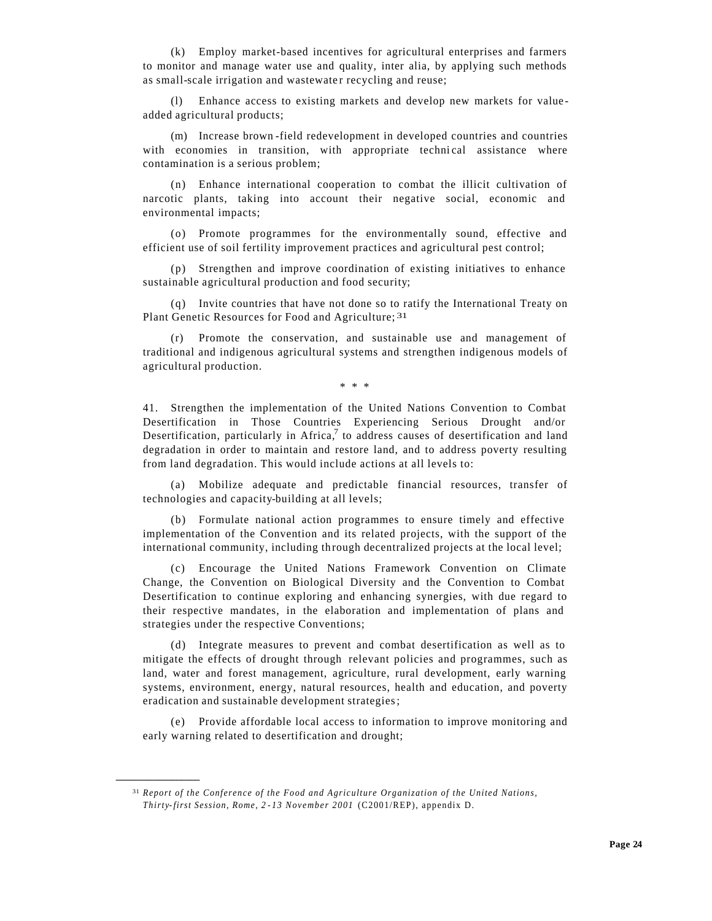(k) Employ market-based incentives for agricultural enterprises and farmers to monitor and manage water use and quality, inter alia, by applying such methods as small-scale irrigation and wastewater recycling and reuse;

(l) Enhance access to existing markets and develop new markets for value added agricultural products;

(m) Increase brown -field redevelopment in developed countries and countries with economies in transition, with appropriate technical assistance where contamination is a serious problem;

(n) Enhance international cooperation to combat the illicit cultivation of narcotic plants, taking into account their negative social, economic and environmental impacts;

(o) Promote programmes for the environmentally sound, effective and efficient use of soil fertility improvement practices and agricultural pest control;

(p) Strengthen and improve coordination of existing initiatives to enhance sustainable agricultural production and food security;

(q) Invite countries that have not done so to ratify the International Treaty on Plant Genetic Resources for Food and Agriculture; 31

(r) Promote the conservation, and sustainable use and management of traditional and indigenous agricultural systems and strengthen indigenous models of agricultural production.

\* \* \*

41. Strengthen the implementation of the United Nations Convention to Combat Desertification in Those Countries Experiencing Serious Drought and/or Desertification, particularly in Africa, $7$  to address causes of desertification and land degradation in order to maintain and restore land, and to address poverty resulting from land degradation. This would include actions at all levels to:

(a) Mobilize adequate and predictable financial resources, transfer of technologies and capacity-building at all levels;

(b) Formulate national action programmes to ensure timely and effective implementation of the Convention and its related projects, with the support of the international community, including th rough decentralized projects at the local level;

(c) Encourage the United Nations Framework Convention on Climate Change, the Convention on Biological Diversity and the Convention to Combat Desertification to continue exploring and enhancing synergies, with due regard to their respective mandates, in the elaboration and implementation of plans and strategies under the respective Conventions;

(d) Integrate measures to prevent and combat desertification as well as to mitigate the effects of drought through relevant policies and programmes, such as land, water and forest management, agriculture, rural development, early warning systems, environment, energy, natural resources, health and education, and poverty eradication and sustainable development strategies;

(e) Provide affordable local access to information to improve monitoring and early warning related to desertification and drought;

<sup>31</sup> *Report of the Conference of the Food and Agriculture Organization of the United Nations, Thirty- first Session, Rome, 2 - 13 November 2001* (C2001/REP), appendix D.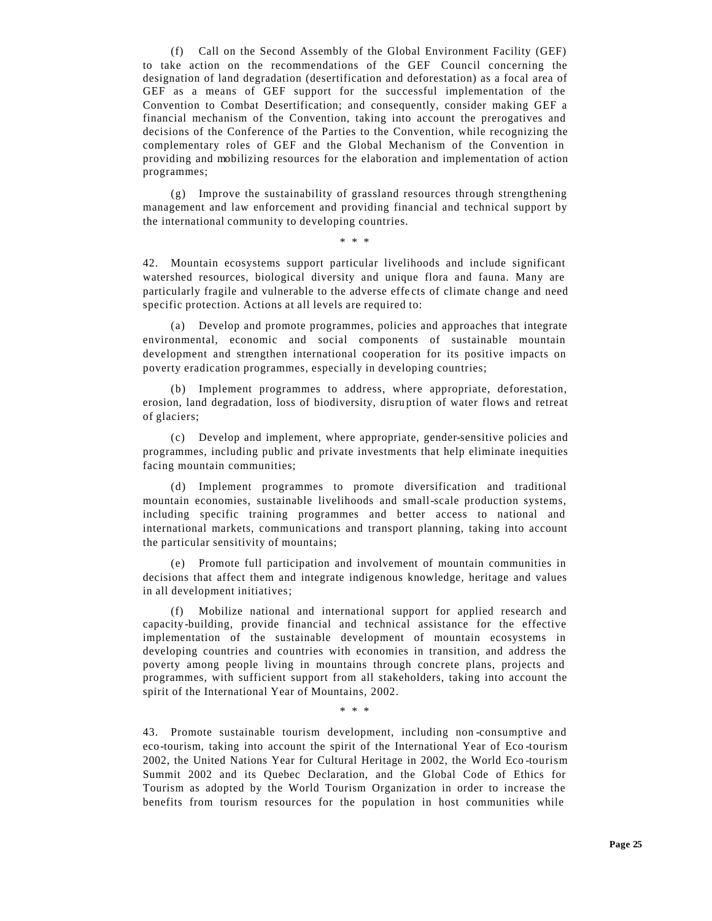(f) Call on the Second Assembly of the Global Environment Facility (GEF) to take action on the recommendations of the GEF Council concerning the designation of land degradation (desertification and deforestation) as a focal area of GEF as a means of GEF support for the successful implementation of the Convention to Combat Desertification; and consequently, consider making GEF a financial mechanism of the Convention, taking into account the prerogatives and decisions of the Conference of the Parties to the Convention, while recognizing the complementary roles of GEF and the Global Mechanism of the Convention in providing and mobilizing resources for the elaboration and implementation of action programmes;

(g) Improve the sustainability of grassland resources through strengthening management and law enforcement and providing financial and technical support by the international community to developing countries.

\* \* \*

42. Mountain ecosystems support particular livelihoods and include significant watershed resources, biological diversity and unique flora and fauna. Many are particularly fragile and vulnerable to the adverse effe cts of climate change and need specific protection. Actions at all levels are required to:

(a) Develop and promote programmes, policies and approaches that integrate environmental, economic and social components of sustainable mountain development and strengthen international cooperation for its positive impacts on poverty eradication programmes, especially in developing countries;

(b) Implement programmes to address, where appropriate, deforestation, erosion, land degradation, loss of biodiversity, disru ption of water flows and retreat of glaciers;

(c) Develop and implement, where appropriate, gender-sensitive policies and programmes, including public and private investments that help eliminate inequities facing mountain communities;

(d) Implement programmes to promote diversification and traditional mountain economies, sustainable livelihoods and small-scale production systems, including specific training programmes and better access to national and international markets, communications and transport planning, taking into account the particular sensitivity of mountains;

(e) Promote full participation and involvement of mountain communities in decisions that affect them and integrate indigenous knowledge, heritage and values in all development initiatives;

(f) Mobilize national and international support for applied research and capacity -building, provide financial and technical assistance for the effective implementation of the sustainable development of mountain ecosystems in developing countries and countries with economies in transition, and address the poverty among people living in mountains through concrete plans, projects and programmes, with sufficient support from all stakeholders, taking into account the spirit of the International Year of Mountains, 2002.

\* \* \*

43. Promote sustainable tourism development, including non -consumptive and eco -tourism, taking into account the spirit of the International Year of Eco -tourism 2002, the United Nations Year for Cultural Heritage in 2002, the World Eco -tourism Summit 2002 and its Quebec Declaration, and the Global Code of Ethics for Tourism as adopted by the World Tourism Organization in order to increase the benefits from tourism resources for the population in host communities while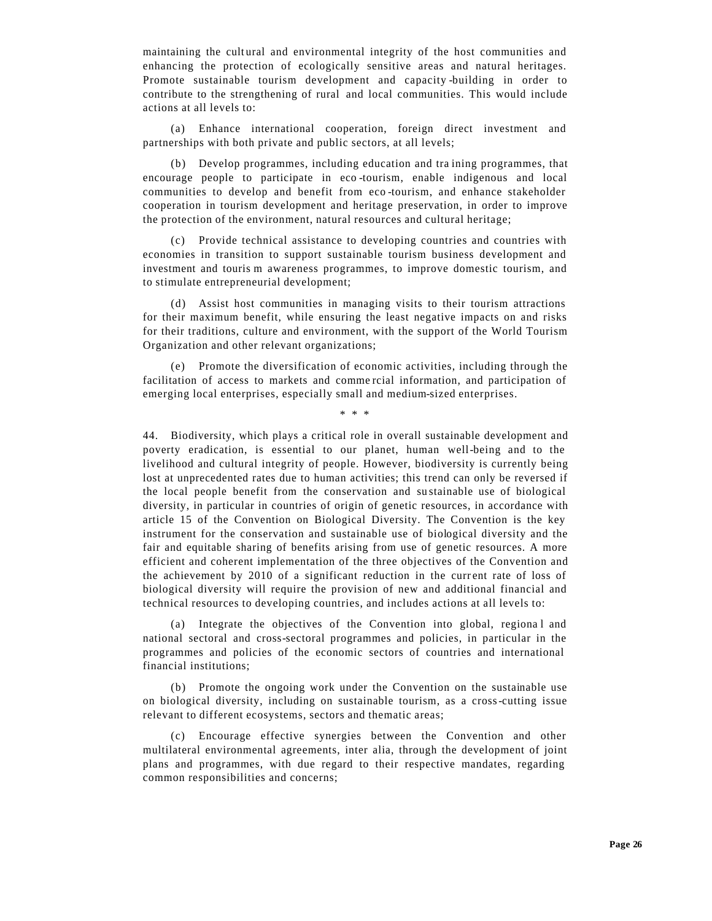maintaining the cultural and environmental integrity of the host communities and enhancing the protection of ecologically sensitive areas and natural heritages. Promote sustainable tourism development and capacity -building in order to contribute to the strengthening of rural and local communities. This would include actions at all levels to:

(a) Enhance international cooperation, foreign direct investment and partnerships with both private and public sectors, at all levels;

(b) Develop programmes, including education and tra ining programmes, that encourage people to participate in eco -tourism, enable indigenous and local communities to develop and benefit from eco -tourism, and enhance stakeholder cooperation in tourism development and heritage preservation, in order to improve the protection of the environment, natural resources and cultural heritage;

(c) Provide technical assistance to developing countries and countries with economies in transition to support sustainable tourism business development and investment and touris m awareness programmes, to improve domestic tourism, and to stimulate entrepreneurial development;

(d) Assist host communities in managing visits to their tourism attractions for their maximum benefit, while ensuring the least negative impacts on and risks for their traditions, culture and environment, with the support of the World Tourism Organization and other relevant organizations;

(e) Promote the diversification of economic activities, including through the facilitation of access to markets and comme rcial information, and participation of emerging local enterprises, especially small and medium-sized enterprises.

\* \* \*

44. Biodiversity, which plays a critical role in overall sustainable development and poverty eradication, is essential to our planet, human well-being and to the livelihood and cultural integrity of people. However, biodiversity is currently being lost at unprecedented rates due to human activities; this trend can only be reversed if the local people benefit from the conservation and su stainable use of biological diversity, in particular in countries of origin of genetic resources, in accordance with article 15 of the Convention on Biological Diversity. The Convention is the key instrument for the conservation and sustainable use of biological diversity and the fair and equitable sharing of benefits arising from use of genetic resources. A more efficient and coherent implementation of the three objectives of the Convention and the achievement by 2010 of a significant reduction in the current rate of loss of biological diversity will require the provision of new and additional financial and technical resources to developing countries, and includes actions at all levels to:

(a) Integrate the objectives of the Convention into global, regiona l and national sectoral and cross-sectoral programmes and policies, in particular in the programmes and policies of the economic sectors of countries and international financial institutions;

(b) Promote the ongoing work under the Convention on the sustainable use on biological diversity, including on sustainable tourism, as a cross-cutting issue relevant to different ecosystems, sectors and thematic areas;

(c) Encourage effective synergies between the Convention and other multilateral environmental agreements, inter alia, through the development of joint plans and programmes, with due regard to their respective mandates, regarding common responsibilities and concerns;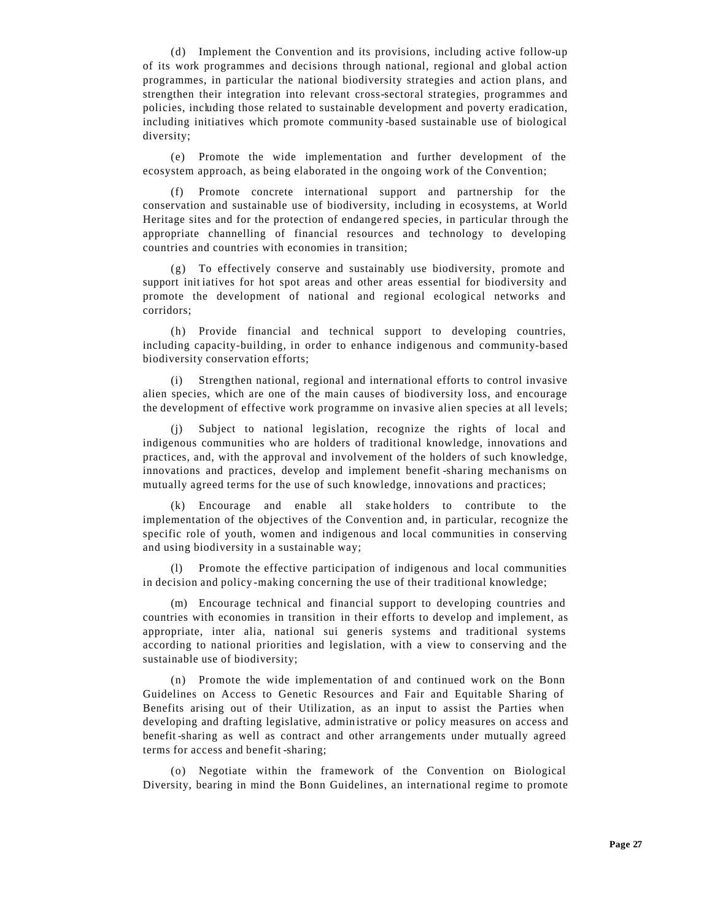(d) Implement the Convention and its provisions, including active follow-up of its work programmes and decisions through national, regional and global action programmes, in particular the national biodiversity strategies and action plans, and strengthen their integration into relevant cross-sectoral strategies, programmes and policies, including those related to sustainable development and poverty eradication, including initiatives which promote community -based sustainable use of biological diversity;

(e) Promote the wide implementation and further development of the ecosystem approach, as being elaborated in the ongoing work of the Convention;

(f) Promote concrete international support and partnership for the conservation and sustainable use of biodiversity, including in ecosystems, at World Heritage sites and for the protection of endange red species, in particular through the appropriate channelling of financial resources and technology to developing countries and countries with economies in transition;

(g) To effectively conserve and sustainably use biodiversity, promote and support init iatives for hot spot areas and other areas essential for biodiversity and promote the development of national and regional ecological networks and corridors;

(h) Provide financial and technical support to developing countries, including capacity-building, in order to enhance indigenous and community-based biodiversity conservation efforts;

(i) Strengthen national, regional and international efforts to control invasive alien species, which are one of the main causes of biodiversity loss, and encourage the development of effective work programme on invasive alien species at all levels;

(j) Subject to national legislation, recognize the rights of local and indigenous communities who are holders of traditional knowledge, innovations and practices, and, with the approval and involvement of the holders of such knowledge, innovations and practices, develop and implement benefit -sharing mechanisms on mutually agreed terms for the use of such knowledge, innovations and practices;

(k) Encourage and enable all stake holders to contribute to the implementation of the objectives of the Convention and, in particular, recognize the specific role of youth, women and indigenous and local communities in conserving and using biodiversity in a sustainable way;

(l) Promote the effective participation of indigenous and local communities in decision and policy -making concerning the use of their traditional knowledge;

(m) Encourage technical and financial support to developing countries and countries with economies in transition in their efforts to develop and implement, as appropriate, inter alia, national sui generis systems and traditional systems according to national priorities and legislation, with a view to conserving and the sustainable use of biodiversity;

(n) Promote the wide implementation of and continued work on the Bonn Guidelines on Access to Genetic Resources and Fair and Equitable Sharing of Benefits arising out of their Utilization, as an input to assist the Parties when developing and drafting legislative, admin istrative or policy measures on access and benefit -sharing as well as contract and other arrangements under mutually agreed terms for access and benefit -sharing;

(o) Negotiate within the framework of the Convention on Biological Diversity, bearing in mind the Bonn Guidelines, an international regime to promote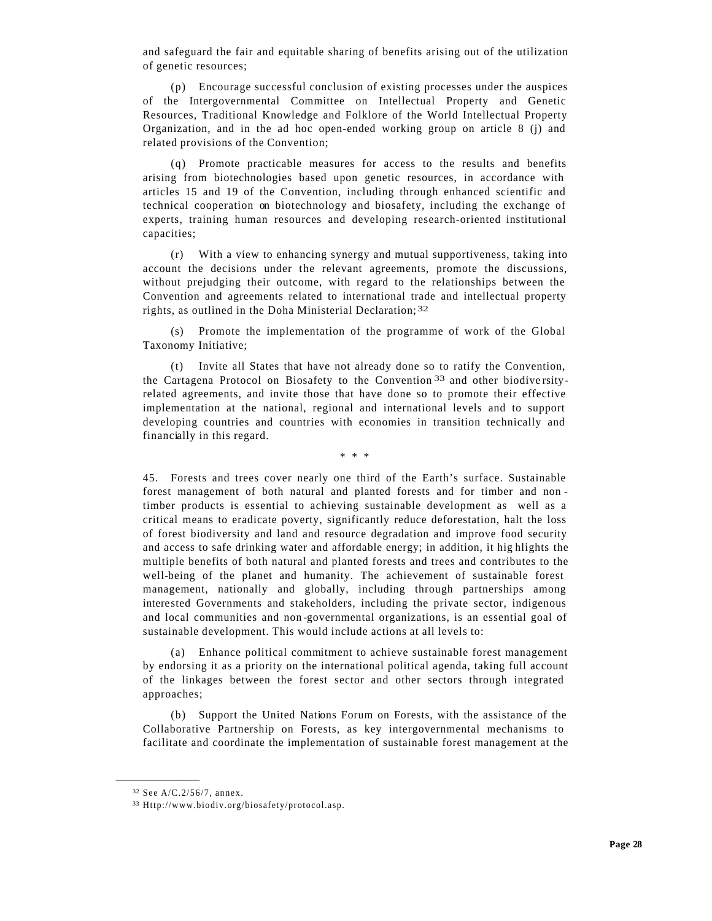and safeguard the fair and equitable sharing of benefits arising out of the utilization of genetic resources;

(p) Encourage successful conclusion of existing processes under the auspices of the Intergovernmental Committee on Intellectual Property and Genetic Resources, Traditional Knowledge and Folklore of the World Intellectual Property Organization, and in the ad hoc open-ended working group on article 8 (j) and related provisions of the Convention;

(q) Promote practicable measures for access to the results and benefits arising from biotechnologies based upon genetic resources, in accordance with articles 15 and 19 of the Convention, including through enhanced scientific and technical cooperation on biotechnology and biosafety, including the exchange of experts, training human resources and developing research-oriented institutional capacities;

(r) With a view to enhancing synergy and mutual supportiveness, taking into account the decisions under the relevant agreements, promote the discussions, without prejudging their outcome, with regard to the relationships between the Convention and agreements related to international trade and intellectual property rights, as outlined in the Doha Ministerial Declaration; 32

(s) Promote the implementation of the programme of work of the Global Taxonomy Initiative;

(t) Invite all States that have not already done so to ratify the Convention, the Cartagena Protocol on Biosafety to the Convention 33 and other biodive rsity related agreements, and invite those that have done so to promote their effective implementation at the national, regional and international levels and to support developing countries and countries with economies in transition technically and financially in this regard.

\* \* \*

45. Forests and trees cover nearly one third of the Earth's surface. Sustainable forest management of both natural and planted forests and for timber and non timber products is essential to achieving sustainable development as well as a critical means to eradicate poverty, significantly reduce deforestation, halt the loss of forest biodiversity and land and resource degradation and improve food security and access to safe drinking water and affordable energy; in addition, it hig hlights the multiple benefits of both natural and planted forests and trees and contributes to the well-being of the planet and humanity. The achievement of sustainable forest management, nationally and globally, including through partnerships among intere sted Governments and stakeholders, including the private sector, indigenous and local communities and non -governmental organizations, is an essential goal of sustainable development. This would include actions at all levels to:

(a) Enhance political commitment to achieve sustainable forest management by endorsing it as a priority on the international political agenda, taking full account of the linkages between the forest sector and other sectors through integrated approaches;

(b) Support the United Nations Forum on Forests, with the assistance of the Collaborative Partnership on Forests, as key intergovernmental mechanisms to facilitate and coordinate the implementation of sustainable forest management at the

<sup>32</sup> See A/C.2/56/7, annex.

<sup>33</sup> Http://www.biodiv.org/biosafety/protocol.asp.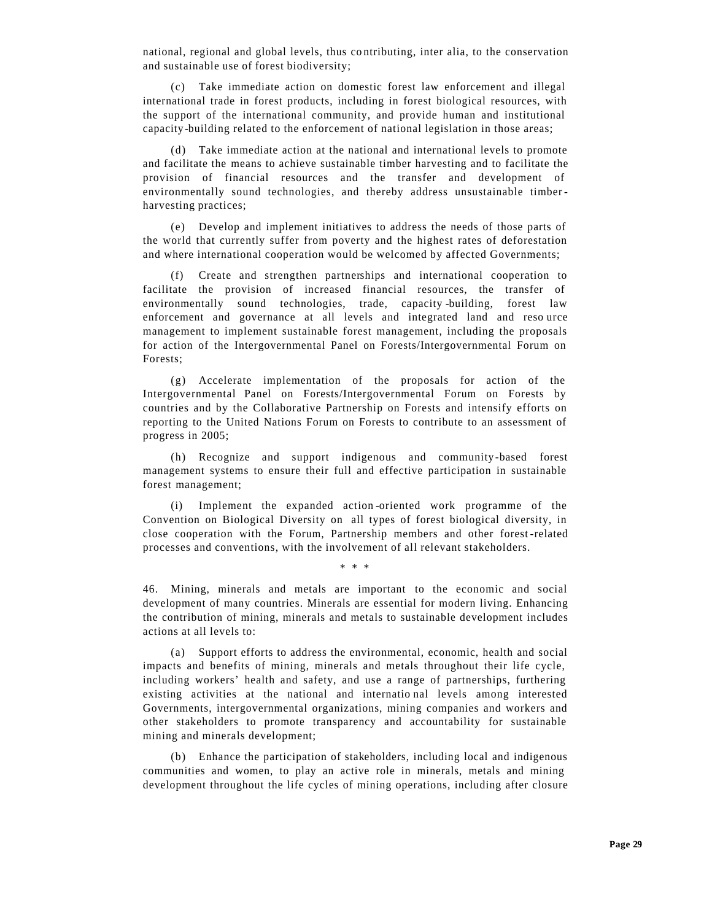national, regional and global levels, thus co ntributing, inter alia, to the conservation and sustainable use of forest biodiversity;

(c) Take immediate action on domestic forest law enforcement and illegal international trade in forest products, including in forest biological resources, with the support of the international community, and provide human and institutional capacity -building related to the enforcement of national legislation in those areas;

(d) Take immediate action at the national and international levels to promote and facilitate the means to achieve sustainable timber harvesting and to facilitate the provision of financial resources and the transfer and development of environmentally sound technologies, and thereby address unsustainable timber harvesting practices;

(e) Develop and implement initiatives to address the needs of those parts of the world that currently suffer from poverty and the highest rates of deforestation and where international cooperation would be welcomed by affected Governments;

(f) Create and strengthen partnerships and international cooperation to facilitate the provision of increased financial resources, the transfer of environmentally sound technologies, trade, capacity -building, forest law enforcement and governance at all levels and integrated land and reso urce management to implement sustainable forest management, including the proposals for action of the Intergovernmental Panel on Forests/Intergovernmental Forum on Forests;

(g) Accelerate implementation of the proposals for action of the Intergovernmental Panel on Forests/Intergovernmental Forum on Forests by countries and by the Collaborative Partnership on Forests and intensify efforts on reporting to the United Nations Forum on Forests to contribute to an assessment of progress in 2005;

(h) Recognize and support indigenous and community -based forest management systems to ensure their full and effective participation in sustainable forest management;

(i) Implement the expanded action -oriented work programme of the Convention on Biological Diversity on all types of forest biological diversity, in close cooperation with the Forum, Partnership members and other forest -related processes and conventions, with the involvement of all relevant stakeholders.

\* \* \*

46. Mining, minerals and metals are important to the economic and social development of many countries. Minerals are essential for modern living. Enhancing the contribution of mining, minerals and metals to sustainable development includes actions at all levels to:

(a) Support efforts to address the environmental, economic, health and social impacts and benefits of mining, minerals and metals throughout their life cycle, including workers' health and safety, and use a range of partnerships, furthering existing activities at the national and internatio nal levels among interested Governments, intergovernmental organizations, mining companies and workers and other stakeholders to promote transparency and accountability for sustainable mining and minerals development;

(b) Enhance the participation of stakeholders, including local and indigenous communities and women, to play an active role in minerals, metals and mining development throughout the life cycles of mining operations, including after closure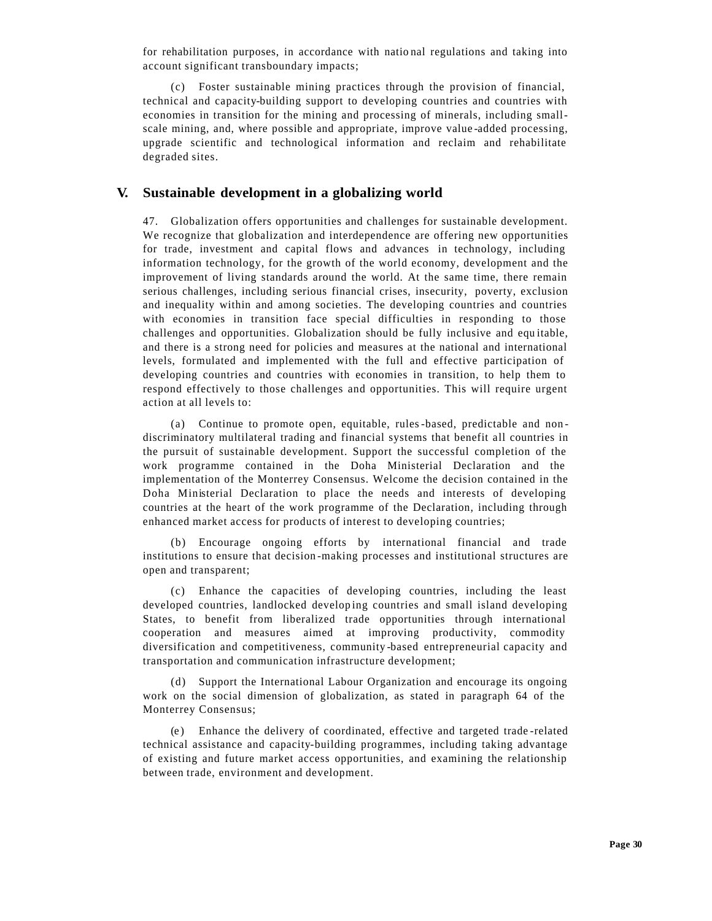for rehabilitation purposes, in accordance with natio nal regulations and taking into account significant transboundary impacts;

(c) Foster sustainable mining practices through the provision of financial, technical and capacity-building support to developing countries and countries with economies in transition for the mining and processing of minerals, including smallscale mining, and, where possible and appropriate, improve value -added processing, upgrade scientific and technological information and reclaim and rehabilitate degraded sites.

## **V. Sustainable development in a globalizing world**

47. Globalization offers opportunities and challenges for sustainable development. We recognize that globalization and interdependence are offering new opportunities for trade, investment and capital flows and advances in technology, including information technology, for the growth of the world economy, development and the improvement of living standards around the world. At the same time, there remain serious challenges, including serious financial crises, insecurity, poverty, exclusion and inequality within and among societies. The developing countries and countries with economies in transition face special difficulties in responding to those challenges and opportunities. Globalization should be fully inclusive and equ itable, and there is a strong need for policies and measures at the national and international levels, formulated and implemented with the full and effective participation of developing countries and countries with economies in transition, to help them to respond effectively to those challenges and opportunities. This will require urgent action at all levels to:

(a) Continue to promote open, equitable, rules-based, predictable and non discriminatory multilateral trading and financial systems that benefit all countries in the pursuit of sustainable development. Support the successful completion of the work programme contained in the Doha Ministerial Declaration and the implementation of the Monterrey Consensus. Welcome the decision contained in the Doha Ministerial Declaration to place the needs and interests of developing countries at the heart of the work programme of the Declaration, including through enhanced market access for products of interest to developing countries;

(b) Encourage ongoing efforts by international financial and trade institutions to ensure that decision -making processes and institutional structures are open and transparent;

(c) Enhance the capacities of developing countries, including the least developed countries, landlocked developing countries and small island developing States, to benefit from liberalized trade opportunities through international cooperation and measures aimed at improving productivity, commodity diversification and competitiveness, community -based entrepreneurial capacity and transportation and communication infrastructure development;

(d) Support the International Labour Organization and encourage its ongoing work on the social dimension of globalization, as stated in paragraph 64 of the Monterrey Consensus;

(e ) Enhance the delivery of coordinated, effective and targeted trade -related technical assistance and capacity-building programmes, including taking advantage of existing and future market access opportunities, and examining the relationship between trade, environment and development.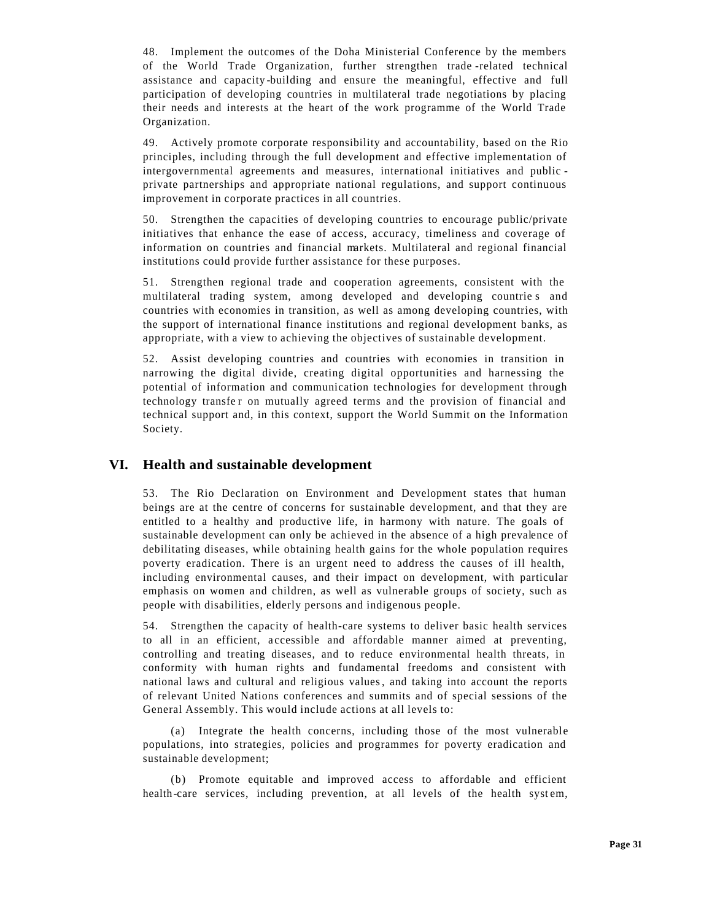48. Implement the outcomes of the Doha Ministerial Conference by the members of the World Trade Organization, further strengthen trade -related technical assistance and capacity -building and ensure the meaningful, effective and full participation of developing countries in multilateral trade negotiations by placing their needs and interests at the heart of the work programme of the World Trade Organization.

49. Actively promote corporate responsibility and accountability, based on the Rio principles, including through the full development and effective implementation of intergovernmental agreements and measures, international initiatives and public private partnerships and appropriate national regulations, and support continuous improvement in corporate practices in all countries.

50. Strengthen the capacities of developing countries to encourage public/private initiatives that enhance the ease of access, accuracy, timeliness and coverage of information on countries and financial markets. Multilateral and regional financial institutions could provide further assistance for these purposes.

51. Strengthen regional trade and cooperation agreements, consistent with the multilateral trading system, among developed and developing countrie s and countries with economies in transition, as well as among developing countries, with the support of international finance institutions and regional development banks, as appropriate, with a view to achieving the objectives of sustainable development.

52. Assist developing countries and countries with economies in transition in narrowing the digital divide, creating digital opportunities and harnessing the potential of information and communication technologies for development through technology transfer on mutually agreed terms and the provision of financial and technical support and, in this context, support the World Summit on the Information Society.

# **VI. Health and sustainable development**

53. The Rio Declaration on Environment and Development states that human beings are at the centre of concerns for sustainable development, and that they are entitled to a healthy and productive life, in harmony with nature. The goals of sustainable development can only be achieved in the absence of a high prevalence of debilitating diseases, while obtaining health gains for the whole population requires poverty eradication. There is an urgent need to address the causes of ill health, including environmental causes, and their impact on development, with particular emphasis on women and children, as well as vulnerable groups of society, such as people with disabilities, elderly persons and indigenous people.

54. Strengthen the capacity of health-care systems to deliver basic health services to all in an efficient, a ccessible and affordable manner aimed at preventing, controlling and treating diseases, and to reduce environmental health threats, in conformity with human rights and fundamental freedoms and consistent with national laws and cultural and religious values, and taking into account the reports of relevant United Nations conferences and summits and of special sessions of the General Assembly. This would include actions at all levels to:

(a) Integrate the health concerns, including those of the most vulnerable populations, into strategies, policies and programmes for poverty eradication and sustainable development;

(b) Promote equitable and improved access to affordable and efficient health-care services, including prevention, at all levels of the health system,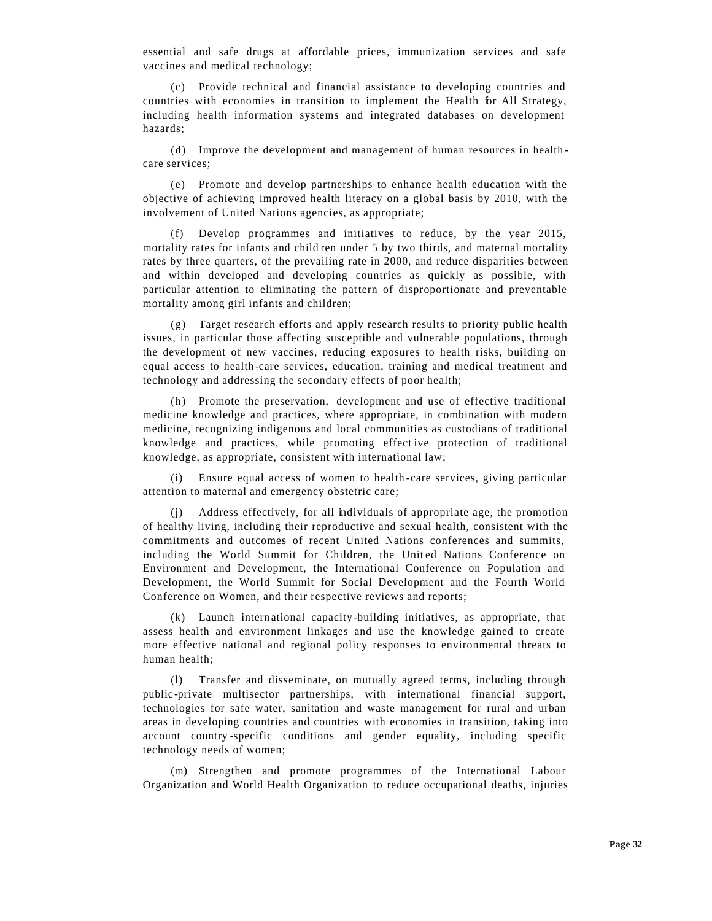essential and safe drugs at affordable prices, immunization services and safe vaccines and medical technology;

(c) Provide technical and financial assistance to developing countries and countries with economies in transition to implement the Health for All Strategy, including health information systems and integrated databases on development hazards;

(d) Improve the development and management of human resources in health care services;

(e) Promote and develop partnerships to enhance health education with the objective of achieving improved health literacy on a global basis by 2010, with the involvement of United Nations agencies, as appropriate;

(f) Develop programmes and initiatives to reduce, by the year 2015, mortality rates for infants and child ren under 5 by two thirds, and maternal mortality rates by three quarters, of the prevailing rate in 2000, and reduce disparities between and within developed and developing countries as quickly as possible, with particular attention to eliminating the pattern of disproportionate and preventable mortality among girl infants and children;

(g) Target research efforts and apply research results to priority public health issues, in particular those affecting susceptible and vulnerable populations, through the development of new vaccines, reducing exposures to health risks, building on equal access to health -care services, education, training and medical treatment and technology and addressing the secondary effects of poor health;

(h) Promote the preservation, development and use of effective traditional medicine knowledge and practices, where appropriate, in combination with modern medicine, recognizing indigenous and local communities as custodians of traditional knowledge and practices, while promoting effect ive protection of traditional knowledge, as appropriate, consistent with international law;

(i) Ensure equal access of women to health -care services, giving particular attention to maternal and emergency obstetric care;

(j) Address effectively, for all individuals of appropriate age, the promotion of healthy living, including their reproductive and sexual health, consistent with the commitments and outcomes of recent United Nations conferences and summits, including the World Summit for Children, the United Nations Conference on Environment and Development, the International Conference on Population and Development, the World Summit for Social Development and the Fourth World Conference on Women, and their respective reviews and reports;

(k) Launch intern ational capacity -building initiatives, as appropriate, that assess health and environment linkages and use the knowledge gained to create more effective national and regional policy responses to environmental threats to human health;

(l) Transfer and disseminate, on mutually agreed terms, including through public -private multisector partnerships, with international financial support, technologies for safe water, sanitation and waste management for rural and urban areas in developing countries and countries with economies in transition, taking into account country -specific conditions and gender equality, including specific technology needs of women;

(m) Strengthen and promote programmes of the International Labour Organization and World Health Organization to reduce occupational deaths, injuries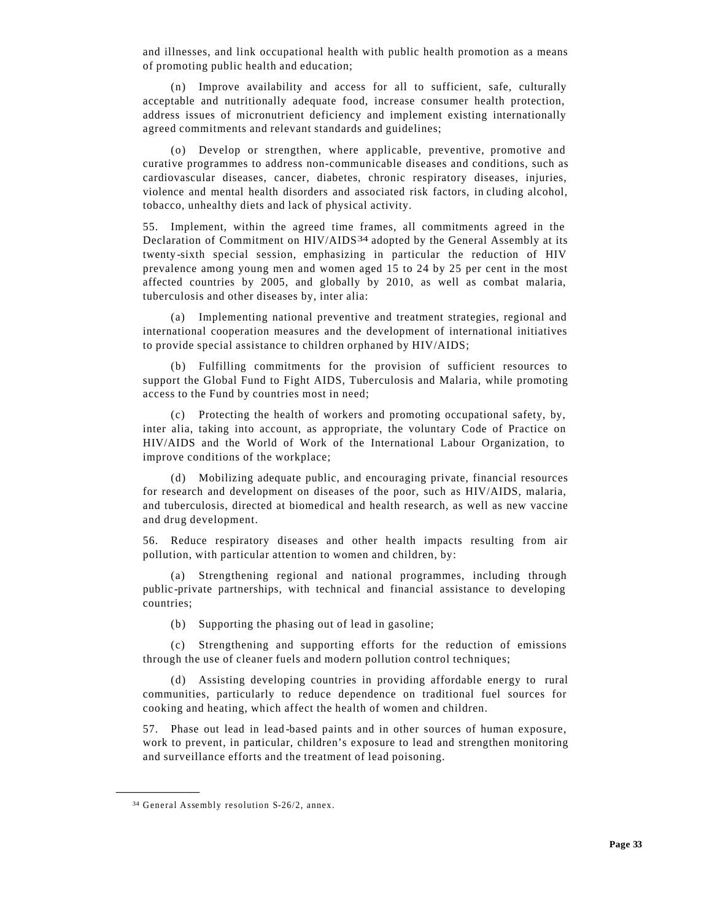and illnesses, and link occupational health with public health promotion as a means of promoting public health and education;

(n) Improve availability and access for all to sufficient, safe, culturally acceptable and nutritionally adequate food, increase consumer health protection, address issues of micronutrient deficiency and implement existing internationally agreed commitments and relevant standards and guidelines;

(o) Develop or strengthen, where applicable, preventive, promotive and curative programmes to address non-communicable diseases and conditions, such as cardiovascular diseases, cancer, diabetes, chronic respiratory diseases, injuries, violence and mental health disorders and associated risk factors, in cluding alcohol, tobacco, unhealthy diets and lack of physical activity.

55. Implement, within the agreed time frames, all commitments agreed in the Declaration of Commitment on HIV/AIDS34 adopted by the General Assembly at its twenty -sixth special session, emphasizing in particular the reduction of HIV prevalence among young men and women aged 15 to 24 by 25 per cent in the most affected countries by 2005, and globally by 2010, as well as combat malaria, tuberculosis and other diseases by, inter alia:

(a) Implementing national preventive and treatment strategies, regional and international cooperation measures and the development of international initiatives to provide special assistance to children orphaned by HIV/AIDS;

(b) Fulfilling commitments for the provision of sufficient resources to support the Global Fund to Fight AIDS, Tuberculosis and Malaria, while promoting access to the Fund by countries most in need;

(c) Protecting the health of workers and promoting occupational safety, by, inter alia, taking into account, as appropriate, the voluntary Code of Practice on HIV/AIDS and the World of Work of the International Labour Organization, to improve conditions of the workplace;

(d) Mobilizing adequate public, and encouraging private, financial resources for research and development on diseases of the poor, such as HIV/AIDS, malaria, and tuberculosis, directed at biomedical and health research, as well as new vaccine and drug development.

56. Reduce respiratory diseases and other health impacts resulting from air pollution, with particular attention to women and children, by:

(a) Strengthening regional and national programmes, including through public -private partnerships, with technical and financial assistance to developing countries;

(b) Supporting the phasing out of lead in gasoline;

(c) Strengthening and supporting efforts for the reduction of emissions through the use of cleaner fuels and modern pollution control techniques;

(d) Assisting developing countries in providing affordable energy to rural communities, particularly to reduce dependence on traditional fuel sources for cooking and heating, which affect the health of women and children.

57. Phase out lead in lead -based paints and in other sources of human exposure, work to prevent, in particular, children's exposure to lead and strengthen monitoring and surveillance efforts and the treatment of lead poisoning.

<sup>34</sup> General Assembly resolution S-26/2, annex.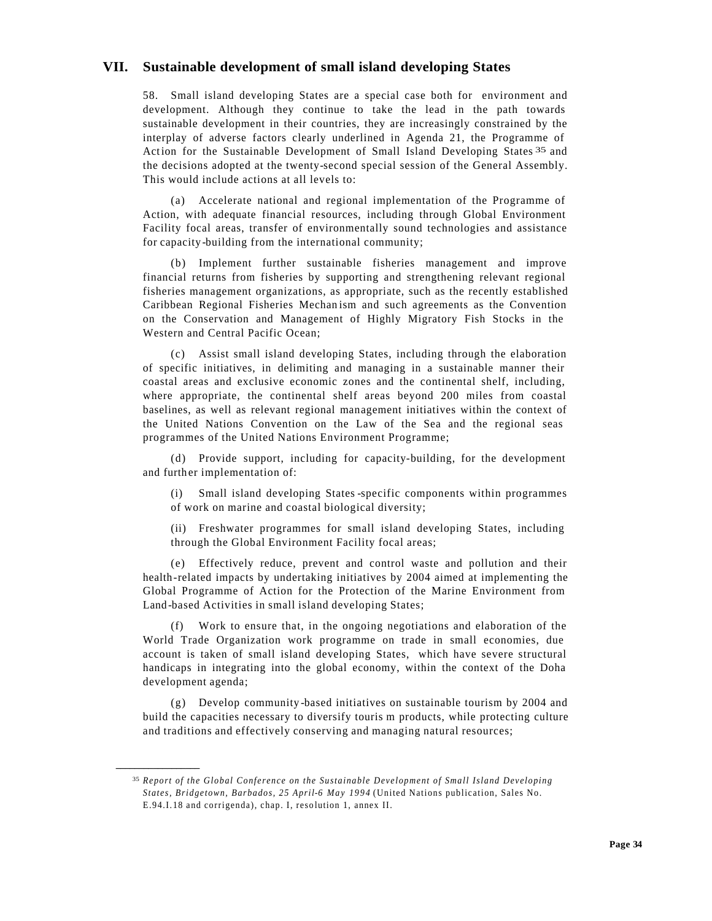# **VII. Sustainable development of small island developing States**

58. Small island developing States are a special case both for environment and development. Although they continue to take the lead in the path towards sustainable development in their countries, they are increasingly constrained by the interplay of adverse factors clearly underlined in Agenda 21, the Programme of Action for the Sustainable Development of Small Island Developing States 35 and the decisions adopted at the twenty-second special session of the General Assembly. This would include actions at all levels to:

(a) Accelerate national and regional implementation of the Programme of Action, with adequate financial resources, including through Global Environment Facility focal areas, transfer of environmentally sound technologies and assistance for capacity -building from the international community;

(b) Implement further sustainable fisheries management and improve financial returns from fisheries by supporting and strengthening relevant regional fisheries management organizations, as appropriate, such as the recently established Caribbean Regional Fisheries Mechan ism and such agreements as the Convention on the Conservation and Management of Highly Migratory Fish Stocks in the Western and Central Pacific Ocean;

(c) Assist small island developing States, including through the elaboration of specific initiatives, in delimiting and managing in a sustainable manner their coastal areas and exclusive economic zones and the continental shelf, including, where appropriate, the continental shelf areas beyond 200 miles from coastal baselines, as well as relevant regional management initiatives within the context of the United Nations Convention on the Law of the Sea and the regional seas programmes of the United Nations Environment Programme;

(d) Provide support, including for capacity-building, for the development and further implementation of:

(i) Small island developing States -specific components within programmes of work on marine and coastal biological diversity;

(ii) Freshwater programmes for small island developing States, including through the Global Environment Facility focal areas;

(e) Effectively reduce, prevent and control waste and pollution and their health -related impacts by undertaking initiatives by 2004 aimed at implementing the Global Programme of Action for the Protection of the Marine Environment from Land -based Activities in small island developing States;

(f) Work to ensure that, in the ongoing negotiations and elaboration of the World Trade Organization work programme on trade in small economies, due account is taken of small island developing States, which have severe structural handicaps in integrating into the global economy, within the context of the Doha development agenda;

(g) Develop community -based initiatives on sustainable tourism by 2004 and build the capacities necessary to diversify touris m products, while protecting culture and traditions and effectively conserving and managing natural resources;

<sup>35</sup> *Report of the Global Conference on the Sustainable Development of Small Island Developing States, Bridgetown, Barbados, 25 April-6 May 1994* (United Nations publication, Sales No. E.94.I.18 and corrigenda), chap. I, reso lution 1, annex II.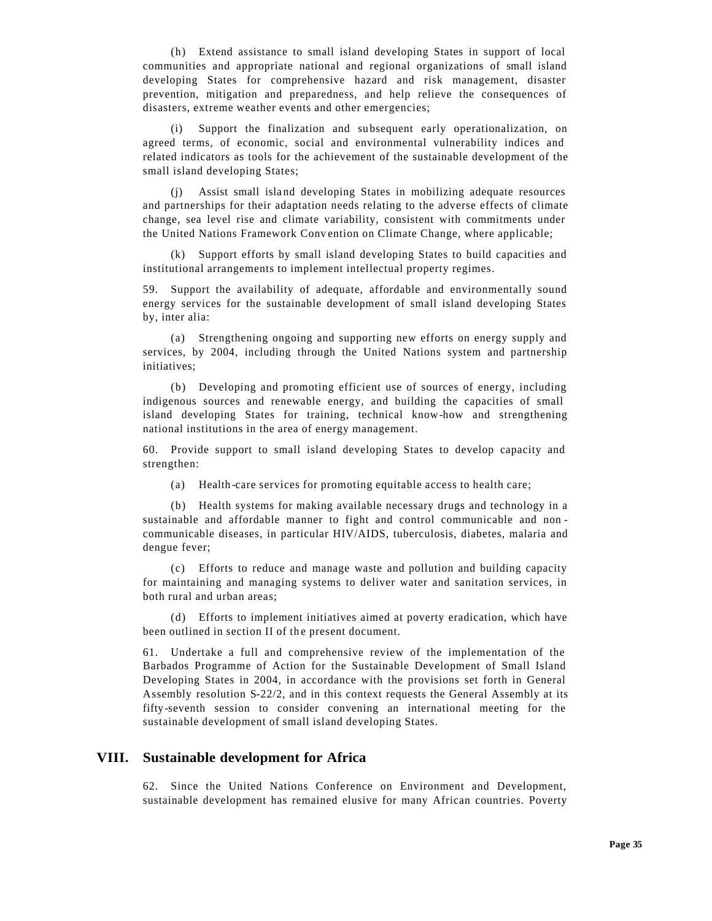(h) Extend assistance to small island developing States in support of local communities and appropriate national and regional organizations of small island developing States for comprehensive hazard and risk management, disaster prevention, mitigation and preparedness, and help relieve the consequences of disasters, extreme weather events and other emergencies;

(i) Support the finalization and su bsequent early operationalization, on agreed terms, of economic, social and environmental vulnerability indices and related indicators as tools for the achievement of the sustainable development of the small island developing States;

(j) Assist small island developing States in mobilizing adequate resources and partnerships for their adaptation needs relating to the adverse effects of climate change, sea level rise and climate variability, consistent with commitments under the United Nations Framework Conv ention on Climate Change, where applicable;

(k) Support efforts by small island developing States to build capacities and institutional arrangements to implement intellectual property regimes.

59. Support the availability of adequate, affordable and environmentally sound energy services for the sustainable development of small island developing States by, inter alia:

(a) Strengthening ongoing and supporting new efforts on energy supply and services, by 2004, including through the United Nations system and partnership initiatives;

(b) Developing and promoting efficient use of sources of energy, including indigenous sources and renewable energy, and building the capacities of small island developing States for training, technical know-how and strengthening national institutions in the area of energy management.

60. Provide support to small island developing States to develop capacity and strengthen:

(a) Health -care services for promoting equitable access to health care;

(b) Health systems for making available necessary drugs and technology in a sustainable and affordable manner to fight and control communicable and non communicable diseases, in particular HIV/AIDS, tuberculosis, diabetes, malaria and dengue fever;

(c) Efforts to reduce and manage waste and pollution and building capacity for maintaining and managing systems to deliver water and sanitation services, in both rural and urban areas;

(d) Efforts to implement initiatives aimed at poverty eradication, which have been outlined in section II of the present document.

61. Undertake a full and comprehensive review of the implementation of the Barbados Programme of Action for the Sustainable Development of Small Island Developing States in 2004, in accordance with the provisions set forth in General Assembly resolution S-22/2, and in this context requests the General Assembly at its fifty-seventh session to consider convening an international meeting for the sustainable development of small island developing States.

## **VIII. Sustainable development for Africa**

62. Since the United Nations Conference on Environment and Development, sustainable development has remained elusive for many African countries. Poverty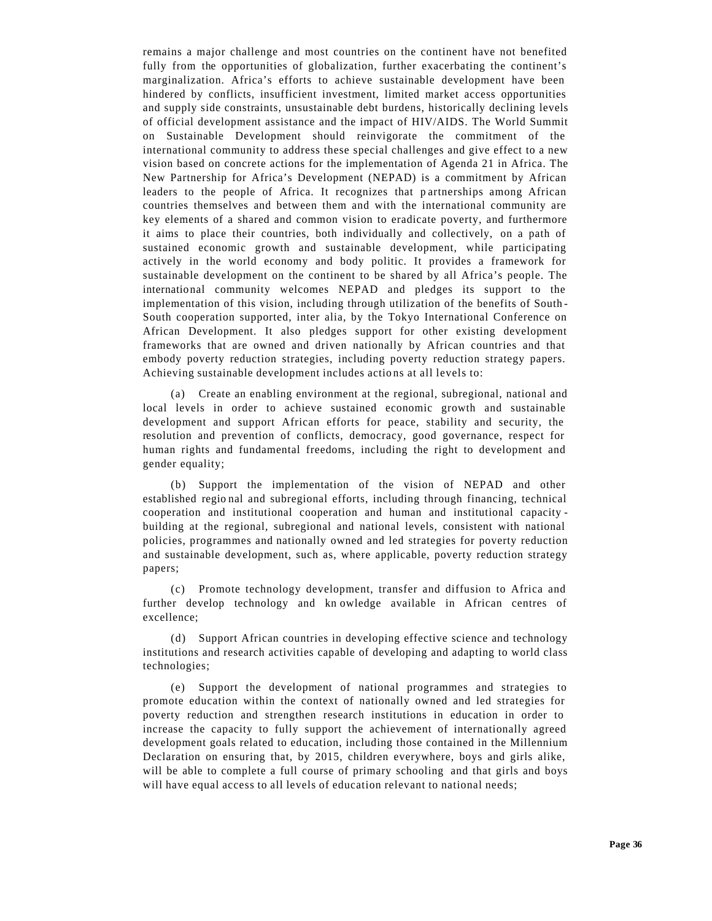remains a major challenge and most countries on the continent have not benefited fully from the opportunities of globalization, further exacerbating the continent's marginalization. Africa's efforts to achieve sustainable development have been hindered by conflicts, insufficient investment, limited market access opportunities and supply side constraints, unsustainable debt burdens, historically declining levels of official development assistance and the impact of HIV/AIDS. The World Summit on Sustainable Development should reinvigorate the commitment of the international community to address these special challenges and give effect to a new vision based on concrete actions for the implementation of Agenda 21 in Africa. The New Partnership for Africa's Development (NEPAD) is a commitment by African leaders to the people of Africa. It recognizes that p artnerships among African countries themselves and between them and with the international community are key elements of a shared and common vision to eradicate poverty, and furthermore it aims to place their countries, both individually and collectively, on a path of sustained economic growth and sustainable development, while participating actively in the world economy and body politic. It provides a framework for sustainable development on the continent to be shared by all Africa's people. The international community welcomes NEPAD and pledges its support to the implementation of this vision, including through utilization of the benefits of South - South cooperation supported, inter alia, by the Tokyo International Conference on African Development. It also pledges support for other existing development frameworks that are owned and driven nationally by African countries and that embody poverty reduction strategies, including poverty reduction strategy papers. Achieving sustainable development includes actions at all levels to:

(a) Create an enabling environment at the regional, subregional, national and local levels in order to achieve sustained economic growth and sustainable development and support African efforts for peace, stability and security, the resolution and prevention of conflicts, democracy, good governance, respect for human rights and fundamental freedoms, including the right to development and gender equality;

(b) Support the implementation of the vision of NEPAD and other established regio nal and subregional efforts, including through financing, technical cooperation and institutional cooperation and human and institutional capacity building at the regional, subregional and national levels, consistent with national policies, programmes and nationally owned and led strategies for poverty reduction and sustainable development, such as, where applicable, poverty reduction strategy papers;

(c) Promote technology development, transfer and diffusion to Africa and further develop technology and kn owledge available in African centres of excellence;

(d) Support African countries in developing effective science and technology institutions and research activities capable of developing and adapting to world class technologies;

(e) Support the development of national programmes and strategies to promote education within the context of nationally owned and led strategies for poverty reduction and strengthen research institutions in education in order to increase the capacity to fully support the achievement of internationally agreed development goals related to education, including those contained in the Millennium Declaration on ensuring that, by 2015, children everywhere, boys and girls alike, will be able to complete a full course of primary schooling and that girls and boys will have equal access to all levels of education relevant to national needs;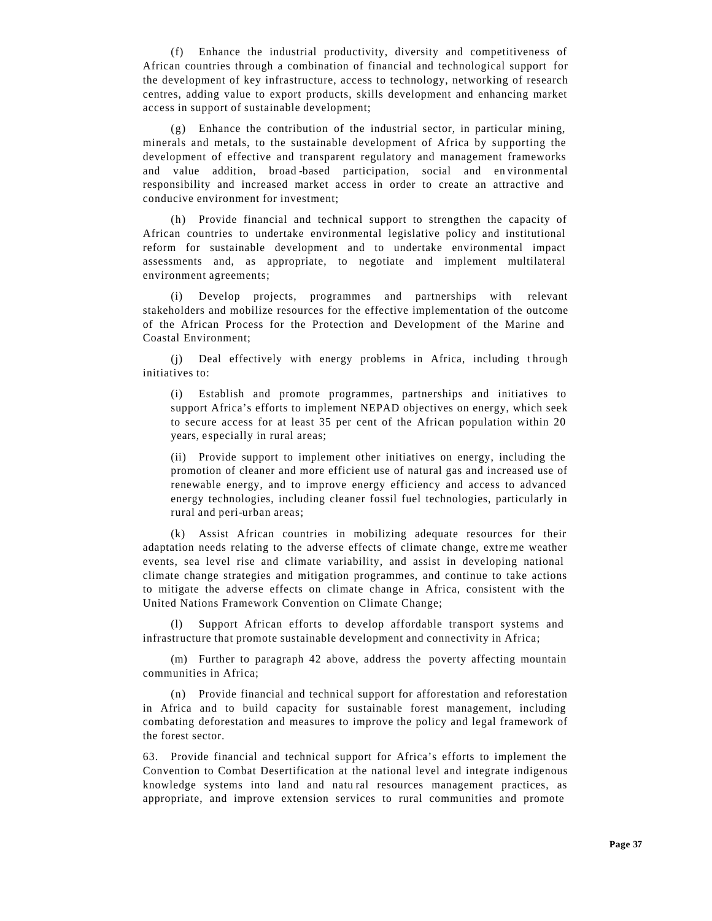(f) Enhance the industrial productivity, diversity and competitiveness of African countries through a combination of financial and technological support for the development of key infrastructure, access to technology, networking of research centres, adding value to export products, skills development and enhancing market access in support of sustainable development;

(g) Enhance the contribution of the industrial sector, in particular mining, minerals and metals, to the sustainable development of Africa by supporting the development of effective and transparent regulatory and management frameworks and value addition, broad -based participation, social and en vironmental responsibility and increased market access in order to create an attractive and conducive environment for investment;

(h) Provide financial and technical support to strengthen the capacity of African countries to undertake environmental legislative policy and institutional reform for sustainable development and to undertake environmental impact assessments and, as appropriate, to negotiate and implement multilateral environment agreements;

(i) Develop projects, programmes and partnerships with relevant stakeholders and mobilize resources for the effective implementation of the outcome of the African Process for the Protection and Development of the Marine and Coastal Environment;

(j) Deal effectively with energy problems in Africa, including through initiatives to:

(i) Establish and promote programmes, partnerships and initiatives to support Africa's efforts to implement NEPAD objectives on energy, which seek to secure access for at least 35 per cent of the African population within 20 years, e specially in rural areas;

(ii) Provide support to implement other initiatives on energy, including the promotion of cleaner and more efficient use of natural gas and increased use of renewable energy, and to improve energy efficiency and access to advanced energy technologies, including cleaner fossil fuel technologies, particularly in rural and peri-urban areas;

(k) Assist African countries in mobilizing adequate resources for their adaptation needs relating to the adverse effects of climate change, extre me weather events, sea level rise and climate variability, and assist in developing national climate change strategies and mitigation programmes, and continue to take actions to mitigate the adverse effects on climate change in Africa, consistent with the United Nations Framework Convention on Climate Change;

(l) Support African efforts to develop affordable transport systems and infrastructure that promote sustainable development and connectivity in Africa;

(m) Further to paragraph 42 above, address the poverty affecting mountain communities in Africa;

(n) Provide financial and technical support for afforestation and reforestation in Africa and to build capacity for sustainable forest management, including combating deforestation and measures to improve the policy and legal framework of the forest sector.

63. Provide financial and technical support for Africa's efforts to implement the Convention to Combat Desertification at the national level and integrate indigenous knowledge systems into land and natu ral resources management practices, as appropriate, and improve extension services to rural communities and promote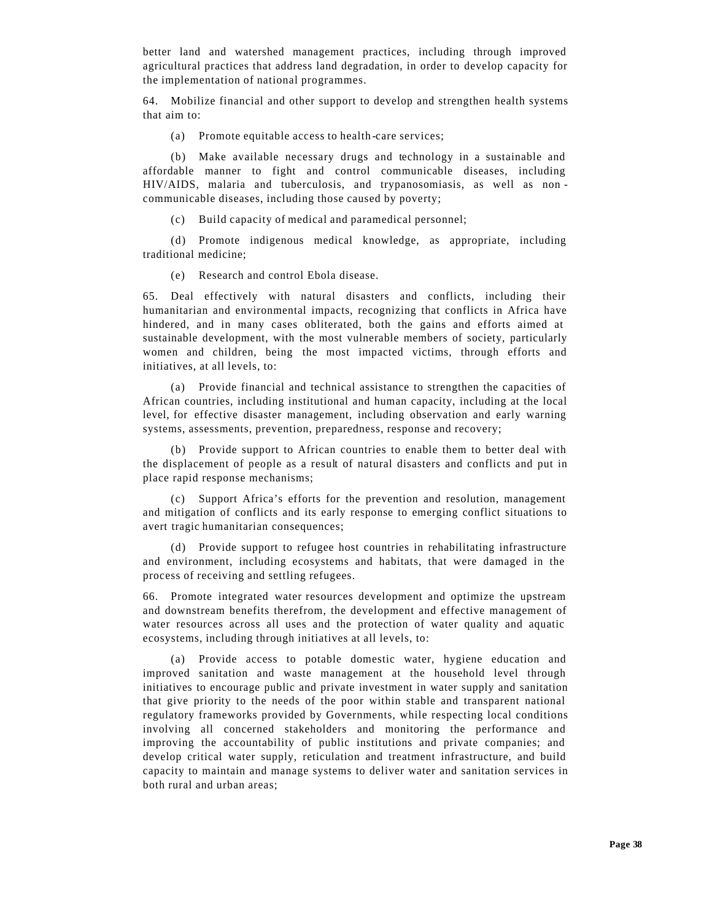better land and watershed management practices, including through improved agricultural practices that address land degradation, in order to develop capacity for the implementation of national programmes.

64. Mobilize financial and other support to develop and strengthen health systems that aim to:

(a) Promote equitable access to health -care services;

(b) Make available necessary drugs and technology in a sustainable and affordable manner to fight and control communicable diseases, including HIV/AIDS, malaria and tuberculosis, and trypanosomiasis, as well as non communicable diseases, including those caused by poverty;

(c) Build capacity of medical and paramedical personnel;

(d) Promote indigenous medical knowledge, as appropriate, including traditional medicine;

(e) Research and control Ebola disease.

65. Deal effectively with natural disasters and conflicts, including their humanitarian and environmental impacts, recognizing that conflicts in Africa have hindered, and in many cases obliterated, both the gains and efforts aimed at sustainable development, with the most vulnerable members of society, particularly women and children, being the most impacted victims, through efforts and initiatives, at all levels, to:

(a) Provide financial and technical assistance to strengthen the capacities of African countries, including institutional and human capacity, including at the local level, for effective disaster management, including observation and early warning systems, assessments, prevention, preparedness, response and recovery;

(b) Provide support to African countries to enable them to better deal with the displacement of people as a result of natural disasters and conflicts and put in place rapid response mechanisms;

(c) Support Africa's efforts for the prevention and resolution, management and mitigation of conflicts and its early response to emerging conflict situations to avert tragic humanitarian consequences;

(d) Provide support to refugee host countries in rehabilitating infrastructure and environment, including ecosystems and habitats, that were damaged in the process of receiving and settling refugees.

66. Promote integrated water resources development and optimize the upstream and downstream benefits therefrom, the development and effective management of water resources across all uses and the protection of water quality and aquatic ecosystems, including through initiatives at all levels, to:

(a) Provide access to potable domestic water, hygiene education and improved sanitation and waste management at the household level through initiatives to encourage public and private investment in water supply and sanitation that give priority to the needs of the poor within stable and transparent national regulatory frameworks provided by Governments, while respecting local conditions involving all concerned stakeholders and monitoring the performance and improving the accountability of public institutions and private companies; and develop critical water supply, reticulation and treatment infrastructure, and build capacity to maintain and manage systems to deliver water and sanitation services in both rural and urban areas;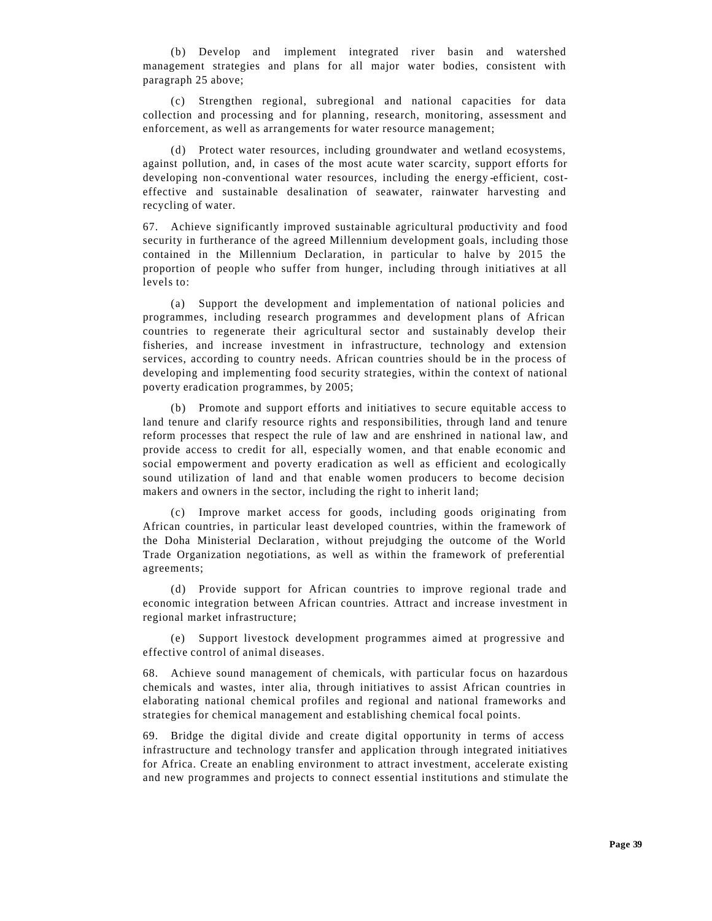(b) Develop and implement integrated river basin and watershed management strategies and plans for all major water bodies, consistent with paragraph 25 above;

(c) Strengthen regional, subregional and national capacities for data collection and processing and for planning, research, monitoring, assessment and enforcement, as well as arrangements for water resource management;

(d) Protect water resources, including groundwater and wetland ecosystems, against pollution, and, in cases of the most acute water scarcity, support efforts for developing non -conventional water resources, including the energy -efficient, costeffective and sustainable desalination of seawater, rainwater harvesting and recycling of water.

67. Achieve significantly improved sustainable agricultural productivity and food security in furtherance of the agreed Millennium development goals, including those contained in the Millennium Declaration, in particular to halve by 2015 the proportion of people who suffer from hunger, including through initiatives at all levels to:

(a) Support the development and implementation of national policies and programmes, including research programmes and development plans of African countries to regenerate their agricultural sector and sustainably develop their fisheries, and increase investment in infrastructure, technology and extension services, according to country needs. African countries should be in the process of developing and implementing food security strategies, within the context of national poverty eradication programmes, by 2005;

(b) Promote and support efforts and initiatives to secure equitable access to land tenure and clarify resource rights and responsibilities, through land and tenure reform processes that respect the rule of law and are enshrined in national law, and provide access to credit for all, especially women, and that enable economic and social empowerment and poverty eradication as well as efficient and ecologically sound utilization of land and that enable women producers to become decision makers and owners in the sector, including the right to inherit land;

(c) Improve market access for goods, including goods originating from African countries, in particular least developed countries, within the framework of the Doha Ministerial Declaration , without prejudging the outcome of the World Trade Organization negotiations, as well as within the framework of preferential agreements;

(d) Provide support for African countries to improve regional trade and economic integration between African countries. Attract and increase investment in regional market infrastructure;

(e) Support livestock development programmes aimed at progressive and effective control of animal diseases.

68. Achieve sound management of chemicals, with particular focus on hazardous chemicals and wastes, inter alia, through initiatives to assist African countries in elaborating national chemical profiles and regional and national frameworks and strategies for chemical management and establishing chemical focal points.

69. Bridge the digital divide and create digital opportunity in terms of access infrastructure and technology transfer and application through integrated initiatives for Africa. Create an enabling environment to attract investment, accelerate existing and new programmes and projects to connect essential institutions and stimulate the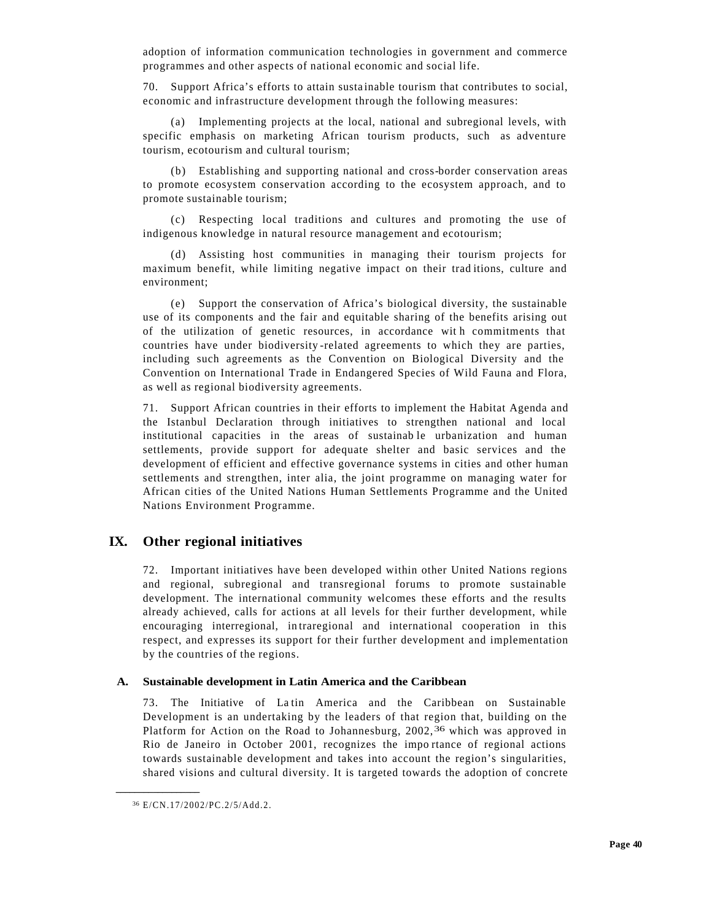adoption of information communication technologies in government and commerce programmes and other aspects of national economic and social life.

70. Support Africa's efforts to attain sustainable tourism that contributes to social, economic and infrastructure development through the following measures:

(a) Implementing projects at the local, national and subregional levels, with specific emphasis on marketing African tourism products, such as adventure tourism, ecotourism and cultural tourism;

(b) Establishing and supporting national and cross-border conservation areas to promote ecosystem conservation according to the ecosystem approach, and to promote sustainable tourism;

(c) Respecting local traditions and cultures and promoting the use of indigenous knowledge in natural resource management and ecotourism;

(d) Assisting host communities in managing their tourism projects for maximum benefit, while limiting negative impact on their trad itions, culture and environment;

(e) Support the conservation of Africa's biological diversity, the sustainable use of its components and the fair and equitable sharing of the benefits arising out of the utilization of genetic resources, in accordance wit h commitments that countries have under biodiversity -related agreements to which they are parties, including such agreements as the Convention on Biological Diversity and the Convention on International Trade in Endangered Species of Wild Fauna and Flora, as well as regional biodiversity agreements.

71. Support African countries in their efforts to implement the Habitat Agenda and the Istanbul Declaration through initiatives to strengthen national and local institutional capacities in the areas of sustainab le urbanization and human settlements, provide support for adequate shelter and basic services and the development of efficient and effective governance systems in cities and other human settlements and strengthen, inter alia, the joint programme on managing water for African cities of the United Nations Human Settlements Programme and the United Nations Environment Programme.

## **IX. Other regional initiatives**

72. Important initiatives have been developed within other United Nations regions and regional, subregional and transregional forums to promote sustainable development. The international community welcomes these efforts and the results already achieved, calls for actions at all levels for their further development, while encouraging interregional, in traregional and international cooperation in this respect, and expresses its support for their further development and implementation by the countries of the regions.

#### **A. Sustainable development in Latin America and the Caribbean**

73. The Initiative of La tin America and the Caribbean on Sustainable Development is an undertaking by the leaders of that region that, building on the Platform for Action on the Road to Johannesburg, 2002, 36 which was approved in Rio de Janeiro in October 2001, recognizes the impo rtance of regional actions towards sustainable development and takes into account the region's singularities, shared visions and cultural diversity. It is targeted towards the adoption of concrete

<sup>36</sup> E/CN.17/2002/PC.2/5/Add.2.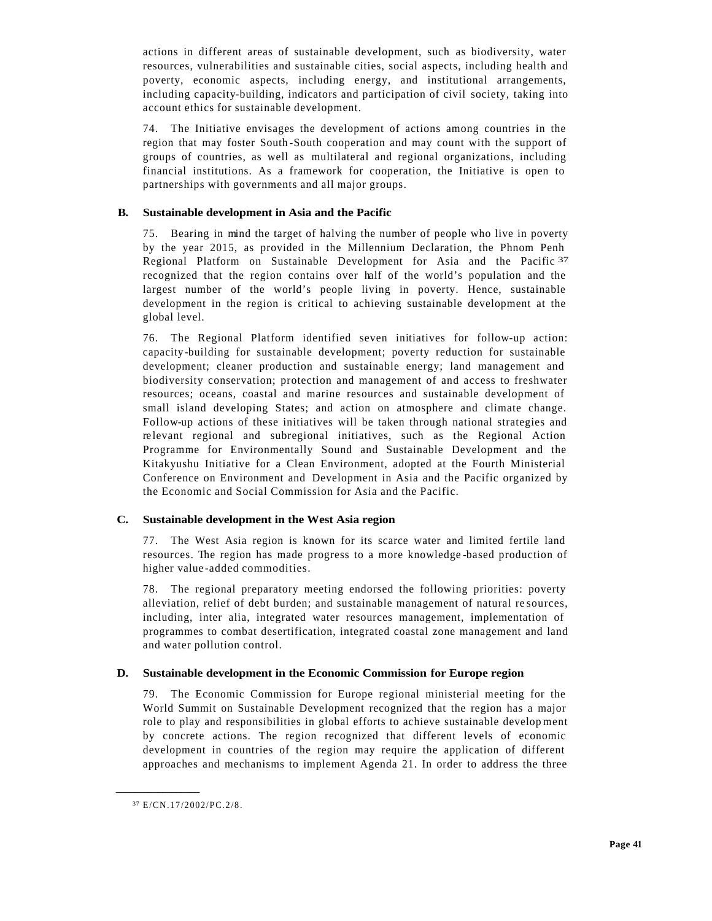actions in different areas of sustainable development, such as biodiversity, water resources, vulnerabilities and sustainable cities, social aspects, including health and poverty, economic aspects, including energy, and institutional arrangements, including capacity-building, indicators and participation of civil society, taking into account ethics for sustainable development.

74. The Initiative envisages the development of actions among countries in the region that may foster South -South cooperation and may count with the support of groups of countries, as well as multilateral and regional organizations, including financial institutions. As a framework for cooperation, the Initiative is open to partnerships with governments and all major groups.

## **B. Sustainable development in Asia and the Pacific**

75. Bearing in mind the target of halving the number of people who live in poverty by the year 2015, as provided in the Millennium Declaration, the Phnom Penh Regional Platform on Sustainable Development for Asia and the Pacific 37 recognized that the region contains over half of the world's population and the largest number of the world's people living in poverty. Hence, sustainable development in the region is critical to achieving sustainable development at the global level.

76. The Regional Platform identified seven initiatives for follow-up action: capacity -building for sustainable development; poverty reduction for sustainable development; cleaner production and sustainable energy; land management and biodiversity conservation; protection and management of and access to freshwater resources; oceans, coastal and marine resources and sustainable development of small island developing States; and action on atmosphere and climate change. Follow-up actions of these initiatives will be taken through national strategies and re levant regional and subregional initiatives, such as the Regional Action Programme for Environmentally Sound and Sustainable Development and the Kitakyushu Initiative for a Clean Environment, adopted at the Fourth Ministerial Conference on Environment and Development in Asia and the Pacific organized by the Economic and Social Commission for Asia and the Pacific.

## **C. Sustainable development in the West Asia region**

77. The West Asia region is known for its scarce water and limited fertile land resources. The region has made progress to a more knowledge -based production of higher value -added commodities.

78. The regional preparatory meeting endorsed the following priorities: poverty alleviation, relief of debt burden; and sustainable management of natural re sources, including, inter alia, integrated water resources management, implementation of programmes to combat desertification, integrated coastal zone management and land and water pollution control.

## **D. Sustainable development in the Economic Commission for Europe region**

79. The Economic Commission for Europe regional ministerial meeting for the World Summit on Sustainable Development recognized that the region has a major role to play and responsibilities in global efforts to achieve sustainable develop ment by concrete actions. The region recognized that different levels of economic development in countries of the region may require the application of different approaches and mechanisms to implement Agenda 21. In order to address the three

<sup>37</sup> E/CN.17/2002/PC.2/8.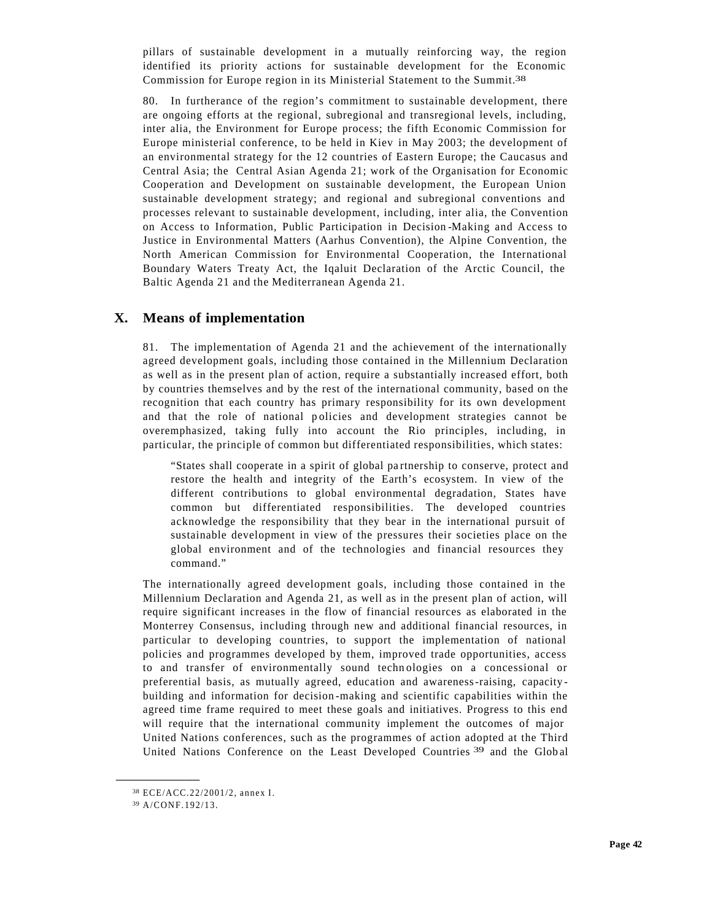pillars of sustainable development in a mutually reinforcing way, the region identified its priority actions for sustainable development for the Economic Commission for Europe region in its Ministerial Statement to the Summit.38

80. In furtherance of the region's commitment to sustainable development, there are ongoing efforts at the regional, subregional and transregional levels, including, inter alia, the Environment for Europe process; the fifth Economic Commission for Europe ministerial conference, to be held in Kiev in May 2003; the development of an environmental strategy for the 12 countries of Eastern Europe; the Caucasus and Central Asia; the Central Asian Agenda 21; work of the Organisation for Economic Cooperation and Development on sustainable development, the European Union sustainable development strategy; and regional and subregional conventions and processes relevant to sustainable development, including, inter alia, the Convention on Access to Information, Public Participation in Decision -Making and Access to Justice in Environmental Matters (Aarhus Convention), the Alpine Convention, the North American Commission for Environmental Cooperation, the International Boundary Waters Treaty Act, the Iqaluit Declaration of the Arctic Council, the Baltic Agenda 21 and the Mediterranean Agenda 21.

## **X. Means of implementation**

81. The implementation of Agenda 21 and the achievement of the internationally agreed development goals, including those contained in the Millennium Declaration as well as in the present plan of action, require a substantially increased effort, both by countries themselves and by the rest of the international community, based on the recognition that each country has primary responsibility for its own development and that the role of national policies and development strategies cannot be overemphasized, taking fully into account the Rio principles, including, in particular, the principle of common but differentiated responsibilities, which states:

"States shall cooperate in a spirit of global pa rtnership to conserve, protect and restore the health and integrity of the Earth's ecosystem. In view of the different contributions to global environmental degradation, States have common but differentiated responsibilities. The developed countries acknowledge the responsibility that they bear in the international pursuit of sustainable development in view of the pressures their societies place on the global environment and of the technologies and financial resources they command."

The internationally agreed development goals, including those contained in the Millennium Declaration and Agenda 21, as well as in the present plan of action, will require significant increases in the flow of financial resources as elaborated in the Monterrey Consensus, including through new and additional financial resources, in particular to developing countries, to support the implementation of national policies and programmes developed by them, improved trade opportunities, access to and transfer of environmentally sound techn ologies on a concessional or preferential basis, as mutually agreed, education and awareness-raising, capacity building and information for decision -making and scientific capabilities within the agreed time frame required to meet these goals and initiatives. Progress to this end will require that the international community implement the outcomes of major United Nations conferences, such as the programmes of action adopted at the Third United Nations Conference on the Least Developed Countries 39 and the Glob al

<sup>38</sup> ECE/ACC.22/2001/2, annex I.

<sup>39</sup> A/CONF.192/13.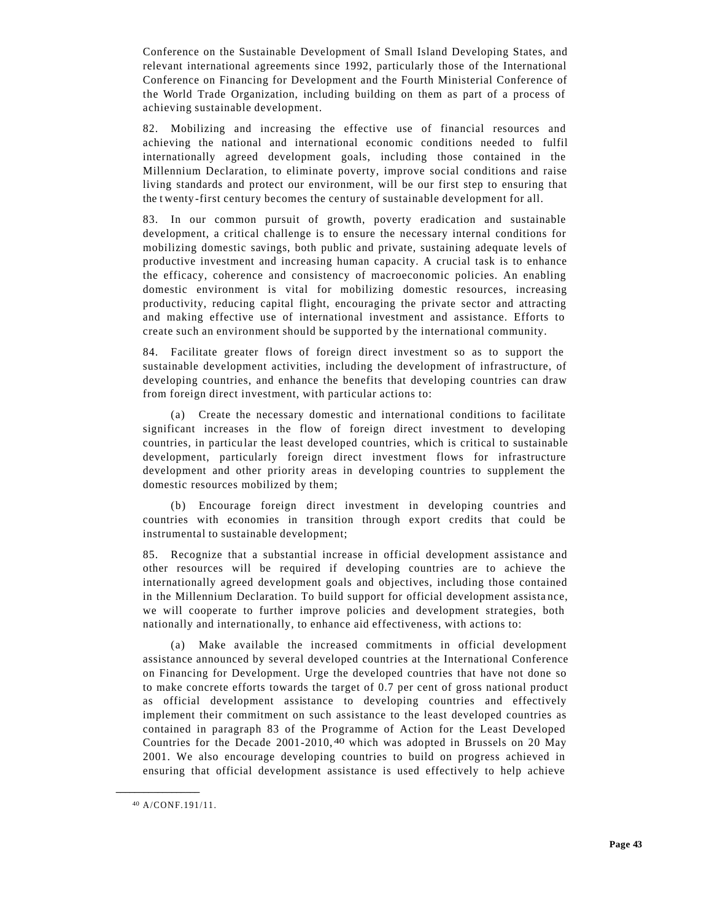Conference on the Sustainable Development of Small Island Developing States, and relevant international agreements since 1992, particularly those of the International Conference on Financing for Development and the Fourth Ministerial Conference of the World Trade Organization, including building on them as part of a process of achieving sustainable development.

82. Mobilizing and increasing the effective use of financial resources and achieving the national and international economic conditions needed to fulfil internationally agreed development goals, including those contained in the Millennium Declaration, to eliminate poverty, improve social conditions and raise living standards and protect our environment, will be our first step to ensuring that the t wenty -first century becomes the century of sustainable development for all.

83. In our common pursuit of growth, poverty eradication and sustainable development, a critical challenge is to ensure the necessary internal conditions for mobilizing domestic savings, both public and private, sustaining adequate levels of productive investment and increasing human capacity. A crucial task is to enhance the efficacy, coherence and consistency of macroeconomic policies. An enabling domestic environment is vital for mobilizing domestic resources, increasing productivity, reducing capital flight, encouraging the private sector and attracting and making effective use of international investment and assistance. Efforts to create such an environment should be supported by the international community.

84. Facilitate greater flows of foreign direct investment so as to support the sustainable development activities, including the development of infrastructure, of developing countries, and enhance the benefits that developing countries can draw from foreign direct investment, with particular actions to:

(a) Create the necessary domestic and international conditions to facilitate significant increases in the flow of foreign direct investment to developing countries, in particular the least developed countries, which is critical to sustainable development, particularly foreign direct investment flows for infrastructure development and other priority areas in developing countries to supplement the domestic resources mobilized by them;

(b) Encourage foreign direct investment in developing countries and countries with economies in transition through export credits that could be instrumental to sustainable development;

85. Recognize that a substantial increase in official development assistance and other resources will be required if developing countries are to achieve the internationally agreed development goals and objectives, including those contained in the Millennium Declaration. To build support for official development assista nce, we will cooperate to further improve policies and development strategies, both nationally and internationally, to enhance aid effectiveness, with actions to:

(a) Make available the increased commitments in official development assistance announced by several developed countries at the International Conference on Financing for Development. Urge the developed countries that have not done so to make concrete efforts towards the target of 0.7 per cent of gross national product as official development assistance to developing countries and effectively implement their commitment on such assistance to the least developed countries as contained in paragraph 83 of the Programme of Action for the Least Developed Countries for the Decade 2001-2010, 40 which was adopted in Brussels on 20 May 2001. We also encourage developing countries to build on progress achieved in ensuring that official development assistance is used effectively to help achieve

<sup>40</sup> A/CONF.191/11.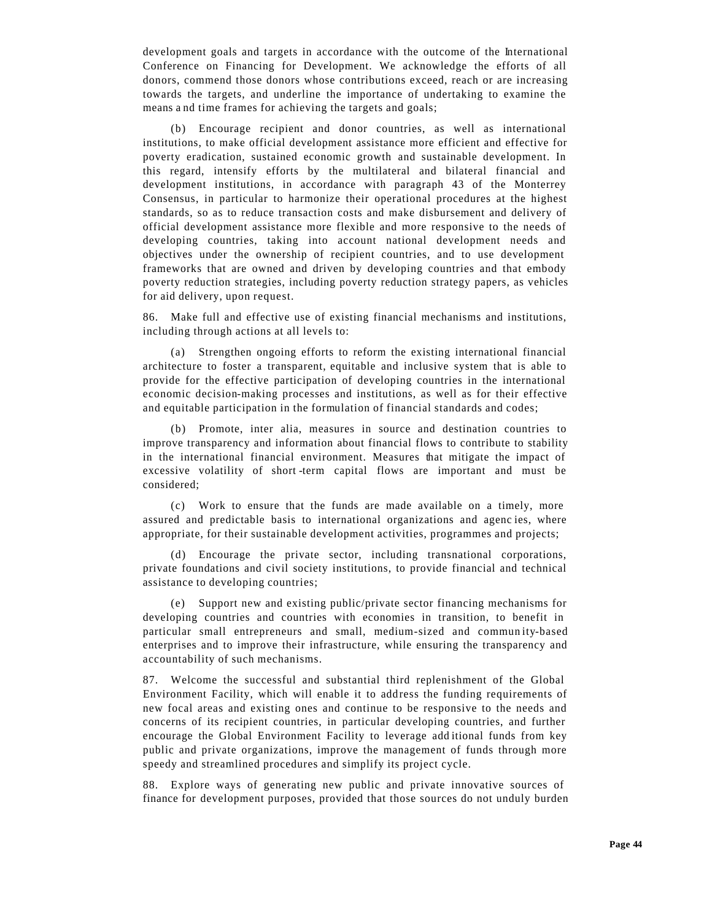development goals and targets in accordance with the outcome of the International Conference on Financing for Development. We acknowledge the efforts of all donors, commend those donors whose contributions exceed, reach or are increasing towards the targets, and underline the importance of undertaking to examine the means a nd time frames for achieving the targets and goals;

(b) Encourage recipient and donor countries, as well as international institutions, to make official development assistance more efficient and effective for poverty eradication, sustained economic growth and sustainable development. In this regard, intensify efforts by the multilateral and bilateral financial and development institutions, in accordance with paragraph 43 of the Monterrey Consensus, in particular to harmonize their operational procedures at the highest standards, so as to reduce transaction costs and make disbursement and delivery of official development assistance more flexible and more responsive to the needs of developing countries, taking into account national development needs and objectives under the ownership of recipient countries, and to use development frameworks that are owned and driven by developing countries and that embody poverty reduction strategies, including poverty reduction strategy papers, as vehicles for aid delivery, upon request.

86. Make full and effective use of existing financial mechanisms and institutions, including through actions at all levels to:

(a) Strengthen ongoing efforts to reform the existing international financial architecture to foster a transparent, equitable and inclusive system that is able to provide for the effective participation of developing countries in the international economic decision-making processes and institutions, as well as for their effective and equitable participation in the formulation of financial standards and codes;

(b) Promote, inter alia, measures in source and destination countries to improve transparency and information about financial flows to contribute to stability in the international financial environment. Measures that mitigate the impact of excessive volatility of short -term capital flows are important and must be considered;

(c) Work to ensure that the funds are made available on a timely, more assured and predictable basis to international organizations and agenc ies, where appropriate, for their sustainable development activities, programmes and projects;

(d) Encourage the private sector, including transnational corporations, private foundations and civil society institutions, to provide financial and technical assistance to developing countries;

(e) Support new and existing public/private sector financing mechanisms for developing countries and countries with economies in transition, to benefit in particular small entrepreneurs and small, medium-sized and commun ity-based enterprises and to improve their infrastructure, while ensuring the transparency and accountability of such mechanisms.

87. Welcome the successful and substantial third replenishment of the Global Environment Facility, which will enable it to address the funding requirements of new focal areas and existing ones and continue to be responsive to the needs and concerns of its recipient countries, in particular developing countries, and further encourage the Global Environment Facility to leverage add itional funds from key public and private organizations, improve the management of funds through more speedy and streamlined procedures and simplify its project cycle.

88. Explore ways of generating new public and private innovative sources of finance for development purposes, provided that those sources do not unduly burden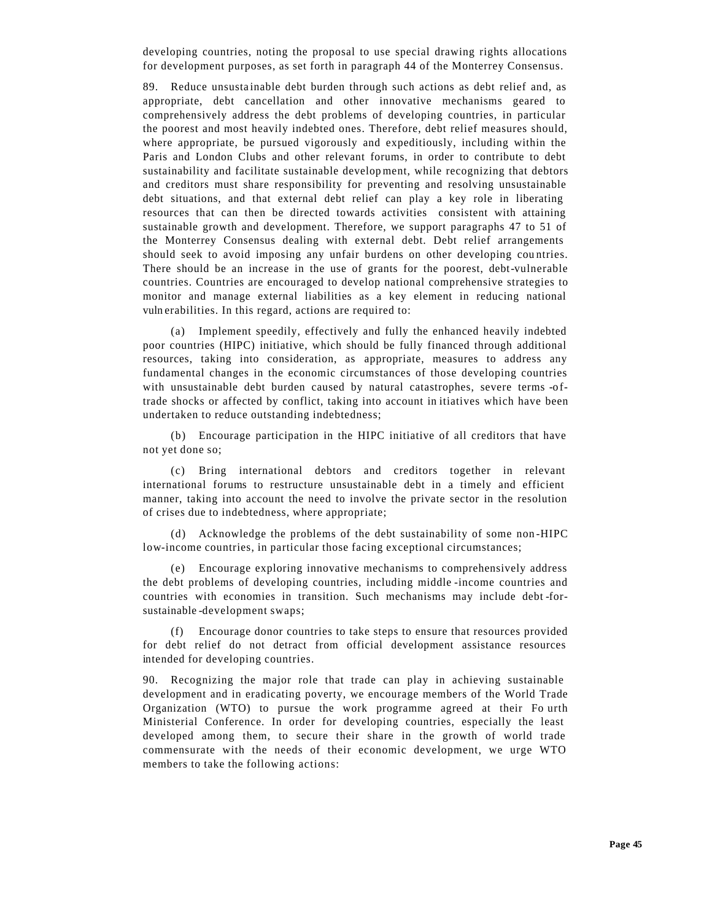developing countries, noting the proposal to use special drawing rights allocations for development purposes, as set forth in paragraph 44 of the Monterrey Consensus.

89. Reduce unsustainable debt burden through such actions as debt relief and, as appropriate, debt cancellation and other innovative mechanisms geared to comprehensively address the debt problems of developing countries, in particular the poorest and most heavily indebted ones. Therefore, debt relief measures should, where appropriate, be pursued vigorously and expeditiously, including within the Paris and London Clubs and other relevant forums, in order to contribute to debt sustainability and facilitate sustainable develop ment, while recognizing that debtors and creditors must share responsibility for preventing and resolving unsustainable debt situations, and that external debt relief can play a key role in liberating resources that can then be directed towards activities consistent with attaining sustainable growth and development. Therefore, we support paragraphs 47 to 51 of the Monterrey Consensus dealing with external debt. Debt relief arrangements should seek to avoid imposing any unfair burdens on other developing cou ntries. There should be an increase in the use of grants for the poorest, debt-vulnerable countries. Countries are encouraged to develop national comprehensive strategies to monitor and manage external liabilities as a key element in reducing national vuln erabilities. In this regard, actions are required to:

(a) Implement speedily, effectively and fully the enhanced heavily indebted poor countries (HIPC) initiative, which should be fully financed through additional resources, taking into consideration, as appropriate, measures to address any fundamental changes in the economic circumstances of those developing countries with unsustainable debt burden caused by natural catastrophes, severe terms -oftrade shocks or affected by conflict, taking into account in itiatives which have been undertaken to reduce outstanding indebtedness;

(b) Encourage participation in the HIPC initiative of all creditors that have not yet done so;

(c) Bring international debtors and creditors together in relevant international forums to restructure unsustainable debt in a timely and efficient manner, taking into account the need to involve the private sector in the resolution of crises due to indebtedness, where appropriate;

(d) Acknowledge the problems of the debt sustainability of some non -HIPC low-income countries, in particular those facing exceptional circumstances;

(e) Encourage exploring innovative mechanisms to comprehensively address the debt problems of developing countries, including middle -income countries and countries with economies in transition. Such mechanisms may include debt -forsustainable -development swaps;

(f) Encourage donor countries to take steps to ensure that resources provided for debt relief do not detract from official development assistance resources intended for developing countries.

90. Recognizing the major role that trade can play in achieving sustainable development and in eradicating poverty, we encourage members of the World Trade Organization (WTO) to pursue the work programme agreed at their Fo urth Ministerial Conference. In order for developing countries, especially the least developed among them, to secure their share in the growth of world trade commensurate with the needs of their economic development, we urge WTO members to take the following actions: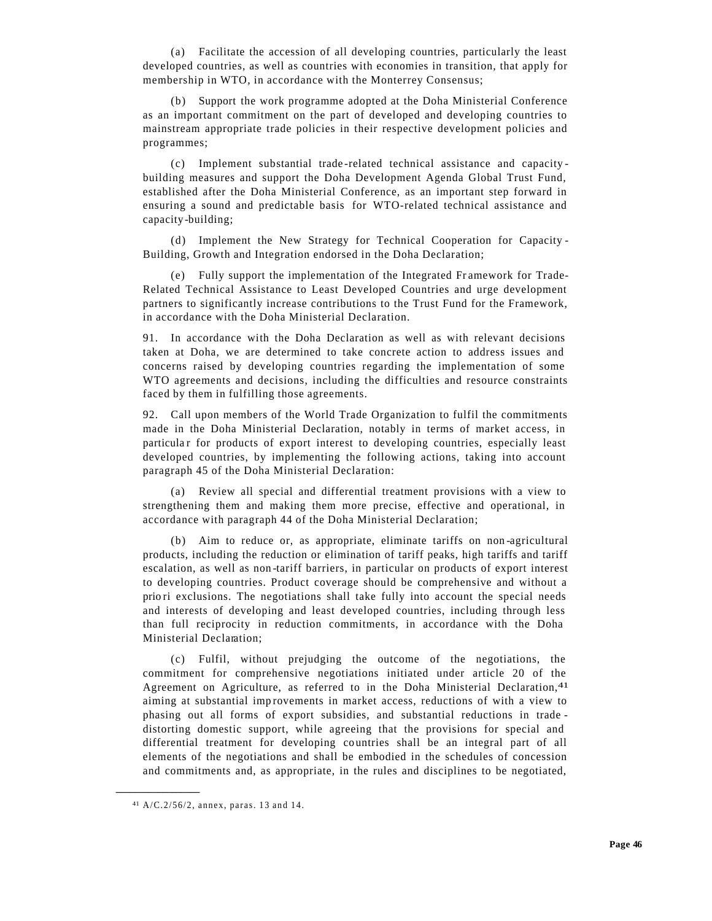(a) Facilitate the accession of all developing countries, particularly the least developed countries, as well as countries with economies in transition, that apply for membership in WTO, in accordance with the Monterrey Consensus;

(b) Support the work programme adopted at the Doha Ministerial Conference as an important commitment on the part of developed and developing countries to mainstream appropriate trade policies in their respective development policies and programmes;

(c) Implement substantial trade -related technical assistance and capacity building measures and support the Doha Development Agenda Global Trust Fund, established after the Doha Ministerial Conference, as an important step forward in ensuring a sound and predictable basis for WTO-related technical assistance and capacity -building;

(d) Implement the New Strategy for Technical Cooperation for Capacity - Building, Growth and Integration endorsed in the Doha Declaration;

(e) Fully support the implementation of the Integrated Fr amework for Trade-Related Technical Assistance to Least Developed Countries and urge development partners to significantly increase contributions to the Trust Fund for the Framework, in accordance with the Doha Ministerial Declaration.

91. In accordance with the Doha Declaration as well as with relevant decisions taken at Doha, we are determined to take concrete action to address issues and concerns raised by developing countries regarding the implementation of some WTO agreements and decisions, including the difficulties and resource constraints faced by them in fulfilling those agreements.

92. Call upon members of the World Trade Organization to fulfil the commitments made in the Doha Ministerial Declaration, notably in terms of market access, in particula r for products of export interest to developing countries, especially least developed countries, by implementing the following actions, taking into account paragraph 45 of the Doha Ministerial Declaration:

(a) Review all special and differential treatment provisions with a view to strengthening them and making them more precise, effective and operational, in accordance with paragraph 44 of the Doha Ministerial Declaration;

(b) Aim to reduce or, as appropriate, eliminate tariffs on non -agricultural products, including the reduction or elimination of tariff peaks, high tariffs and tariff escalation, as well as non -tariff barriers, in particular on products of export interest to developing countries. Product coverage should be comprehensive and without a prio ri exclusions. The negotiations shall take fully into account the special needs and interests of developing and least developed countries, including through less than full reciprocity in reduction commitments, in accordance with the Doha Ministerial Declaration;

(c) Fulfil, without prejudging the outcome of the negotiations, the commitment for comprehensive negotiations initiated under article 20 of the Agreement on Agriculture, as referred to in the Doha Ministerial Declaration,41 aiming at substantial imp rovements in market access, reductions of with a view to phasing out all forms of export subsidies, and substantial reductions in trade distorting domestic support, while agreeing that the provisions for special and differential treatment for developing countries shall be an integral part of all elements of the negotiations and shall be embodied in the schedules of concession and commitments and, as appropriate, in the rules and disciplines to be negotiated,

<sup>41</sup> A/C.2/56/2, annex, paras. 13 and 14.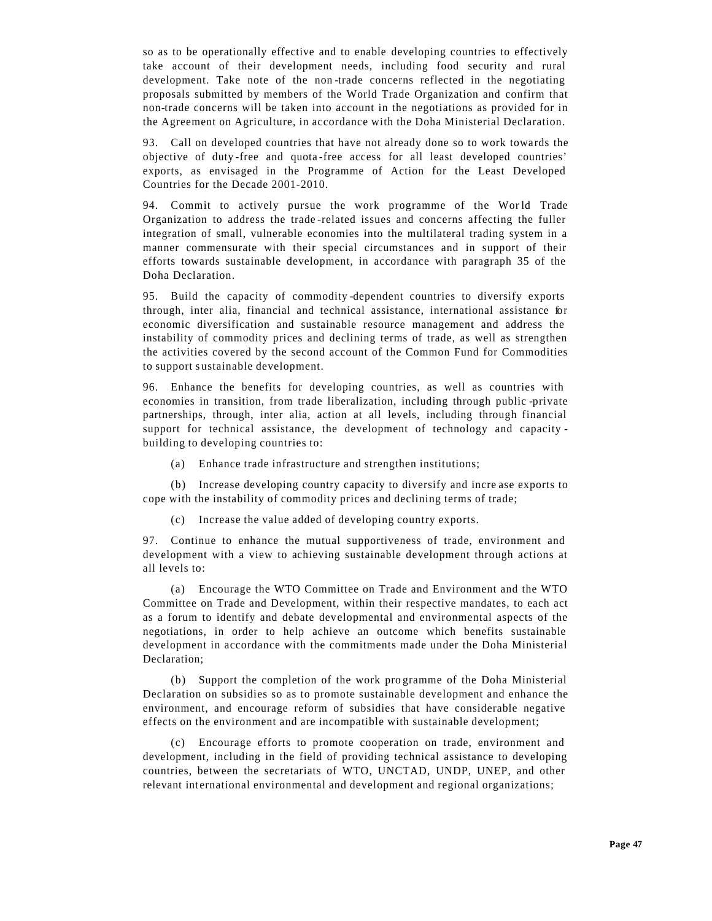so as to be operationally effective and to enable developing countries to effectively take account of their development needs, including food security and rural development. Take note of the non -trade concerns reflected in the negotiating proposals submitted by members of the World Trade Organization and confirm that non-trade concerns will be taken into account in the negotiations as provided for in the Agreement on Agriculture, in accordance with the Doha Ministerial Declaration.

93. Call on developed countries that have not already done so to work towards the objective of duty -free and quota -free access for all least developed countries' exports, as envisaged in the Programme of Action for the Least Developed Countries for the Decade 2001-2010.

94. Commit to actively pursue the work programme of the World Trade Organization to address the trade -related issues and concerns affecting the fuller integration of small, vulnerable economies into the multilateral trading system in a manner commensurate with their special circumstances and in support of their efforts towards sustainable development, in accordance with paragraph 35 of the Doha Declaration.

95. Build the capacity of commodity -dependent countries to diversify exports through, inter alia, financial and technical assistance, international assistance for economic diversification and sustainable resource management and address the instability of commodity prices and declining terms of trade, as well as strengthen the activities covered by the second account of the Common Fund for Commodities to support sustainable development.

96. Enhance the benefits for developing countries, as well as countries with economies in transition, from trade liberalization, including through public -private partnerships, through, inter alia, action at all levels, including through financial support for technical assistance, the development of technology and capacity building to developing countries to:

(a) Enhance trade infrastructure and strengthen institutions;

(b) Increase developing country capacity to diversify and incre ase exports to cope with the instability of commodity prices and declining terms of trade;

(c) Increase the value added of developing country exports.

97. Continue to enhance the mutual supportiveness of trade, environment and development with a view to achieving sustainable development through actions at all levels to:

(a) Encourage the WTO Committee on Trade and Environment and the WTO Committee on Trade and Development, within their respective mandates, to each act as a forum to identify and debate developmental and environmental aspects of the negotiations, in order to help achieve an outcome which benefits sustainable development in accordance with the commitments made under the Doha Ministerial Declaration;

(b) Support the completion of the work pro gramme of the Doha Ministerial Declaration on subsidies so as to promote sustainable development and enhance the environment, and encourage reform of subsidies that have considerable negative effects on the environment and are incompatible with sustainable development;

(c) Encourage efforts to promote cooperation on trade, environment and development, including in the field of providing technical assistance to developing countries, between the secretariats of WTO, UNCTAD, UNDP, UNEP, and other relevant international environmental and development and regional organizations;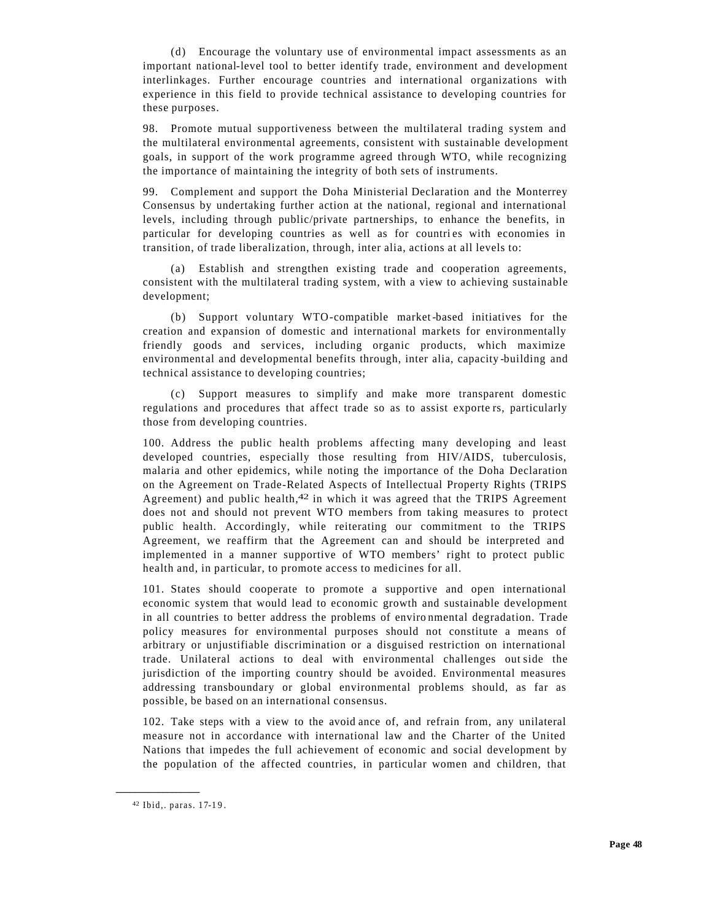(d) Encourage the voluntary use of environmental impact assessments as an important national-level tool to better identify trade, environment and development interlinkages. Further encourage countries and international organizations with experience in this field to provide technical assistance to developing countries for these purposes.

98. Promote mutual supportiveness between the multilateral trading system and the multilateral environmental agreements, consistent with sustainable development goals, in support of the work programme agreed through WTO, while recognizing the importance of maintaining the integrity of both sets of instruments.

99. Complement and support the Doha Ministerial Declaration and the Monterrey Consensus by undertaking further action at the national, regional and international levels, including through public/private partnerships, to enhance the benefits, in particular for developing countries as well as for countries with economies in transition, of trade liberalization, through, inter alia, actions at all levels to:

(a) Establish and strengthen existing trade and cooperation agreements, consistent with the multilateral trading system, with a view to achieving sustainable development;

(b) Support voluntary WTO-compatible market-based initiatives for the creation and expansion of domestic and international markets for environmentally friendly goods and services, including organic products, which maximize environmental and developmental benefits through, inter alia, capacity-building and technical assistance to developing countries;

(c) Support measures to simplify and make more transparent domestic regulations and procedures that affect trade so as to assist exporte rs, particularly those from developing countries.

100. Address the public health problems affecting many developing and least developed countries, especially those resulting from HIV/AIDS, tuberculosis, malaria and other epidemics, while noting the importance of the Doha Declaration on the Agreement on Trade-Related Aspects of Intellectual Property Rights (TRIPS Agreement) and public health,<sup>42</sup> in which it was agreed that the TRIPS Agreement does not and should not prevent WTO members from taking measures to protect public health. Accordingly, while reiterating our commitment to the TRIPS Agreement, we reaffirm that the Agreement can and should be interpreted and implemented in a manner supportive of WTO members' right to protect public health and, in particular, to promote access to medicines for all.

101. States should cooperate to promote a supportive and open international economic system that would lead to economic growth and sustainable development in all countries to better address the problems of enviro nmental degradation. Trade policy measures for environmental purposes should not constitute a means of arbitrary or unjustifiable discrimination or a disguised restriction on international trade. Unilateral actions to deal with environmental challenges out side the jurisdiction of the importing country should be avoided. Environmental measures addressing transboundary or global environmental problems should, as far as possible, be based on an international consensus.

102. Take steps with a view to the avoid ance of, and refrain from, any unilateral measure not in accordance with international law and the Charter of the United Nations that impedes the full achievement of economic and social development by the population of the affected countries, in particular women and children, that

<sup>42</sup> Ibid,. paras. 17-19.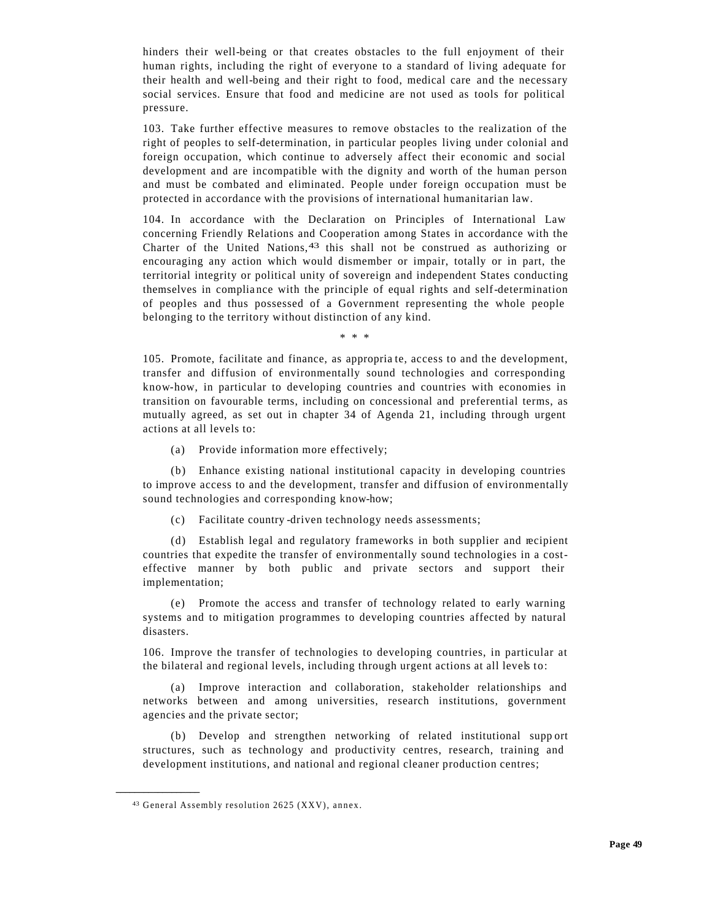hinders their well-being or that creates obstacles to the full enjoyment of their human rights, including the right of everyone to a standard of living adequate for their health and well-being and their right to food, medical care and the necessary social services. Ensure that food and medicine are not used as tools for political pressure.

103. Take further effective measures to remove obstacles to the realization of the right of peoples to self-determination, in particular peoples living under colonial and foreign occupation, which continue to adversely affect their economic and social development and are incompatible with the dignity and worth of the human person and must be combated and eliminated. People under foreign occupation must be protected in accordance with the provisions of international humanitarian law.

104. In accordance with the Declaration on Principles of International Law concerning Friendly Relations and Cooperation among States in accordance with the Charter of the United Nations,43 this shall not be construed as authorizing or encouraging any action which would dismember or impair, totally or in part, the territorial integrity or political unity of sovereign and independent States conducting themselves in complia nce with the principle of equal rights and self-determination of peoples and thus possessed of a Government representing the whole people belonging to the territory without distinction of any kind.

\* \* \*

105. Promote, facilitate and finance, as appropria te, access to and the development, transfer and diffusion of environmentally sound technologies and corresponding know-how, in particular to developing countries and countries with economies in transition on favourable terms, including on concessional and preferential terms, as mutually agreed, as set out in chapter 34 of Agenda 21, including through urgent actions at all levels to:

(a) Provide information more effectively;

(b) Enhance existing national institutional capacity in developing countries to improve access to and the development, transfer and diffusion of environmentally sound technologies and corresponding know-how;

(c) Facilitate country -driven technology needs assessments;

(d) Establish legal and regulatory frameworks in both supplier and recipient countries that expedite the transfer of environmentally sound technologies in a costeffective manner by both public and private sectors and support their implementation;

(e) Promote the access and transfer of technology related to early warning systems and to mitigation programmes to developing countries affected by natural disasters.

106. Improve the transfer of technologies to developing countries, in particular at the bilateral and regional levels, including through urgent actions at all levels to:

(a) Improve interaction and collaboration, stakeholder relationships and networks between and among universities, research institutions, government agencies and the private sector;

(b) Develop and strengthen networking of related institutional supp ort structures, such as technology and productivity centres, research, training and development institutions, and national and regional cleaner production centres;

<sup>43</sup> General Assembly resolution 2625 (XXV), annex.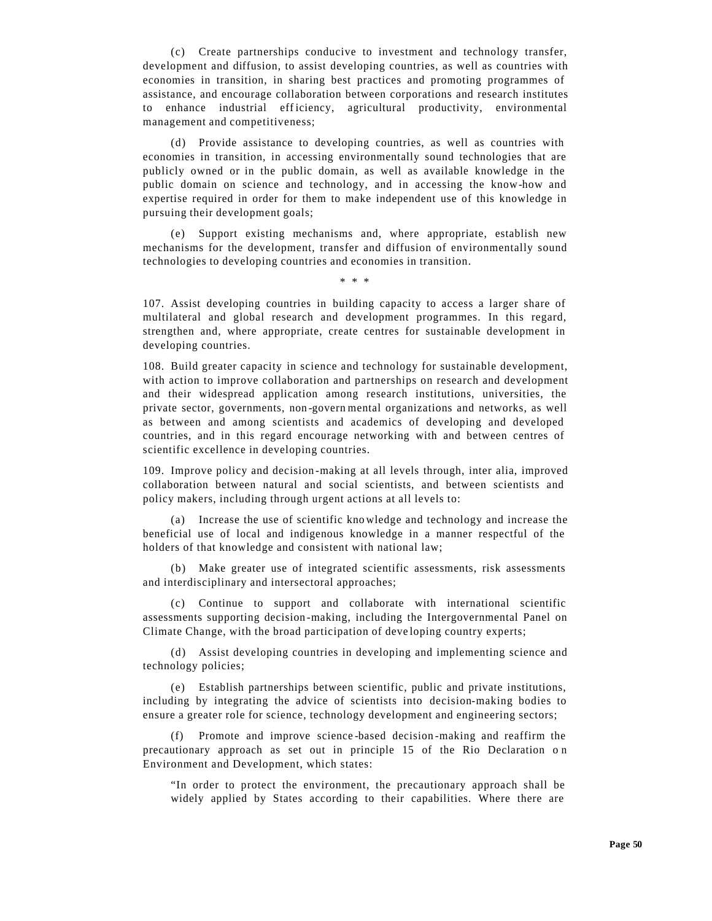(c) Create partnerships conducive to investment and technology transfer, development and diffusion, to assist developing countries, as well as countries with economies in transition, in sharing best practices and promoting programmes of assistance, and encourage collaboration between corporations and research institutes to enhance industrial efficiency, agricultural productivity, environmental management and competitiveness;

(d) Provide assistance to developing countries, as well as countries with economies in transition, in accessing environmentally sound technologies that are publicly owned or in the public domain, as well as available knowledge in the public domain on science and technology, and in accessing the know-how and expertise required in order for them to make independent use of this knowledge in pursuing their development goals;

(e) Support existing mechanisms and, where appropriate, establish new mechanisms for the development, transfer and diffusion of environmentally sound technologies to developing countries and economies in transition.

\* \* \*

107. Assist developing countries in building capacity to access a larger share of multilateral and global research and development programmes. In this regard, strengthen and, where appropriate, create centres for sustainable development in developing countries.

108. Build greater capacity in science and technology for sustainable development, with action to improve collaboration and partnerships on research and development and their widespread application among research institutions, universities, the private sector, governments, non -govern mental organizations and networks, as well as between and among scientists and academics of developing and developed countries, and in this regard encourage networking with and between centres of scientific excellence in developing countries.

109. Improve policy and decision -making at all levels through, inter alia, improved collaboration between natural and social scientists, and between scientists and policy makers, including through urgent actions at all levels to:

(a) Increase the use of scientific kno wledge and technology and increase the beneficial use of local and indigenous knowledge in a manner respectful of the holders of that knowledge and consistent with national law;

(b) Make greater use of integrated scientific assessments, risk assessments and interdisciplinary and intersectoral approaches;

(c) Continue to support and collaborate with international scientific assessments supporting decision -making, including the Intergovernmental Panel on Climate Change, with the broad participation of deve loping country experts;

(d) Assist developing countries in developing and implementing science and technology policies;

(e) Establish partnerships between scientific, public and private institutions, including by integrating the advice of scientists into decision-making bodies to ensure a greater role for science, technology development and engineering sectors;

(f) Promote and improve science -based decision -making and reaffirm the precautionary approach as set out in principle 15 of the Rio Declaration o n Environment and Development, which states:

"In order to protect the environment, the precautionary approach shall be widely applied by States according to their capabilities. Where there are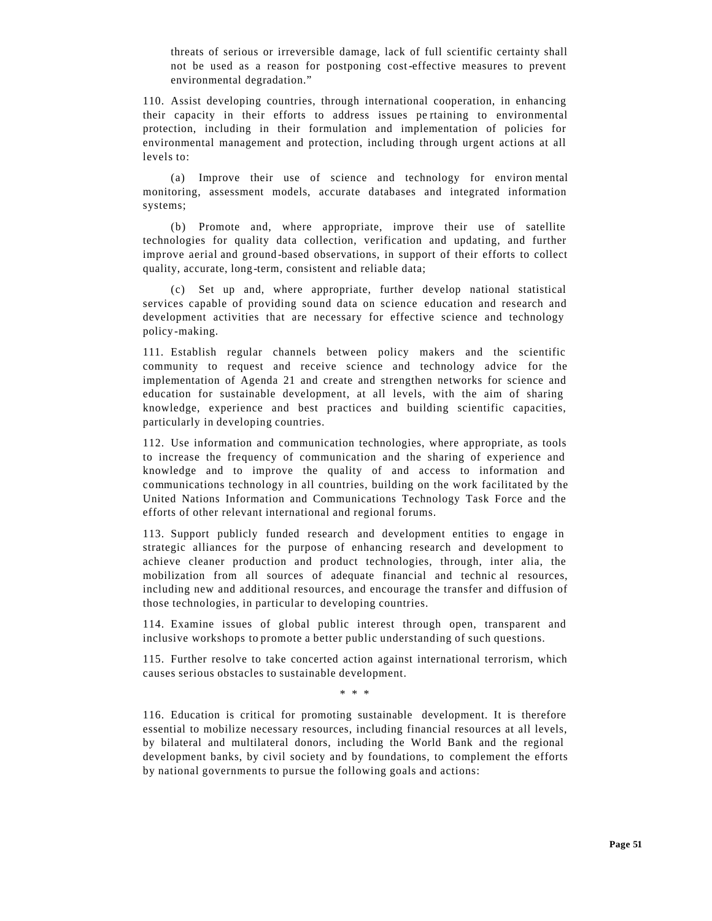threats of serious or irreversible damage, lack of full scientific certainty shall not be used as a reason for postponing cost-effective measures to prevent environmental degradation."

110. Assist developing countries, through international cooperation, in enhancing their capacity in their efforts to address issues pe rtaining to environmental protection, including in their formulation and implementation of policies for environmental management and protection, including through urgent actions at all levels to:

(a) Improve their use of science and technology for environ mental monitoring, assessment models, accurate databases and integrated information systems;

(b) Promote and, where appropriate, improve their use of satellite technologies for quality data collection, verification and updating, and further improve aerial and ground -based observations, in support of their efforts to collect quality, accurate, long -term, consistent and reliable data;

(c) Set up and, where appropriate, further develop national statistical services capable of providing sound data on science education and research and development activities that are necessary for effective science and technology policy -making.

111. Establish regular channels between policy makers and the scientific community to request and receive science and technology advice for the implementation of Agenda 21 and create and strengthen networks for science and education for sustainable development, at all levels, with the aim of sharing knowledge, experience and best practices and building scientific capacities, particularly in developing countries.

112. Use information and communication technologies, where appropriate, as tools to increase the frequency of communication and the sharing of experience and knowledge and to improve the quality of and access to information and communications technology in all countries, building on the work facilitated by the United Nations Information and Communications Technology Task Force and the efforts of other relevant international and regional forums.

113. Support publicly funded research and development entities to engage in strategic alliances for the purpose of enhancing research and development to achieve cleaner production and product technologies, through, inter alia, the mobilization from all sources of adequate financial and technic al resources, including new and additional resources, and encourage the transfer and diffusion of those technologies, in particular to developing countries.

114. Examine issues of global public interest through open, transparent and inclusive workshops to promote a better public understanding of such questions.

115. Further resolve to take concerted action against international terrorism, which causes serious obstacles to sustainable development.

\* \* \*

116. Education is critical for promoting sustainable development. It is therefore essential to mobilize necessary resources, including financial resources at all levels, by bilateral and multilateral donors, including the World Bank and the regional development banks, by civil society and by foundations, to complement the efforts by national governments to pursue the following goals and actions: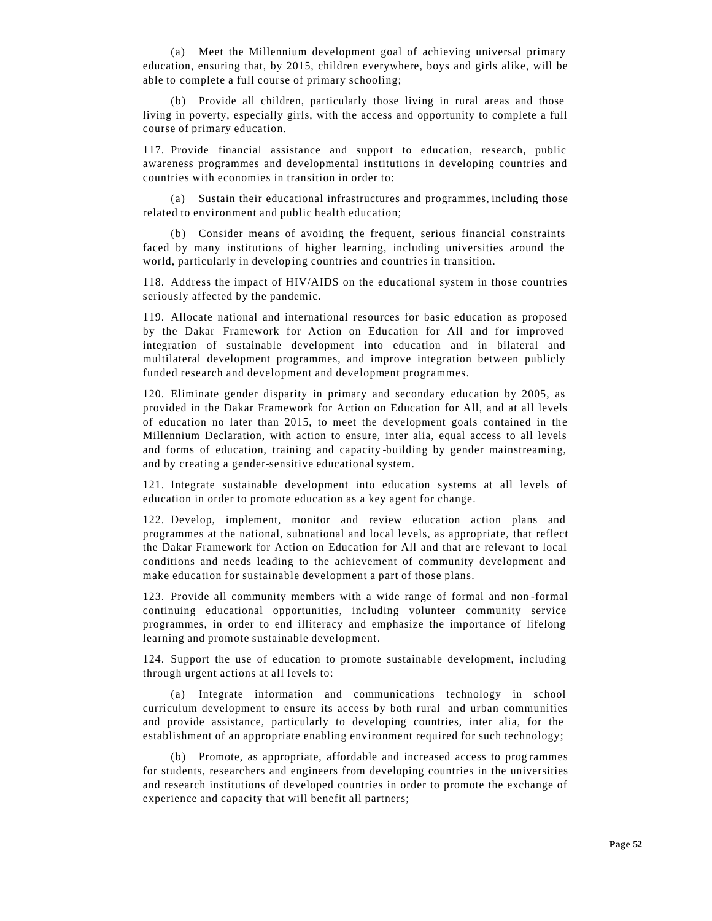(a) Meet the Millennium development goal of achieving universal primary education, ensuring that, by 2015, children everywhere, boys and girls alike, will be able to complete a full course of primary schooling;

(b) Provide all children, particularly those living in rural areas and those living in poverty, especially girls, with the access and opportunity to complete a full course of primary education.

117. Provide financial assistance and support to education, research, public awareness programmes and developmental institutions in developing countries and countries with economies in transition in order to:

(a) Sustain their educational infrastructures and programmes, including those related to environment and public health education;

(b) Consider means of avoiding the frequent, serious financial constraints faced by many institutions of higher learning, including universities around the world, particularly in developing countries and countries in transition.

118. Address the impact of HIV/AIDS on the educational system in those countries seriously affected by the pandemic.

119. Allocate national and international resources for basic education as proposed by the Dakar Framework for Action on Education for All and for improved integration of sustainable development into education and in bilateral and multilateral development programmes, and improve integration between publicly funded research and development and development programmes.

120. Eliminate gender disparity in primary and secondary education by 2005, as provided in the Dakar Framework for Action on Education for All, and at all levels of education no later than 2015, to meet the development goals contained in the Millennium Declaration, with action to ensure, inter alia, equal access to all levels and forms of education, training and capacity -building by gender mainstreaming, and by creating a gender-sensitive educational system.

121. Integrate sustainable development into education systems at all levels of education in order to promote education as a key agent for change.

122. Develop, implement, monitor and review education action plans and programmes at the national, subnational and local levels, as appropriate, that reflect the Dakar Framework for Action on Education for All and that are relevant to local conditions and needs leading to the achievement of community development and make education for sustainable development a part of those plans.

123. Provide all community members with a wide range of formal and non -formal continuing educational opportunities, including volunteer community service programmes, in order to end illiteracy and emphasize the importance of lifelong learning and promote sustainable development.

124. Support the use of education to promote sustainable development, including through urgent actions at all levels to:

(a) Integrate information and communications technology in school curriculum development to ensure its access by both rural and urban communities and provide assistance, particularly to developing countries, inter alia, for the establishment of an appropriate enabling environment required for such technology;

(b) Promote, as appropriate, affordable and increased access to prog rammes for students, researchers and engineers from developing countries in the universities and research institutions of developed countries in order to promote the exchange of experience and capacity that will benefit all partners;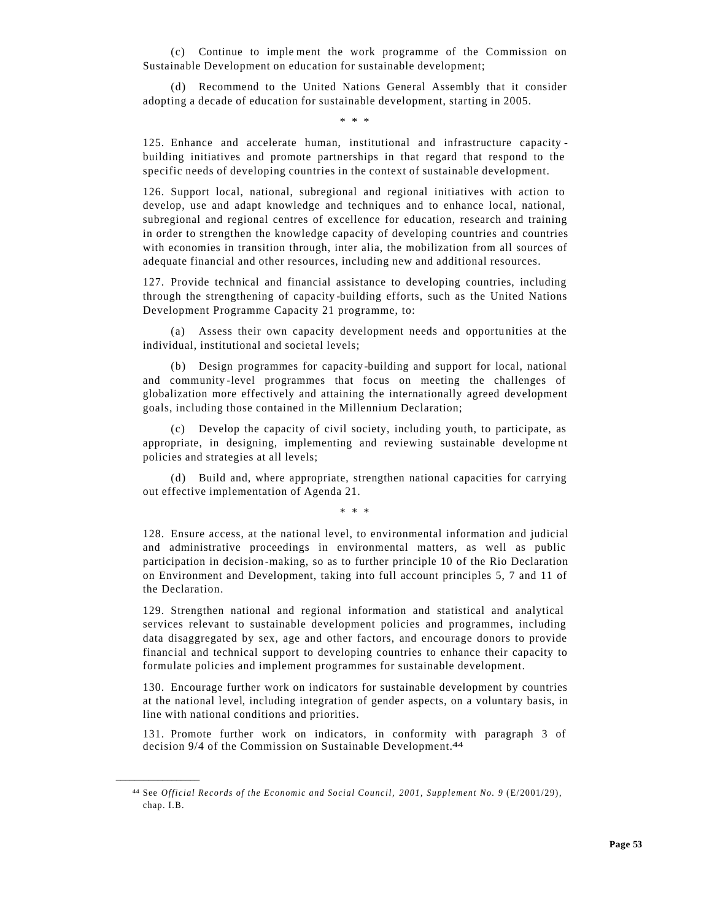(c) Continue to imple ment the work programme of the Commission on Sustainable Development on education for sustainable development;

(d) Recommend to the United Nations General Assembly that it consider adopting a decade of education for sustainable development, starting in 2005.

\* \* \*

125. Enhance and accelerate human, institutional and infrastructure capacity building initiatives and promote partnerships in that regard that respond to the specific needs of developing countries in the context of sustainable development.

126. Support local, national, subregional and regional initiatives with action to develop, use and adapt knowledge and techniques and to enhance local, national, subregional and regional centres of excellence for education, research and training in order to strengthen the knowledge capacity of developing countries and countries with economies in transition through, inter alia, the mobilization from all sources of adequate financial and other resources, including new and additional resources.

127. Provide technical and financial assistance to developing countries, including through the strengthening of capacity -building efforts, such as the United Nations Development Programme Capacity 21 programme, to:

(a) Assess their own capacity development needs and opportu nities at the individual, institutional and societal levels;

(b) Design programmes for capacity -building and support for local, national and community -level programmes that focus on meeting the challenges of globalization more effectively and attaining the internationally agreed development goals, including those contained in the Millennium Declaration;

(c) Develop the capacity of civil society, including youth, to participate, as appropriate, in designing, implementing and reviewing sustainable developme nt policies and strategies at all levels;

(d) Build and, where appropriate, strengthen national capacities for carrying out effective implementation of Agenda 21.

\* \* \*

128. Ensure access, at the national level, to environmental information and judicial and administrative proceedings in environmental matters, as well as public participation in decision -making, so as to further principle 10 of the Rio Declaration on Environment and Development, taking into full account principles 5, 7 and 11 of the Declaration.

129. Strengthen national and regional information and statistical and analytical services relevant to sustainable development policies and programmes, including data disaggregated by sex, age and other factors, and encourage donors to provide financ ial and technical support to developing countries to enhance their capacity to formulate policies and implement programmes for sustainable development.

130. Encourage further work on indicators for sustainable development by countries at the national level, including integration of gender aspects, on a voluntary basis, in line with national conditions and priorities.

131. Promote further work on indicators, in conformity with paragraph 3 of decision 9/4 of the Commission on Sustainable Development.<sup>44</sup>

<sup>44</sup> See *Official Records of the Economic and Social Council, 2001, Supplement No. 9* (E/2001/29), chap. I.B.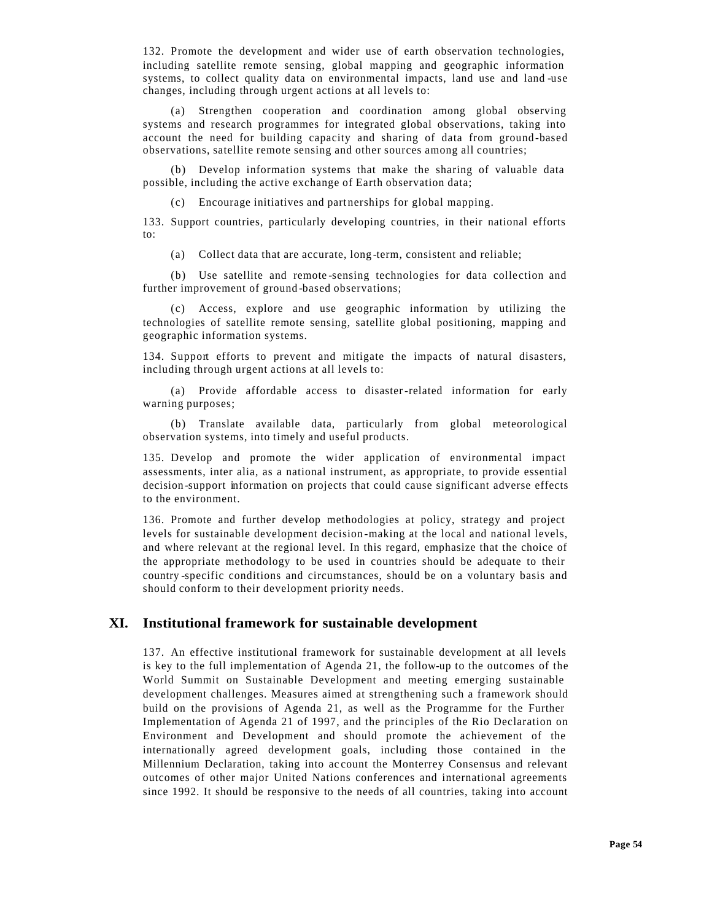132. Promote the development and wider use of earth observation technologies, including satellite remote sensing, global mapping and geographic information systems, to collect quality data on environmental impacts, land use and land -use changes, including through urgent actions at all levels to:

(a) Strengthen cooperation and coordination among global observing systems and research programmes for integrated global observations, taking into account the need for building capacity and sharing of data from ground -based observations, satellite remote sensing and other sources among all countries;

(b) Develop information systems that make the sharing of valuable data possible, including the active exchange of Earth observation data;

(c) Encourage initiatives and part nerships for global mapping.

133. Support countries, particularly developing countries, in their national efforts to:

(a) Collect data that are accurate, long -term, consistent and reliable;

(b) Use satellite and remote-sensing technologies for data collection and further improvement of ground -based observations;

(c) Access, explore and use geographic information by utilizing the technologies of satellite remote sensing, satellite global positioning, mapping and geographic information systems.

134. Support efforts to prevent and mitigate the impacts of natural disasters, including through urgent actions at all levels to:

(a) Provide affordable access to disaster-related information for early warning purposes;

(b) Translate available data, particularly from global meteorological observation systems, into timely and useful products.

135. Develop and promote the wider application of environmental impact assessments, inter alia, as a national instrument, as appropriate, to provide essential decision -support information on projects that could cause significant adverse effects to the environment.

136. Promote and further develop methodologies at policy, strategy and project levels for sustainable development decision -making at the local and national levels, and where relevant at the regional level. In this regard, emphasize that the choice of the appropriate methodology to be used in countries should be adequate to their country -specific conditions and circumstances, should be on a voluntary basis and should conform to their development priority needs.

#### **XI. Institutional framework for sustainable development**

137. An effective institutional framework for sustainable development at all levels is key to the full implementation of Agenda 21, the follow-up to the outcomes of the World Summit on Sustainable Development and meeting emerging sustainable development challenges. Measures aimed at strengthening such a framework should build on the provisions of Agenda 21, as well as the Programme for the Further Implementation of Agenda 21 of 1997, and the principles of the Rio Declaration on Environment and Development and should promote the achievement of the internationally agreed development goals, including those contained in the Millennium Declaration, taking into ac count the Monterrey Consensus and relevant outcomes of other major United Nations conferences and international agreements since 1992. It should be responsive to the needs of all countries, taking into account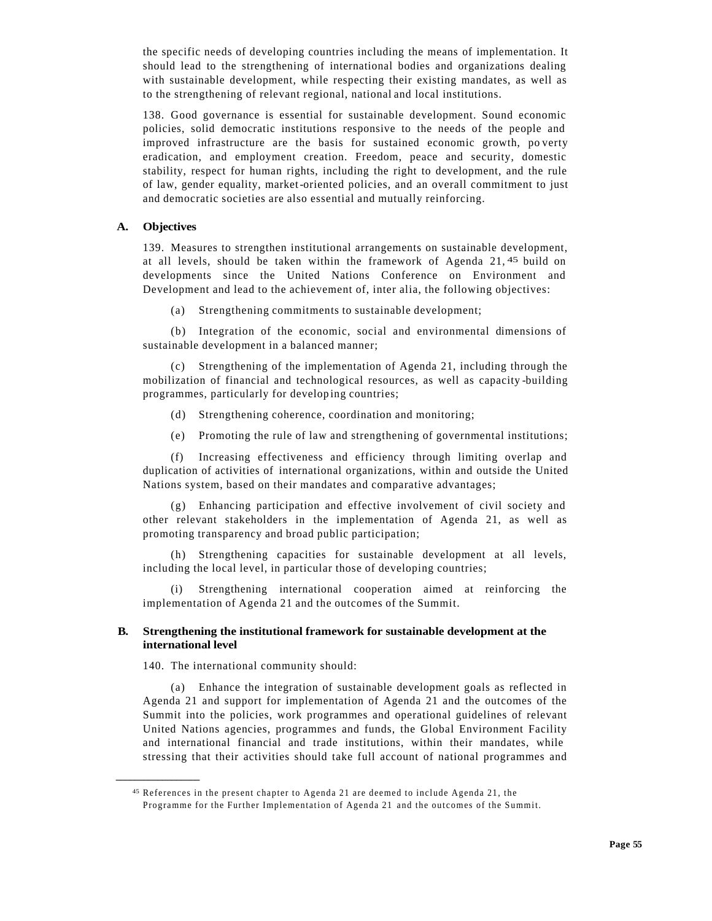the specific needs of developing countries including the means of implementation. It should lead to the strengthening of international bodies and organizations dealing with sustainable development, while respecting their existing mandates, as well as to the strengthening of relevant regional, national and local institutions.

138. Good governance is essential for sustainable development. Sound economic policies, solid democratic institutions responsive to the needs of the people and improved infrastructure are the basis for sustained economic growth, po verty eradication, and employment creation. Freedom, peace and security, domestic stability, respect for human rights, including the right to development, and the rule of law, gender equality, market-oriented policies, and an overall commitment to just and democratic societies are also essential and mutually reinforcing.

#### **A. Objectives**

**\_\_\_\_\_\_\_\_\_\_\_\_\_\_\_\_\_\_**

139. Measures to strengthen institutional arrangements on sustainable development, at all levels, should be taken within the framework of Agenda 21, 45 build on developments since the United Nations Conference on Environment and Development and lead to the achievement of, inter alia, the following objectives:

(a) Strengthening commitments to sustainable development;

(b) Integration of the economic, social and environmental dimensions of sustainable development in a balanced manner;

(c) Strengthening of the implementation of Agenda 21, including through the mobilization of financial and technological resources, as well as capacity -building programmes, particularly for developing countries;

- (d) Strengthening coherence, coordination and monitoring;
- (e) Promoting the rule of law and strengthening of governmental institutions;

(f) Increasing effectiveness and efficiency through limiting overlap and duplication of activities of international organizations, within and outside the United Nations system, based on their mandates and comparative advantages;

(g) Enhancing participation and effective involvement of civil society and other relevant stakeholders in the implementation of Agenda 21, as well as promoting transparency and broad public participation;

(h) Strengthening capacities for sustainable development at all levels, including the local level, in particular those of developing countries;

(i) Strengthening international cooperation aimed at reinforcing the implementation of Agenda 21 and the outcomes of the Summit.

#### **B. Strengthening the institutional framework for sustainable development at the international level**

140. The international community should:

(a) Enhance the integration of sustainable development goals as reflected in Agenda 21 and support for implementation of Agenda 21 and the outcomes of the Summit into the policies, work programmes and operational guidelines of relevant United Nations agencies, programmes and funds, the Global Environment Facility and international financial and trade institutions, within their mandates, while stressing that their activities should take full account of national programmes and

<sup>45</sup> References in the present chapter to Agenda 21 are deemed to include Agenda 21, the Programme for the Further Implementation of Agenda 21 and the outcomes of the Summit.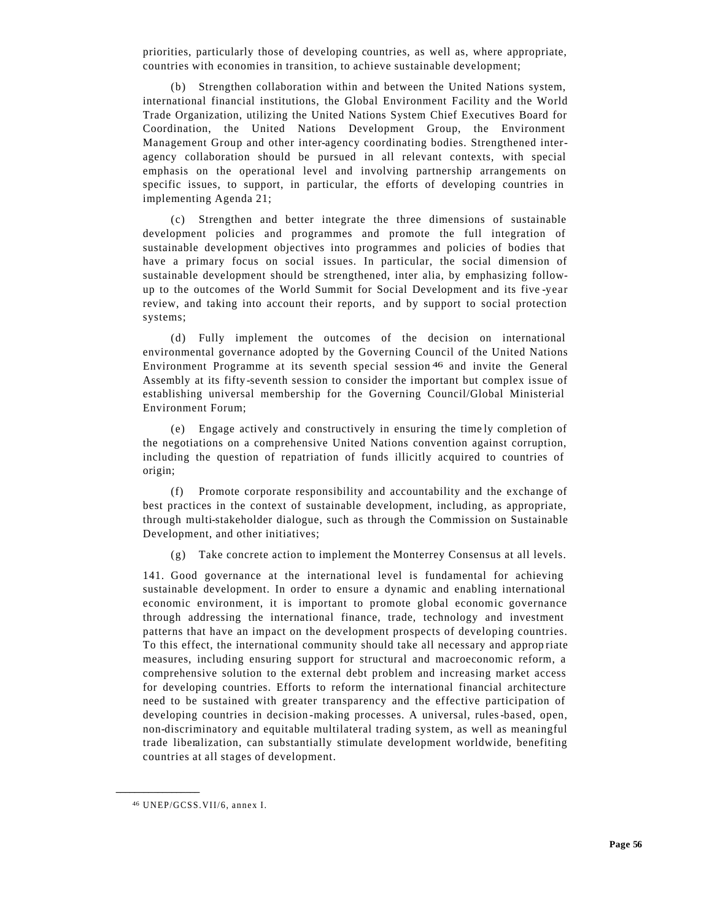priorities, particularly those of developing countries, as well as, where appropriate, countries with economies in transition, to achieve sustainable development;

(b) Strengthen collaboration within and between the United Nations system, international financial institutions, the Global Environment Facility and the World Trade Organization, utilizing the United Nations System Chief Executives Board for Coordination, the United Nations Development Group, the Environment Management Group and other inter-agency coordinating bodies. Strengthened interagency collaboration should be pursued in all relevant contexts, with special emphasis on the operational level and involving partnership arrangements on specific issues, to support, in particular, the efforts of developing countries in implementing Agenda 21;

(c) Strengthen and better integrate the three dimensions of sustainable development policies and programmes and promote the full integration of sustainable development objectives into programmes and policies of bodies that have a primary focus on social issues. In particular, the social dimension of sustainable development should be strengthened, inter alia, by emphasizing followup to the outcomes of the World Summit for Social Development and its five -year review, and taking into account their reports, and by support to social protection systems;

(d) Fully implement the outcomes of the decision on international environmental governance adopted by the Governing Council of the United Nations Environment Programme at its seventh special session 46 and invite the General Assembly at its fifty -seventh session to consider the important but complex issue of establishing universal membership for the Governing Council/Global Ministerial Environment Forum;

(e) Engage actively and constructively in ensuring the time ly completion of the negotiations on a comprehensive United Nations convention against corruption, including the question of repatriation of funds illicitly acquired to countries of origin;

(f) Promote corporate responsibility and accountability and the exchange of best practices in the context of sustainable development, including, as appropriate, through multi-stakeholder dialogue, such as through the Commission on Sustainable Development, and other initiatives;

(g) Take concrete action to implement the Monterrey Consensus at all levels.

141. Good governance at the international level is fundamental for achieving sustainable development. In order to ensure a dynamic and enabling international economic environment, it is important to promote global economic governance through addressing the international finance, trade, technology and investment patterns that have an impact on the development prospects of developing countries. To this effect, the international community should take all necessary and approp riate measures, including ensuring support for structural and macroeconomic reform, a comprehensive solution to the external debt problem and increasing market access for developing countries. Efforts to reform the international financial architecture need to be sustained with greater transparency and the effective participation of developing countries in decision -making processes. A universal, rules-based, open, non-discriminatory and equitable multilateral trading system, as well as meaningful trade liberalization, can substantially stimulate development worldwide, benefiting countries at all stages of development.

<sup>46</sup> UNEP/GCSS.VII/6, annex I.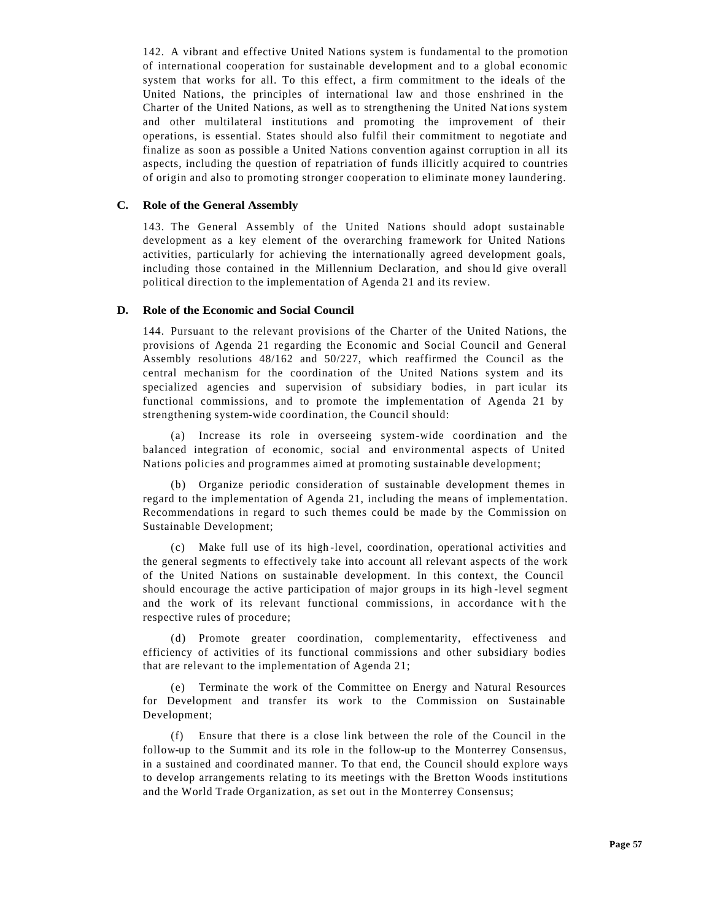142. A vibrant and effective United Nations system is fundamental to the promotion of international cooperation for sustainable development and to a global economic system that works for all. To this effect, a firm commitment to the ideals of the United Nations, the principles of international law and those enshrined in the Charter of the United Nations, as well as to strengthening the United Nat ions system and other multilateral institutions and promoting the improvement of their operations, is essential. States should also fulfil their commitment to negotiate and finalize as soon as possible a United Nations convention against corruption in all its aspects, including the question of repatriation of funds illicitly acquired to countries of origin and also to promoting stronger cooperation to eliminate money laundering.

#### **C. Role of the General Assembly**

143. The General Assembly of the United Nations should adopt sustainable development as a key element of the overarching framework for United Nations activities, particularly for achieving the internationally agreed development goals, including those contained in the Millennium Declaration, and shou ld give overall political direction to the implementation of Agenda 21 and its review.

#### **D. Role of the Economic and Social Council**

144. Pursuant to the relevant provisions of the Charter of the United Nations, the provisions of Agenda 21 regarding the Economic and Social Council and General Assembly resolutions 48/162 and 50/227, which reaffirmed the Council as the central mechanism for the coordination of the United Nations system and its specialized agencies and supervision of subsidiary bodies, in part icular its functional commissions, and to promote the implementation of Agenda 21 by strengthening system-wide coordination, the Council should:

(a) Increase its role in overseeing system-wide coordination and the balanced integration of economic, social and environmental aspects of United Nations policies and programmes aimed at promoting sustainable development;

(b) Organize periodic consideration of sustainable development themes in regard to the implementation of Agenda 21, including the means of implementation. Recommendations in regard to such themes could be made by the Commission on Sustainable Development;

(c) Make full use of its high -level, coordination, operational activities and the general segments to effectively take into account all relevant aspects of the work of the United Nations on sustainable development. In this context, the Council should encourage the active participation of major groups in its high -level segment and the work of its relevant functional commissions, in accordance with the respective rules of procedure;

(d) Promote greater coordination, complementarity, effectiveness and efficiency of activities of its functional commissions and other subsidiary bodies that are relevant to the implementation of Agenda 21;

(e) Termina te the work of the Committee on Energy and Natural Resources for Development and transfer its work to the Commission on Sustainable Development;

(f) Ensure that there is a close link between the role of the Council in the follow-up to the Summit and its role in the follow-up to the Monterrey Consensus, in a sustained and coordinated manner. To that end, the Council should explore ways to develop arrangements relating to its meetings with the Bretton Woods institutions and the World Trade Organization, as set out in the Monterrey Consensus;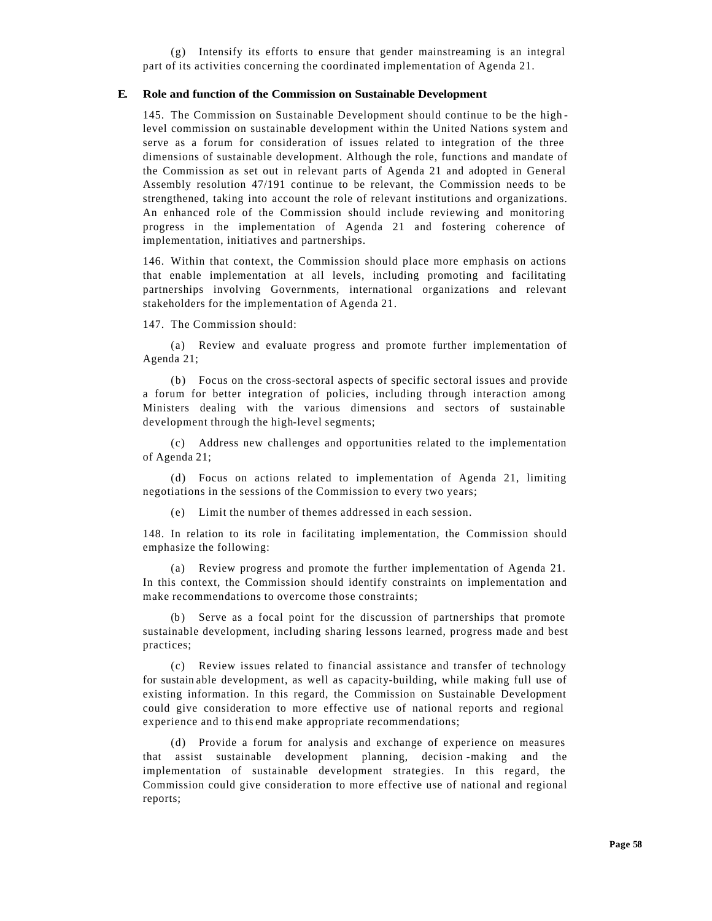(g) Intensify its efforts to ensure that gender mainstreaming is an integral part of its activities concerning the coordinated implementation of Agenda 21.

#### **E. Role and function of the Commission on Sustainable Development**

145. The Commission on Sustainable Development should continue to be the high level commission on sustainable development within the United Nations system and serve as a forum for consideration of issues related to integration of the three dimensions of sustainable development. Although the role, functions and mandate of the Commission as set out in relevant parts of Agenda 21 and adopted in General Assembly resolution 47/191 continue to be relevant, the Commission needs to be strengthened, taking into account the role of relevant institutions and organizations. An enhanced role of the Commission should include reviewing and monitoring progress in the implementation of Agenda 21 and fostering coherence of implementation, initiatives and partnerships.

146. Within that context, the Commission should place more emphasis on actions that enable implementation at all levels, including promoting and facilitating partnerships involving Governments, international organizations and relevant stakeholders for the implementation of Agenda 21.

147. The Commission should:

(a) Review and evaluate progress and promote further implementation of Agenda 21;

(b) Focus on the cross-sectoral aspects of specific sectoral issues and provide a forum for better integration of policies, including through interaction among Ministers dealing with the various dimensions and sectors of sustainable development through the high-level segments;

(c) Address new challenges and opportunities related to the implementation of Agenda 21;

(d) Focus on actions related to implementation of Agenda 21, limiting negotiations in the sessions of the Commission to every two years;

(e) Limit the number of themes addressed in each session.

148. In relation to its role in facilitating implementation, the Commission should emphasize the following:

(a) Review progress and promote the further implementation of Agenda 21. In this context, the Commission should identify constraints on implementation and make recommendations to overcome those constraints;

(b) Serve as a focal point for the discussion of partnerships that promote sustainable development, including sharing lessons learned, progress made and best practices;

(c) Review issues related to financial assistance and transfer of technology for sustain able development, as well as capacity-building, while making full use of existing information. In this regard, the Commission on Sustainable Development could give consideration to more effective use of national reports and regional experience and to this end make appropriate recommendations;

(d) Provide a forum for analysis and exchange of experience on measures that assist sustainable development planning, decision -making and the implementation of sustainable development strategies. In this regard, the Commission could give consideration to more effective use of national and regional reports;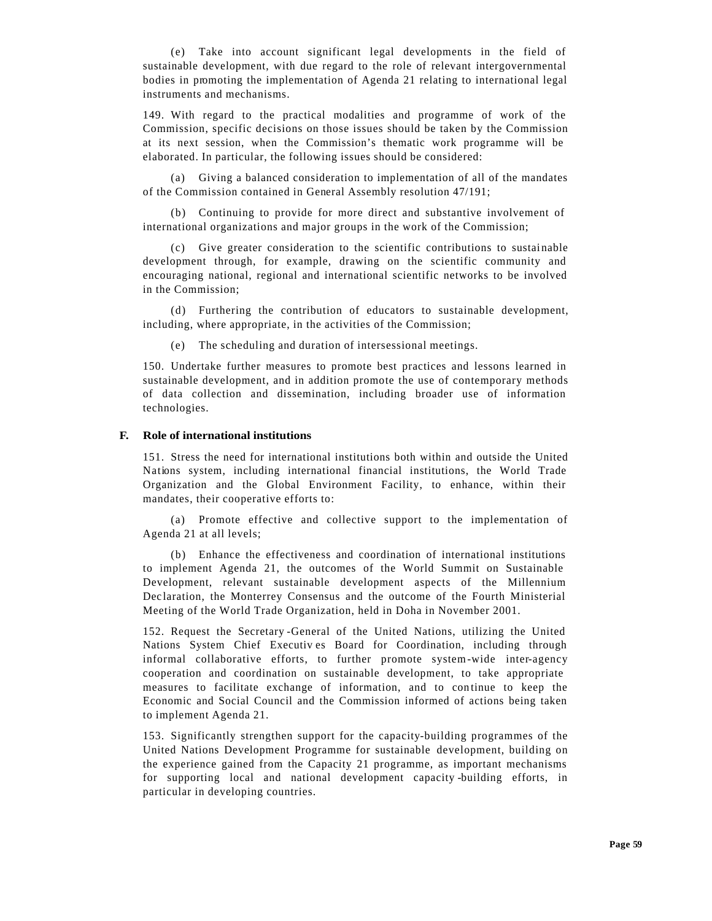(e) Take into account significant legal developments in the field of sustainable development, with due regard to the role of relevant intergovernmental bodies in promoting the implementation of Agenda 21 relating to international legal instruments and mechanisms.

149. With regard to the practical modalities and programme of work of the Commission, specific decisions on those issues should be taken by the Commission at its next session, when the Commission's thematic work programme will be elaborated. In particular, the following issues should be considered:

(a) Giving a balanced consideration to implementation of all of the mandates of the Commission contained in General Assembly resolution 47/191;

(b) Continuing to provide for more direct and substantive involvement of international organizations and major groups in the work of the Commission;

(c) Give greater consideration to the scientific contributions to sustai nable development through, for example, drawing on the scientific community and encouraging national, regional and international scientific networks to be involved in the Commission;

(d) Furthering the contribution of educators to sustainable development, including, where appropriate, in the activities of the Commission;

(e) The scheduling and duration of intersessional meetings.

150. Undertake further measures to promote best practices and lessons learned in sustainable development, and in addition promote the use of contemporary methods of data collection and dissemination, including broader use of information technologies.

#### **F. Role of international institutions**

151. Stress the need for international institutions both within and outside the United Nations system, including international financial institutions, the World Trade Organization and the Global Environment Facility, to enhance, within their mandates, their cooperative efforts to:

(a) Promote effective and collective support to the implementation of Agenda 21 at all levels;

(b) Enhance the effectiveness and coordination of international institutions to implement Agenda 21, the outcomes of the World Summit on Sustainable Development, relevant sustainable development aspects of the Millennium Dec laration, the Monterrey Consensus and the outcome of the Fourth Ministerial Meeting of the World Trade Organization, held in Doha in November 2001.

152. Request the Secretary -General of the United Nations, utilizing the United Nations System Chief Executiv es Board for Coordination, including through informal collaborative efforts, to further promote system-wide inter-agency cooperation and coordination on sustainable development, to take appropriate measures to facilitate exchange of information, and to continue to keep the Economic and Social Council and the Commission informed of actions being taken to implement Agenda 21.

153. Significantly strengthen support for the capacity-building programmes of the United Nations Development Programme for sustainable development, building on the experience gained from the Capacity 21 programme, as important mechanisms for supporting local and national development capacity -building efforts, in particular in developing countries.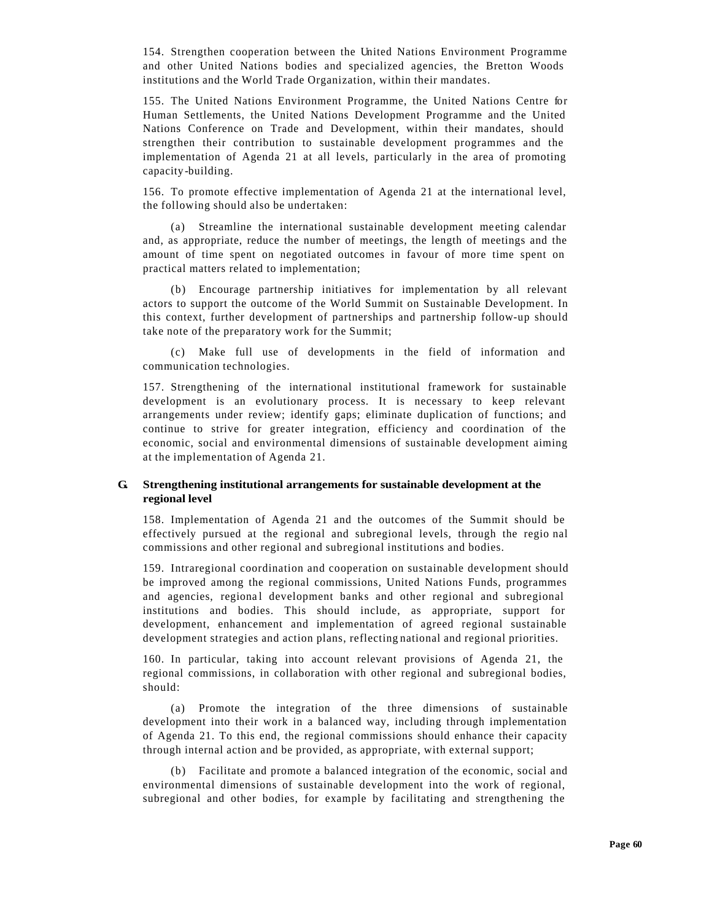154. Strengthen cooperation between the United Nations Environment Programme and other United Nations bodies and specialized agencies, the Bretton Woods institutions and the World Trade Organization, within their mandates.

155. The United Nations Environment Programme, the United Nations Centre for Human Settlements, the United Nations Development Programme and the United Nations Conference on Trade and Development, within their mandates, should strengthen their contribution to sustainable development programmes and the implementation of Agenda 21 at all levels, particularly in the area of promoting capacity -building.

156. To promote effective implementation of Agenda 21 at the international level, the following should also be undertaken:

(a) Streamline the international sustainable development me eting calendar and, as appropriate, reduce the number of meetings, the length of meetings and the amount of time spent on negotiated outcomes in favour of more time spent on practical matters related to implementation;

(b) Encourage partnership initiatives for implementation by all relevant actors to support the outcome of the World Summit on Sustainable Development. In this context, further development of partnerships and partnership follow-up should take note of the preparatory work for the Summit;

(c) Make full use of developments in the field of information and communication technologies.

157. Strengthening of the international institutional framework for sustainable development is an evolutionary process. It is necessary to keep relevant arrangements under review; identify gaps; eliminate duplication of functions; and continue to strive for greater integration, efficiency and coordination of the economic, social and environmental dimensions of sustainable development aiming at the implementation of Agenda 21.

#### **G. Strengthening institutional arrangements for sustainable development at the regional level**

158. Implementation of Agenda 21 and the outcomes of the Summit should be effectively pursued at the regional and subregional levels, through the regio nal commissions and other regional and subregional institutions and bodies.

159. Intraregional coordination and cooperation on sustainable development should be improved among the regional commissions, United Nations Funds, programmes and agencies, regional development banks and other regional and subregional institutions and bodies. This should include, as appropriate, support for development, enhancement and implementation of agreed regional sustainable development strategies and action plans, reflecting national and regional priorities.

160. In particular, taking into account relevant provisions of Agenda 21, the regional commissions, in collaboration with other regional and subregional bodies, should:

(a) Promote the integration of the three dimensions of sustainable development into their work in a balanced way, including through implementation of Agenda 21. To this end, the regional commissions should enhance their capacity through internal action and be provided, as appropriate, with external support;

(b) Facilitate and promote a balanced integration of the economic, social and environmental dimensions of sustainable development into the work of regional, subregional and other bodies, for example by facilitating and strengthening the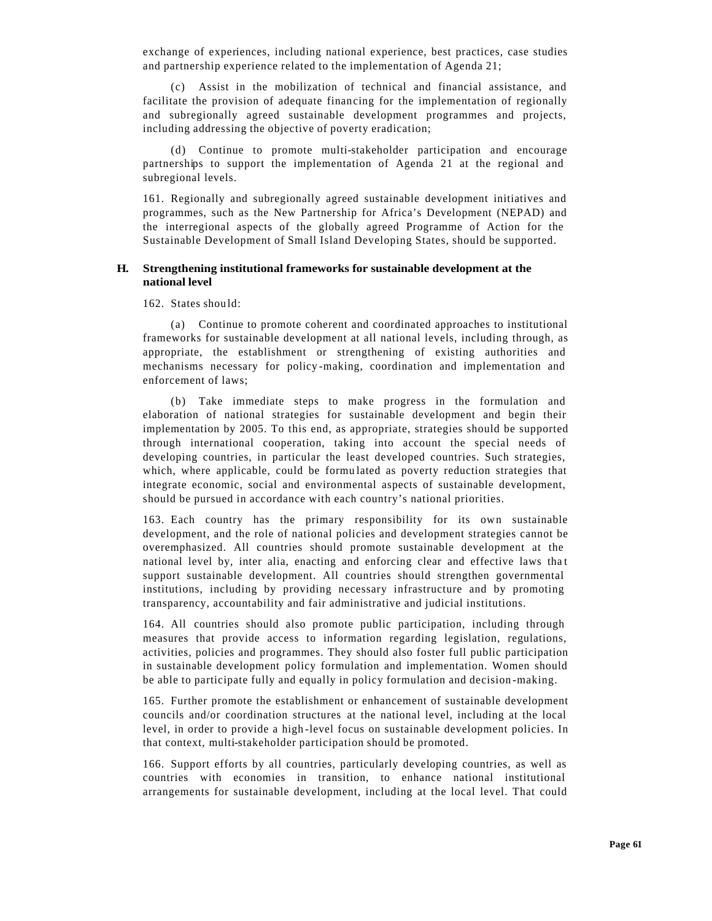exchange of experiences, including national experience, best practices, case studies and partnership experience related to the implementation of Agenda 21;

(c) Assist in the mobilization of technical and financial assistance, and facilitate the provision of adequate financing for the implementation of regionally and subregionally agreed sustainable development programmes and projects, including addressing the objective of poverty eradication;

(d) Continue to promote multi-stakeholder participation and encourage partnerships to support the implementation of Agenda 21 at the regional and subregional levels.

161. Regionally and subregionally agreed sustainable development initiatives and programmes, such as the New Partnership for Africa's Development (NEPAD) and the interregional aspects of the globally agreed Programme of Action for the Sustainable Development of Small Island Developing States, should be supported.

### **H. Strengthening institutional frameworks for sustainable development at the national level**

162. States should:

(a) Continue to promote coherent and coordinated approaches to institutional frameworks for sustainable development at all national levels, including through, as appropriate, the establishment or strengthening of existing authorities and mechanisms necessary for policy -making, coordination and implementation and enforcement of laws;

(b) Take immediate steps to make progress in the formulation and elaboration of national strategies for sustainable development and begin their implementation by 2005. To this end, as appropriate, strategies should be supported through international cooperation, taking into account the special needs of developing countries, in particular the least developed countries. Such strategies, which, where applicable, could be formu lated as poverty reduction strategies that integrate economic, social and environmental aspects of sustainable development, should be pursued in accordance with each country's national priorities.

163. Each country has the primary responsibility for its own sustainable development, and the role of national policies and development strategies cannot be overemphasized. All countries should promote sustainable development at the national level by, inter alia, enacting and enforcing clear and effective laws that support sustainable development. All countries should strengthen governmental institutions, including by providing necessary infrastructure and by promoting transparency, accountability and fair administrative and judicial institutions.

164. All countries should also promote public participation, including through measures that provide access to information regarding legislation, regulations, activities, policies and programmes. They should also foster full public participation in sustainable development policy formulation and implementation. Women should be able to participate fully and equally in policy formulation and decision -making.

165. Further promote the establishment or enhancement of sustainable development councils and/or coordination structures at the national level, including at the local level, in order to provide a high -level focus on sustainable development policies. In that context, multi-stakeholder participation should be promoted.

166. Support efforts by all countries, particularly developing countries, as well as countries with economies in transition, to enhance national institutional arrangements for sustainable development, including at the local level. That could